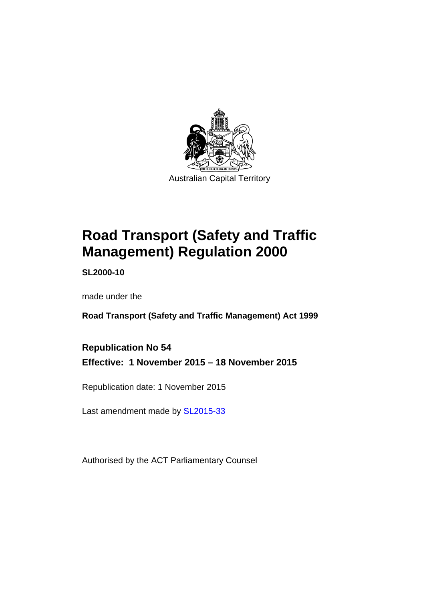

# **Road Transport (Safety and Traffic Management) Regulation 2000**

**SL2000-10** 

made under the

**Road Transport (Safety and Traffic Management) Act 1999** 

**Republication No 54 Effective: 1 November 2015 – 18 November 2015** 

Republication date: 1 November 2015

Last amendment made by [SL2015-33](http://www.legislation.act.gov.au/sl/2015-33)

Authorised by the ACT Parliamentary Counsel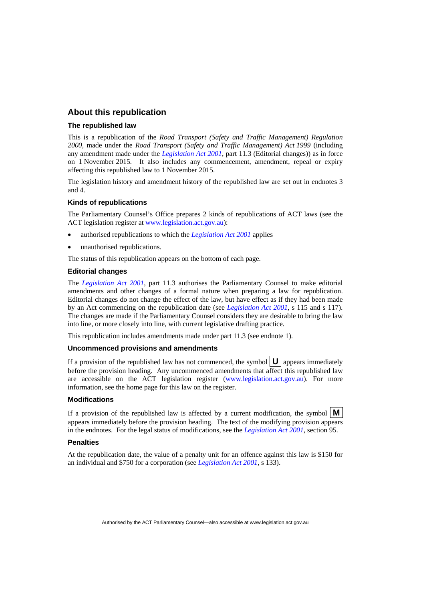#### **About this republication**

#### **The republished law**

This is a republication of the *Road Transport (Safety and Traffic Management) Regulation 2000*, made under the *Road Transport (Safety and Traffic Management) Act 1999* (including any amendment made under the *[Legislation Act 2001](http://www.legislation.act.gov.au/a/2001-14)*, part 11.3 (Editorial changes)) as in force on 1 November 2015*.* It also includes any commencement, amendment, repeal or expiry affecting this republished law to 1 November 2015.

The legislation history and amendment history of the republished law are set out in endnotes 3 and 4.

#### **Kinds of republications**

The Parliamentary Counsel's Office prepares 2 kinds of republications of ACT laws (see the ACT legislation register at [www.legislation.act.gov.au](http://www.legislation.act.gov.au/)):

- authorised republications to which the *[Legislation Act 2001](http://www.legislation.act.gov.au/a/2001-14)* applies
- unauthorised republications.

The status of this republication appears on the bottom of each page.

#### **Editorial changes**

The *[Legislation Act 2001](http://www.legislation.act.gov.au/a/2001-14)*, part 11.3 authorises the Parliamentary Counsel to make editorial amendments and other changes of a formal nature when preparing a law for republication. Editorial changes do not change the effect of the law, but have effect as if they had been made by an Act commencing on the republication date (see *[Legislation Act 2001](http://www.legislation.act.gov.au/a/2001-14)*, s 115 and s 117). The changes are made if the Parliamentary Counsel considers they are desirable to bring the law into line, or more closely into line, with current legislative drafting practice.

This republication includes amendments made under part 11.3 (see endnote 1).

#### **Uncommenced provisions and amendments**

If a provision of the republished law has not commenced, the symbol  $\mathbf{U}$  appears immediately before the provision heading. Any uncommenced amendments that affect this republished law are accessible on the ACT legislation register [\(www.legislation.act.gov.au](http://www.legislation.act.gov.au/)). For more information, see the home page for this law on the register.

#### **Modifications**

If a provision of the republished law is affected by a current modification, the symbol  $\mathbf{M}$ appears immediately before the provision heading. The text of the modifying provision appears in the endnotes. For the legal status of modifications, see the *[Legislation Act 2001](http://www.legislation.act.gov.au/a/2001-14)*, section 95.

#### **Penalties**

At the republication date, the value of a penalty unit for an offence against this law is \$150 for an individual and \$750 for a corporation (see *[Legislation Act 2001](http://www.legislation.act.gov.au/a/2001-14)*, s 133).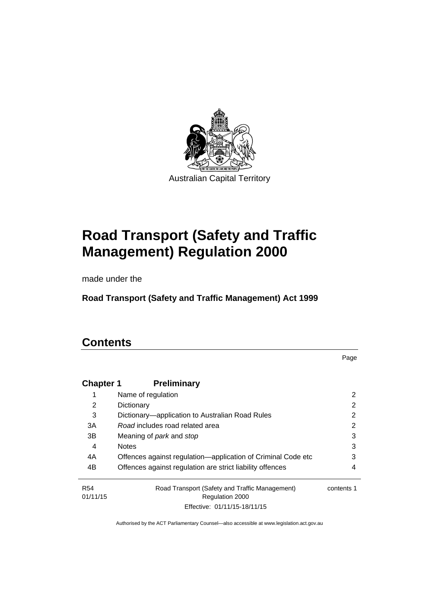

# **Road Transport (Safety and Traffic Management) Regulation 2000**

made under the

**Road Transport (Safety and Traffic Management) Act 1999** 

# **Contents**

Page

| <b>Chapter 1</b> | <b>Preliminary</b>                                           |            |
|------------------|--------------------------------------------------------------|------------|
|                  | Name of regulation                                           | 2          |
| 2                | Dictionary                                                   | 2          |
| 3                | Dictionary—application to Australian Road Rules              | 2          |
| 3A               | Road includes road related area                              | 2          |
| 3B               | Meaning of <i>park</i> and <i>stop</i>                       | 3          |
| 4                | <b>Notes</b>                                                 | 3          |
| 4A               | Offences against regulation—application of Criminal Code etc | 3          |
| 4B               | Offences against regulation are strict liability offences    | 4          |
| R <sub>54</sub>  | Road Transport (Safety and Traffic Management)               | contents 1 |
| 01/11/15         | <b>Regulation 2000</b>                                       |            |
|                  | Effective: 01/11/15-18/11/15                                 |            |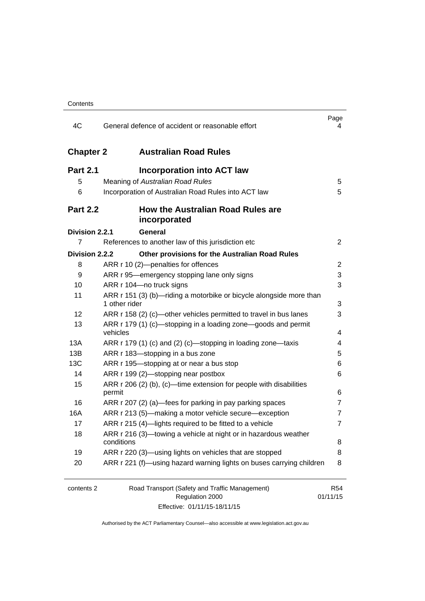| 4C               | General defence of accident or reasonable effort                                     | Page<br>4      |
|------------------|--------------------------------------------------------------------------------------|----------------|
| <b>Chapter 2</b> | <b>Australian Road Rules</b>                                                         |                |
| <b>Part 2.1</b>  | <b>Incorporation into ACT law</b>                                                    |                |
| 5                | Meaning of Australian Road Rules                                                     | 5              |
| 6                | Incorporation of Australian Road Rules into ACT law                                  | 5              |
| <b>Part 2.2</b>  | <b>How the Australian Road Rules are</b><br>incorporated                             |                |
| Division 2.2.1   | <b>General</b>                                                                       |                |
| 7                | References to another law of this jurisdiction etc                                   | $\overline{2}$ |
| Division 2.2.2   | Other provisions for the Australian Road Rules                                       |                |
| 8                | ARR r 10 (2)-penalties for offences                                                  | 2              |
| 9                | ARR r 95—emergency stopping lane only signs                                          | 3              |
| 10               | ARR r 104-no truck signs                                                             | 3              |
| 11               | ARR r 151 (3) (b)—riding a motorbike or bicycle alongside more than<br>1 other rider | 3              |
| 12               | ARR r 158 (2) (c)—other vehicles permitted to travel in bus lanes                    | 3              |
| 13               | ARR r 179 (1) (c)—stopping in a loading zone—goods and permit<br>vehicles            | 4              |
| 13A              | ARR r 179 (1) (c) and (2) (c)-stopping in loading zone-taxis                         | 4              |
| 13B              | ARR r 183-stopping in a bus zone                                                     | 5              |
| 13C              | ARR r 195-stopping at or near a bus stop                                             | 6              |
| 14               | ARR r 199 (2)-stopping near postbox                                                  | 6              |
| 15               | ARR r 206 (2) (b), (c)—time extension for people with disabilities                   |                |
|                  | permit                                                                               | 6              |
| 16               | ARR r 207 (2) (a)—fees for parking in pay parking spaces                             | 7              |
| 16A              | ARR r 213 (5)—making a motor vehicle secure—exception                                | 7              |
| 17               | ARR r 215 (4)-lights required to be fitted to a vehicle                              | $\overline{7}$ |
| 18               | ARR r 216 (3)—towing a vehicle at night or in hazardous weather<br>conditions        | 8              |
| 19               | ARR r 220 (3)—using lights on vehicles that are stopped                              | 8              |
| 20               | ARR r 221 (f)—using hazard warning lights on buses carrying children                 | 8              |
| contents 2       | Road Transport (Safety and Traffic Management)                                       | <b>R54</b>     |
|                  | Regulation 2000                                                                      | 01/11/15       |

Effective: 01/11/15-18/11/15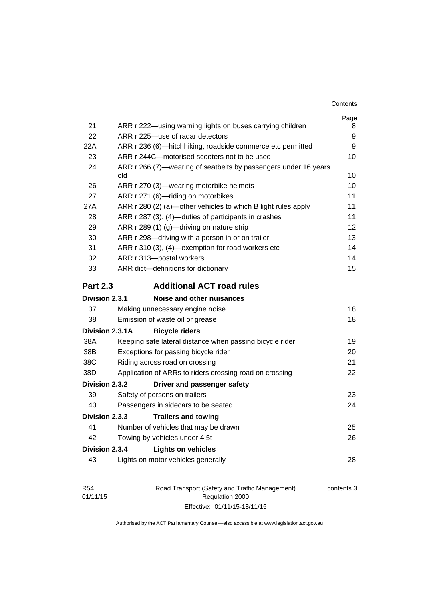| Contents |
|----------|
|----------|

| 21              |                                                                                                            | Page   |
|-----------------|------------------------------------------------------------------------------------------------------------|--------|
| 22              | ARR r 222—using warning lights on buses carrying children<br>ARR r 225-use of radar detectors              | 8<br>9 |
| 22A             |                                                                                                            |        |
| 23              | ARR r 236 (6)-hitchhiking, roadside commerce etc permitted<br>ARR r 244C-motorised scooters not to be used | 9      |
| 24              |                                                                                                            | 10     |
|                 | ARR r 266 (7)-wearing of seatbelts by passengers under 16 years<br>old                                     | 10     |
| 26              | ARR r 270 (3)—wearing motorbike helmets                                                                    | 10     |
| 27              | ARR r 271 (6)-riding on motorbikes                                                                         | 11     |
| 27A             | ARR r 280 (2) (a)—other vehicles to which B light rules apply                                              | 11     |
| 28              | ARR r 287 (3), (4)—duties of participants in crashes                                                       | 11     |
| 29              | ARR r 289 (1) (g)—driving on nature strip                                                                  | 12     |
| 30              | ARR r 298-driving with a person in or on trailer                                                           | 13     |
| 31              | ARR r 310 (3), (4)-exemption for road workers etc                                                          | 14     |
| 32              | ARR r 313-postal workers                                                                                   | 14     |
| 33              | ARR dict-definitions for dictionary                                                                        | 15     |
| <b>Part 2.3</b> | <b>Additional ACT road rules</b>                                                                           |        |
| Division 2.3.1  | Noise and other nuisances                                                                                  |        |
| 37              | Making unnecessary engine noise                                                                            | 18     |
| 38              | Emission of waste oil or grease                                                                            | 18     |
| Division 2.3.1A | <b>Bicycle riders</b>                                                                                      |        |
| 38A             | Keeping safe lateral distance when passing bicycle rider                                                   | 19     |
| 38B             | Exceptions for passing bicycle rider                                                                       | 20     |
| 38C             | Riding across road on crossing                                                                             | 21     |
| 38D             | Application of ARRs to riders crossing road on crossing                                                    | 22     |
| Division 2.3.2  | Driver and passenger safety                                                                                |        |
| 39              | Safety of persons on trailers                                                                              | 23     |
| 40              | Passengers in sidecars to be seated                                                                        | 24     |
| Division 2.3.3  | <b>Trailers and towing</b>                                                                                 |        |
| 41              | Number of vehicles that may be drawn                                                                       | 25     |
| 42              | Towing by vehicles under 4.5t                                                                              | 26     |
| Division 2.3.4  | <b>Lights on vehicles</b>                                                                                  |        |
| 43              | Lights on motor vehicles generally                                                                         | 28     |
|                 |                                                                                                            |        |

| R54      | Road Transport (Safety and Traffic Management) | contents 3 |
|----------|------------------------------------------------|------------|
| 01/11/15 | Regulation 2000                                |            |
|          | Effective: 01/11/15-18/11/15                   |            |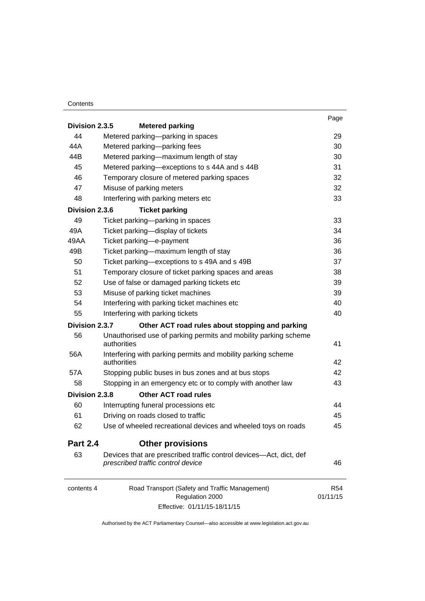#### **Contents**

| Division 2.3.5  | <b>Metered parking</b>                                                                                  | Page            |
|-----------------|---------------------------------------------------------------------------------------------------------|-----------------|
| 44              | Metered parking-parking in spaces                                                                       | 29              |
| 44A             |                                                                                                         | 30              |
| 44B             | Metered parking-parking fees                                                                            |                 |
|                 | Metered parking-maximum length of stay                                                                  | 30              |
| 45              | Metered parking-exceptions to s 44A and s 44B                                                           | 31              |
| 46              | Temporary closure of metered parking spaces                                                             | 32              |
| 47              | Misuse of parking meters                                                                                | 32              |
| 48              | Interfering with parking meters etc                                                                     | 33              |
| Division 2.3.6  | <b>Ticket parking</b>                                                                                   |                 |
| 49              | Ticket parking-parking in spaces                                                                        | 33              |
| 49A             | Ticket parking-display of tickets                                                                       | 34              |
| 49AA            | Ticket parking-e-payment                                                                                | 36              |
| 49B             | Ticket parking-maximum length of stay                                                                   | 36              |
| 50              | Ticket parking-exceptions to s 49A and s 49B                                                            | 37              |
| 51              | Temporary closure of ticket parking spaces and areas                                                    | 38              |
| 52              | Use of false or damaged parking tickets etc                                                             | 39              |
| 53              | Misuse of parking ticket machines                                                                       | 39              |
| 54              | Interfering with parking ticket machines etc                                                            | 40              |
| 55              | Interfering with parking tickets                                                                        | 40              |
| Division 2.3.7  | Other ACT road rules about stopping and parking                                                         |                 |
| 56              | Unauthorised use of parking permits and mobility parking scheme<br>authorities                          | 41              |
| 56A             | Interfering with parking permits and mobility parking scheme<br>authorities                             | 42              |
| 57A             | Stopping public buses in bus zones and at bus stops                                                     | 42              |
| 58              | Stopping in an emergency etc or to comply with another law                                              | 43              |
| Division 2.3.8  | Other ACT road rules                                                                                    |                 |
| 60              | Interrupting funeral processions etc                                                                    | 44              |
| 61              | Driving on roads closed to traffic                                                                      | 45              |
| 62              | Use of wheeled recreational devices and wheeled toys on roads                                           | 45              |
| <b>Part 2.4</b> | <b>Other provisions</b>                                                                                 |                 |
| 63              | Devices that are prescribed traffic control devices—Act, dict, def<br>prescribed traffic control device | 46              |
| contents 4      | Road Transport (Safety and Traffic Management)<br>Regulation 2000                                       | R54<br>01/11/15 |
|                 | Effective: 01/11/15-18/11/15                                                                            |                 |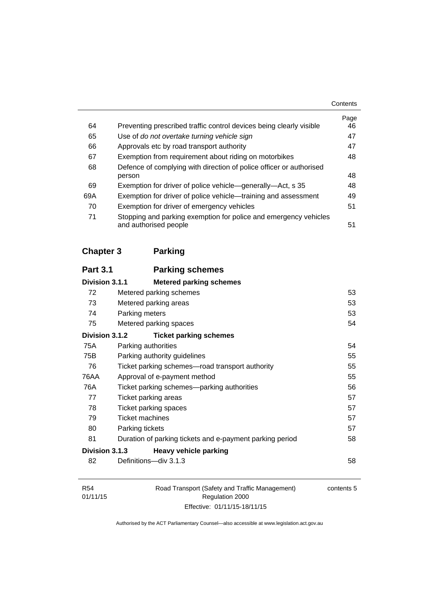|     |                                                                     | Page |
|-----|---------------------------------------------------------------------|------|
| 64  | Preventing prescribed traffic control devices being clearly visible | 46   |
| 65  | Use of do not overtake turning vehicle sign                         | 47   |
| 66  | Approvals etc by road transport authority                           | 47   |
| 67  | Exemption from requirement about riding on motorbikes               | 48   |
| 68  | Defence of complying with direction of police officer or authorised |      |
|     | person                                                              | 48   |
| 69  | Exemption for driver of police vehicle—generally—Act, s 35          | 48   |
| 69A | Exemption for driver of police vehicle—training and assessment      | 49   |
| 70  | Exemption for driver of emergency vehicles                          | 51   |
| 71  | Stopping and parking exemption for police and emergency vehicles    |      |
|     | and authorised people                                               | 51   |

# **[Chapter 3](#page-69-0) Parking**

| <b>Part 3.1</b> | <b>Parking schemes</b>                                   |    |
|-----------------|----------------------------------------------------------|----|
| Division 3.1.1  | <b>Metered parking schemes</b>                           |    |
| 72              | Metered parking schemes                                  | 53 |
| 73              | Metered parking areas                                    | 53 |
| 74              | Parking meters                                           | 53 |
| 75              | Metered parking spaces                                   | 54 |
| Division 3.1.2  | <b>Ticket parking schemes</b>                            |    |
| 75A             | Parking authorities                                      | 54 |
| 75B             | Parking authority guidelines                             | 55 |
| 76              | Ticket parking schemes—road transport authority          | 55 |
| 76AA            | Approval of e-payment method                             | 55 |
| 76A             | Ticket parking schemes—parking authorities               | 56 |
| 77              | Ticket parking areas                                     | 57 |
| 78              | Ticket parking spaces                                    | 57 |
| 79              | <b>Ticket machines</b>                                   | 57 |
| 80              | Parking tickets                                          | 57 |
| 81              | Duration of parking tickets and e-payment parking period | 58 |
| Division 3.1.3  | <b>Heavy vehicle parking</b>                             |    |
| 82              | Definitions-div 3.1.3                                    | 58 |
|                 |                                                          |    |

| R54      | Road Transport (Safety and Traffic Management) | contents 5 |
|----------|------------------------------------------------|------------|
| 01/11/15 | Regulation 2000                                |            |
|          | Effective: 01/11/15-18/11/15                   |            |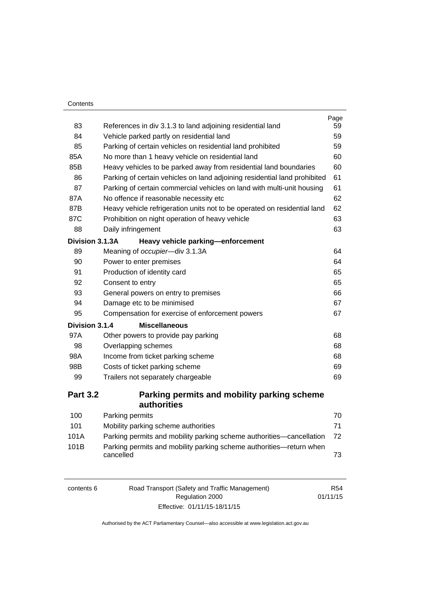| Contents |
|----------|
|----------|

|                 |                                                                           | Page     |
|-----------------|---------------------------------------------------------------------------|----------|
| 83              | References in div 3.1.3 to land adjoining residential land                | 59<br>59 |
| 84              | Vehicle parked partly on residential land                                 |          |
| 85              | Parking of certain vehicles on residential land prohibited                | 59       |
| 85A             | No more than 1 heavy vehicle on residential land                          | 60       |
| 85B             | Heavy vehicles to be parked away from residential land boundaries         | 60       |
| 86              | Parking of certain vehicles on land adjoining residential land prohibited | 61       |
| 87              | Parking of certain commercial vehicles on land with multi-unit housing    | 61       |
| 87A             | No offence if reasonable necessity etc                                    | 62       |
| 87B             | Heavy vehicle refrigeration units not to be operated on residential land  | 62       |
| 87C             | Prohibition on night operation of heavy vehicle<br>63                     |          |
| 88              | Daily infringement                                                        | 63       |
| Division 3.1.3A | Heavy vehicle parking-enforcement                                         |          |
| 89              | Meaning of occupier-div 3.1.3A                                            | 64       |
| 90              | Power to enter premises                                                   | 64       |
| 91              | Production of identity card<br>65                                         |          |
| 92              | 65<br>Consent to entry                                                    |          |
| 93              | General powers on entry to premises<br>66                                 |          |
| 94              | Damage etc to be minimised<br>67                                          |          |
| 95              | Compensation for exercise of enforcement powers<br>67                     |          |
| Division 3.1.4  | <b>Miscellaneous</b>                                                      |          |
| 97A             | Other powers to provide pay parking                                       | 68       |
| 98              | Overlapping schemes                                                       | 68       |
| 98A             | Income from ticket parking scheme                                         | 68       |
| 98B             | Costs of ticket parking scheme                                            | 69       |
| 99              | Trailers not separately chargeable                                        |          |
| <b>Part 3.2</b> | Parking permits and mobility parking scheme<br><b>authorities</b>         |          |

| 100  | Parking permits                                                                  | 70 |
|------|----------------------------------------------------------------------------------|----|
| 101  | Mobility parking scheme authorities                                              | 71 |
| 101A | Parking permits and mobility parking scheme authorities—cancellation             | 72 |
| 101B | Parking permits and mobility parking scheme authorities—return when<br>cancelled | 73 |

| contents 6 | Road Transport (Safety and Traffic Management) |          |
|------------|------------------------------------------------|----------|
|            | Regulation 2000                                | 01/11/15 |
|            | Effective: 01/11/15-18/11/15                   |          |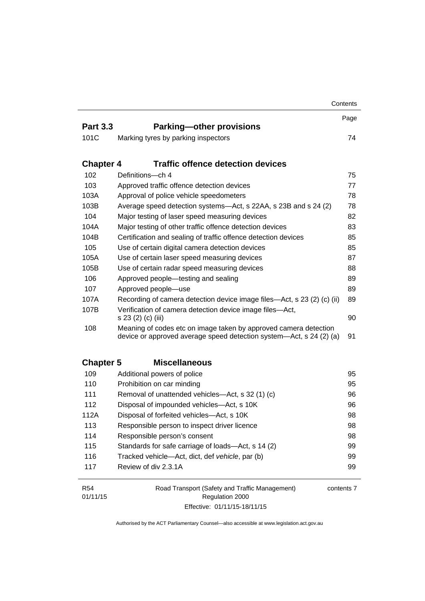|                        |                                                                                                                                         | Contents   |
|------------------------|-----------------------------------------------------------------------------------------------------------------------------------------|------------|
| <b>Part 3.3</b>        |                                                                                                                                         | Page       |
|                        | <b>Parking-other provisions</b>                                                                                                         |            |
| 101C                   | Marking tyres by parking inspectors                                                                                                     | 74         |
| <b>Chapter 4</b>       | <b>Traffic offence detection devices</b>                                                                                                |            |
| 102                    | Definitions-ch 4                                                                                                                        | 75         |
| 103                    | Approved traffic offence detection devices                                                                                              | 77         |
| 103A                   | Approval of police vehicle speedometers                                                                                                 | 78         |
| 103B                   | Average speed detection systems—Act, s 22AA, s 23B and s 24 (2)                                                                         | 78         |
| 104                    | Major testing of laser speed measuring devices                                                                                          | 82         |
| 104A                   | Major testing of other traffic offence detection devices                                                                                | 83         |
| 104B                   | Certification and sealing of traffic offence detection devices                                                                          | 85         |
| 105                    | Use of certain digital camera detection devices                                                                                         | 85         |
| 105A                   | Use of certain laser speed measuring devices                                                                                            | 87         |
| 105B                   | Use of certain radar speed measuring devices                                                                                            | 88         |
| 106                    | Approved people-testing and sealing                                                                                                     |            |
| 107                    | Approved people-use                                                                                                                     | 89         |
| 107A                   | Recording of camera detection device image files—Act, s 23 (2) (c) (ii)                                                                 | 89         |
| 107B                   | Verification of camera detection device image files-Act,<br>s 23 (2) (c) (iii)                                                          |            |
| 108                    | Meaning of codes etc on image taken by approved camera detection<br>device or approved average speed detection system—Act, s 24 (2) (a) | 91         |
| <b>Chapter 5</b>       | <b>Miscellaneous</b>                                                                                                                    |            |
| 109                    | Additional powers of police                                                                                                             | 95         |
| 110                    | Prohibition on car minding                                                                                                              | 95         |
| 111                    | Removal of unattended vehicles-Act, s 32 (1) (c)                                                                                        | 96         |
| 112                    | Disposal of impounded vehicles-Act, s 10K                                                                                               | 96         |
| 112A                   | Disposal of forfeited vehicles-Act, s 10K                                                                                               | 98         |
| 113                    | Responsible person to inspect driver licence                                                                                            | 98         |
| 114                    | Responsible person's consent                                                                                                            | 98         |
| 115                    | Standards for safe carriage of loads-Act, s 14 (2)                                                                                      | 99         |
| 116                    | Tracked vehicle-Act, dict, def vehicle, par (b)                                                                                         | 99         |
| 117                    | Review of div 2.3.1A                                                                                                                    | 99         |
| <b>R54</b><br>01/11/15 | Road Transport (Safety and Traffic Management)<br>Regulation 2000                                                                       | contents 7 |

Authorised by the ACT Parliamentary Counsel—also accessible at www.legislation.act.gov.au

Effective: 01/11/15-18/11/15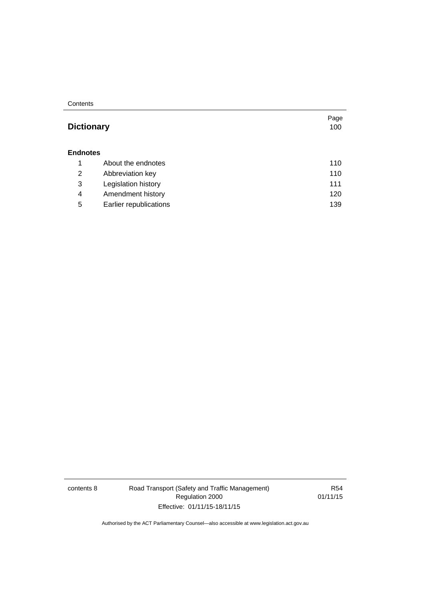**Contents** 

## Page **Dictionary** [100](#page-116-0) **[Endnotes](#page-127-0)** 1 [About the endnotes 110](#page-127-1) 2 [Abbreviation key 110](#page-127-2) 3 [Legislation history 111](#page-128-0) 4 [Amendment history 120](#page-137-0) 5 [Earlier republications 139](#page-156-0)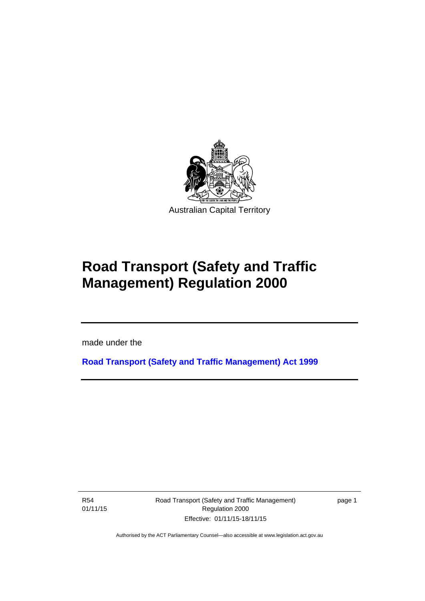

# **Road Transport (Safety and Traffic Management) Regulation 2000**

made under the

**[Road Transport \(Safety and Traffic Management\) Act 1999](http://www.legislation.act.gov.au/a/1999-80)**

R54 01/11/15

l

Road Transport (Safety and Traffic Management) Regulation 2000 Effective: 01/11/15-18/11/15

page 1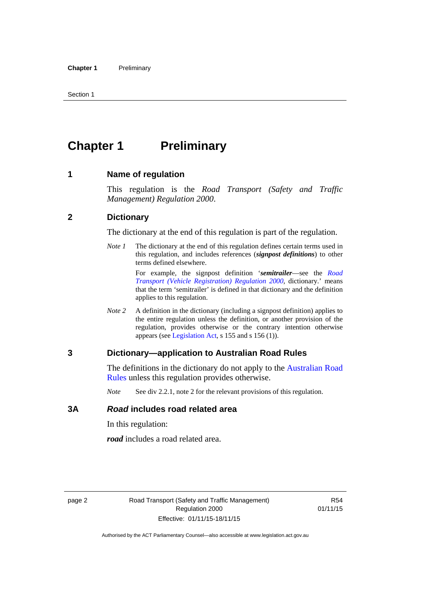# <span id="page-11-0"></span>**Chapter 1** Preliminary

#### <span id="page-11-1"></span>**1 Name of regulation**

This regulation is the *Road Transport (Safety and Traffic Management) Regulation 2000*.

#### <span id="page-11-2"></span>**2 Dictionary**

The dictionary at the end of this regulation is part of the regulation.

*Note 1* The dictionary at the end of this regulation defines certain terms used in this regulation, and includes references (*signpost definitions*) to other terms defined elsewhere.

> For example, the signpost definition '*semitrailer*—see the *[Road](http://www.legislation.act.gov.au/sl/2000-12)  [Transport \(Vehicle Registration\) Regulation 2000](http://www.legislation.act.gov.au/sl/2000-12)*, dictionary.' means that the term 'semitrailer' is defined in that dictionary and the definition applies to this regulation.

*Note 2* A definition in the dictionary (including a signpost definition) applies to the entire regulation unless the definition, or another provision of the regulation, provides otherwise or the contrary intention otherwise appears (see [Legislation Act,](http://www.legislation.act.gov.au/a/2001-14) s 155 and s 156 (1)).

#### <span id="page-11-3"></span>**3 Dictionary—application to Australian Road Rules**

The definitions in the dictionary do not apply to the [Australian Road](http://www.legislation.act.gov.au//ni/db_37271/default.asp)  [Rules](http://www.legislation.act.gov.au//ni/db_37271/default.asp) unless this regulation provides otherwise.

*Note* See div 2.2.1, note 2 for the relevant provisions of this regulation.

#### <span id="page-11-4"></span>**3A** *Road* **includes road related area**

In this regulation:

*road* includes a road related area.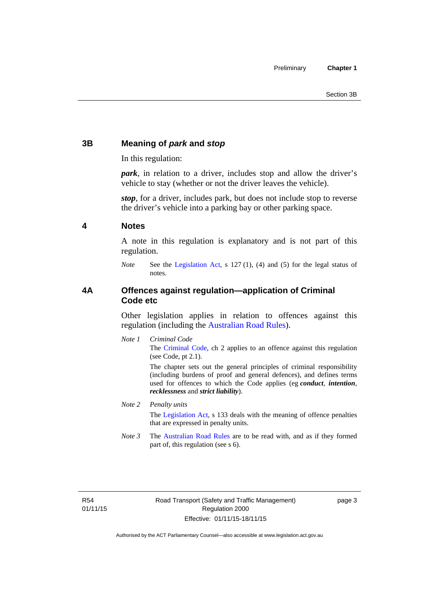#### <span id="page-12-0"></span>**3B Meaning of** *park* **and** *stop*

In this regulation:

*park*, in relation to a driver, includes stop and allow the driver's vehicle to stay (whether or not the driver leaves the vehicle).

*stop*, for a driver, includes park, but does not include stop to reverse the driver's vehicle into a parking bay or other parking space.

#### <span id="page-12-1"></span>**4 Notes**

A note in this regulation is explanatory and is not part of this regulation.

*Note* See the [Legislation Act,](http://www.legislation.act.gov.au/a/2001-14) s 127 (1), (4) and (5) for the legal status of notes.

#### <span id="page-12-2"></span>**4A Offences against regulation—application of Criminal Code etc**

Other legislation applies in relation to offences against this regulation (including the [Australian Road Rules](http://www.legislation.act.gov.au//ni/db_37271/default.asp)).

*Note 1 Criminal Code* The [Criminal Code,](http://www.legislation.act.gov.au/a/2002-51) ch 2 applies to an offence against this regulation (see Code, pt 2.1).

> The chapter sets out the general principles of criminal responsibility (including burdens of proof and general defences), and defines terms used for offences to which the Code applies (eg *conduct*, *intention*, *recklessness* and *strict liability*).

#### *Note 2 Penalty units*

The [Legislation Act](http://www.legislation.act.gov.au/a/2001-14), s 133 deals with the meaning of offence penalties that are expressed in penalty units.

*Note 3* The [Australian Road Rules](http://www.legislation.act.gov.au//ni/db_37271/default.asp) are to be read with, and as if they formed part of, this regulation (see s 6).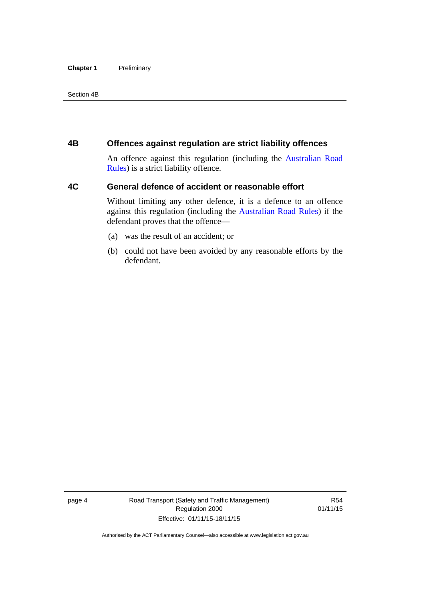#### **Chapter 1** Preliminary

Section 4B

#### <span id="page-13-0"></span>**4B Offences against regulation are strict liability offences**

An offence against this regulation (including the [Australian Road](http://www.legislation.act.gov.au//ni/db_37271/default.asp)  [Rules](http://www.legislation.act.gov.au//ni/db_37271/default.asp)) is a strict liability offence.

#### <span id="page-13-1"></span>**4C General defence of accident or reasonable effort**

Without limiting any other defence, it is a defence to an offence against this regulation (including the [Australian Road Rules\)](http://www.legislation.act.gov.au//ni/db_37271/default.asp) if the defendant proves that the offence—

- (a) was the result of an accident; or
- (b) could not have been avoided by any reasonable efforts by the defendant.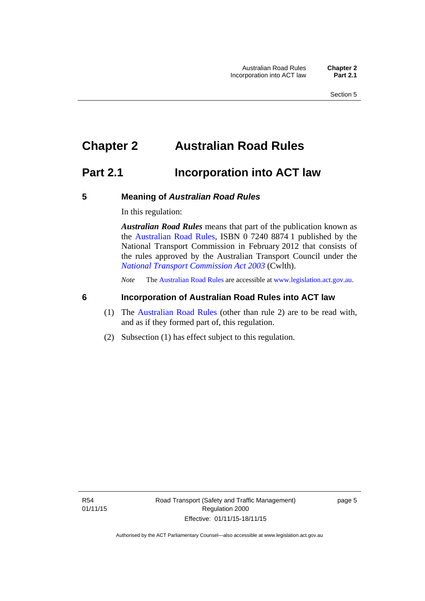# <span id="page-14-0"></span>**Chapter 2 Australian Road Rules**

## <span id="page-14-1"></span>**Part 2.1 Incorporation into ACT law**

#### <span id="page-14-2"></span>**5 Meaning of** *Australian Road Rules*

In this regulation:

*Australian Road Rules* means that part of the publication known as the [Australian Road Rules](http://www.legislation.act.gov.au//ni/db_37271/default.asp), ISBN 0 7240 8874 1 published by the National Transport Commission in February 2012 that consists of the rules approved by the Australian Transport Council under the *[National Transport Commission Act 2003](http://www.comlaw.gov.au/Series/C2004A01166)* (Cwlth).

*Note* The [Australian Road Rules](http://www.legislation.act.gov.au//ni/db_37271/default.asp) are accessible at [www.legislation.act.gov.au](http://www.legislation.act.gov.au/).

#### <span id="page-14-3"></span>**6 Incorporation of Australian Road Rules into ACT law**

- (1) The [Australian Road Rules](http://www.legislation.act.gov.au//ni/db_37271/default.asp) (other than rule 2) are to be read with, and as if they formed part of, this regulation.
- (2) Subsection (1) has effect subject to this regulation.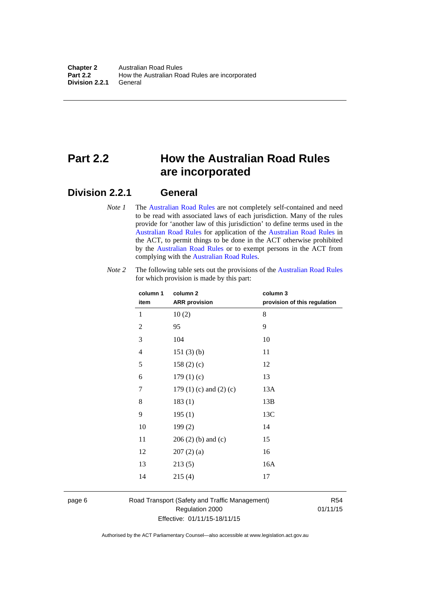# <span id="page-15-0"></span>**Part 2.2 How the Australian Road Rules are incorporated**

#### <span id="page-15-1"></span>**Division 2.2.1 General**

*Note 1* The [Australian Road Rules](http://www.legislation.act.gov.au//ni/db_37271/default.asp) are not completely self-contained and need to be read with associated laws of each jurisdiction. Many of the rules provide for 'another law of this jurisdiction' to define terms used in the [Australian Road Rules](http://www.legislation.act.gov.au//ni/db_37271/default.asp) for application of the [Australian Road Rules](http://www.legislation.act.gov.au//ni/db_37271/default.asp) in the ACT, to permit things to be done in the ACT otherwise prohibited by the [Australian Road Rules](http://www.legislation.act.gov.au//ni/db_37271/default.asp) or to exempt persons in the ACT from complying with the [Australian Road Rules.](http://www.legislation.act.gov.au//ni/db_37271/default.asp)

| column 1<br>item | column <sub>2</sub><br><b>ARR</b> provision | column 3<br>provision of this regulation |
|------------------|---------------------------------------------|------------------------------------------|
| 1                | 10(2)                                       | 8                                        |
| $\overline{2}$   | 95                                          | 9                                        |
| 3                | 104                                         | 10                                       |
| $\overline{4}$   | 151(3)(b)                                   | 11                                       |
| 5                | 158 $(2)(c)$                                | 12                                       |
| 6                | 179(1)(c)                                   | 13                                       |
| 7                | 179 $(1)$ $(c)$ and $(2)$ $(c)$             | 13A                                      |
| 8                | 183(1)                                      | 13B                                      |
| 9                | 195(1)                                      | 13C                                      |
| 10               | 199(2)                                      | 14                                       |
| 11               | $206(2)$ (b) and (c)                        | 15                                       |
| 12               | 207(2)(a)                                   | 16                                       |
| 13               | 213(5)                                      | 16A                                      |
| 14               | 215(4)                                      | 17                                       |

*Note 2* The following table sets out the provisions of the [Australian Road Rules](http://www.legislation.act.gov.au//ni/db_37271/default.asp) for which provision is made by this part:

page 6 Road Transport (Safety and Traffic Management) Regulation 2000 Effective: 01/11/15-18/11/15

R54 01/11/15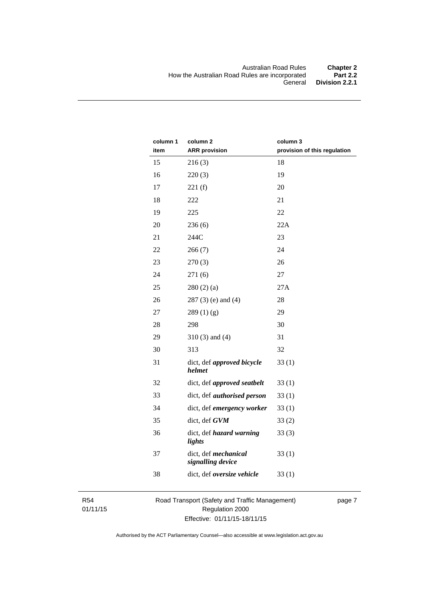| column 1<br>item | column <sub>2</sub><br><b>ARR</b> provision | column 3<br>provision of this regulation |
|------------------|---------------------------------------------|------------------------------------------|
| 15               | 216(3)                                      | 18                                       |
| 16               | 220(3)                                      | 19                                       |
| 17               | 221(f)                                      | 20                                       |
| 18               | 222                                         | 21                                       |
| 19               | 225                                         | 22                                       |
| 20               | 236(6)                                      | 22A                                      |
| 21               | 244C                                        | 23                                       |
| 22               | 266(7)                                      | 24                                       |
| 23               | 270(3)                                      | 26                                       |
| 24               | 271(6)                                      | 27                                       |
| 25               | 280(2)(a)                                   | 27A                                      |
| 26               | $287(3)$ (e) and (4)                        | 28                                       |
| 27               | 289(1)(g)                                   | 29                                       |
| 28               | 298                                         | 30                                       |
| 29               | $310(3)$ and $(4)$                          | 31                                       |
| 30               | 313                                         | 32                                       |
| 31               | dict, def approved bicycle<br>helmet        | 33(1)                                    |
| 32               | dict, def approved seatbelt                 | 33(1)                                    |
| 33               | dict, def <i>authorised</i> person          | 33(1)                                    |
| 34               | dict, def emergency worker                  | 33(1)                                    |
| 35               | dict, def GVM                               | 33(2)                                    |
| 36               | dict, def hazard warning<br>lights          | 33(3)                                    |
| 37               | dict, def mechanical<br>signalling device   | 33(1)                                    |
| 38               | dict, def oversize vehicle                  | 33(1)                                    |

R54 01/11/15 Road Transport (Safety and Traffic Management) Regulation 2000 Effective: 01/11/15-18/11/15

page 7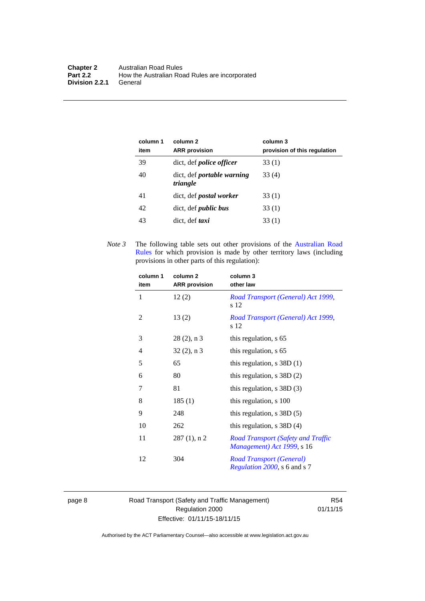| column 1<br>item | column 2<br><b>ARR</b> provision              | column 3<br>provision of this regulation |
|------------------|-----------------------------------------------|------------------------------------------|
| 39               | dict, def <i>police</i> officer               | 33 (1)                                   |
| 40               | dict, def <i>portable</i> warning<br>triangle | 33 (4)                                   |
| 41               | dict, def <i>postal</i> worker                | 33 (1)                                   |
| 42               | dict, def <i>public</i> bus                   | 33 (1)                                   |
| 43               | dict, def taxi                                | 33(1)                                    |

*Note 3* The following table sets out other provisions of the [Australian Road](http://www.legislation.act.gov.au//ni/db_37271/default.asp)  [Rules](http://www.legislation.act.gov.au//ni/db_37271/default.asp) for which provision is made by other territory laws (including provisions in other parts of this regulation):

| column 1       | column <sub>2</sub>  | column 3                                                                |
|----------------|----------------------|-------------------------------------------------------------------------|
| item           | <b>ARR</b> provision | other law                                                               |
| 1              | 12(2)                | Road Transport (General) Act 1999,<br>s 12                              |
| 2              | 13(2)                | Road Transport (General) Act 1999,<br>s 12                              |
| 3              | $28(2)$ , n 3        | this regulation, s 65                                                   |
| $\overline{4}$ | $32(2)$ , n 3        | this regulation, s 65                                                   |
| 5              | 65                   | this regulation, $s$ 38D $(1)$                                          |
| 6              | 80                   | this regulation, $s$ 38D $(2)$                                          |
| 7              | 81                   | this regulation, $s$ 38D (3)                                            |
| 8              | 185(1)               | this regulation, s 100                                                  |
| 9              | 248                  | this regulation, $s$ 38D $(5)$                                          |
| 10             | 262                  | this regulation, $s$ 38D $(4)$                                          |
| 11             | $287(1)$ , n 2       | <b>Road Transport (Safety and Traffic</b><br>Management) Act 1999, s 16 |
| 12             | 304                  | <b>Road Transport (General)</b><br><i>Regulation 2000</i> , s 6 and s 7 |

page 8 Road Transport (Safety and Traffic Management) Regulation 2000 Effective: 01/11/15-18/11/15

R54 01/11/15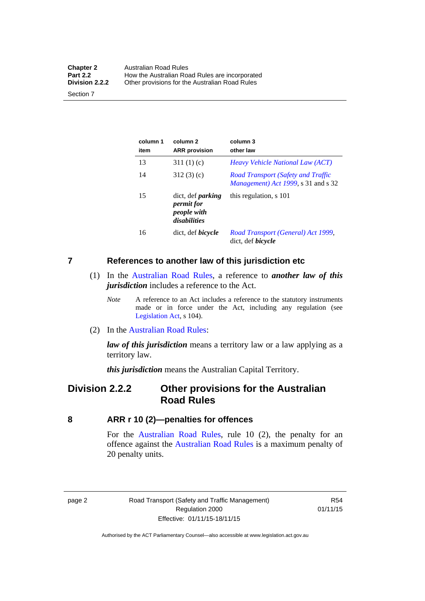| <b>Chapter 2</b> | Australian Road Rules                          |
|------------------|------------------------------------------------|
| <b>Part 2.2</b>  | How the Australian Road Rules are incorporated |
| Division 2.2.2   | Other provisions for the Australian Road Rules |

Section 7

| column 1<br>item | column <sub>2</sub><br><b>ARR</b> provision                                  | column 3<br>other law                                                     |
|------------------|------------------------------------------------------------------------------|---------------------------------------------------------------------------|
| 13               | 311 $(1)(c)$                                                                 | Heavy Vehicle National Law (ACT)                                          |
| 14               | 312(3)(c)                                                                    | Road Transport (Safety and Traffic<br>Management) Act 1999, s 31 and s 32 |
| 15               | dict, def <i>parking</i><br><i>permit for</i><br>people with<br>disabilities | this regulation, s 101                                                    |
| 16               | dict, def <i>bicycle</i>                                                     | Road Transport (General) Act 1999,<br>dict, def <i>bicycle</i>            |

<span id="page-18-0"></span>**7 References to another law of this jurisdiction etc**

- (1) In the [Australian Road Rules,](http://www.legislation.act.gov.au//ni/db_37271/default.asp) a reference to *another law of this jurisdiction* includes a reference to the Act.
	- *Note* A reference to an Act includes a reference to the statutory instruments made or in force under the Act, including any regulation (see [Legislation Act,](http://www.legislation.act.gov.au/a/2001-14) s 104).
- (2) In the [Australian Road Rules](http://www.legislation.act.gov.au//ni/db_37271/default.asp):

*law of this jurisdiction* means a territory law or a law applying as a territory law.

*this jurisdiction* means the Australian Capital Territory.

### <span id="page-18-1"></span>**Division 2.2.2 Other provisions for the Australian Road Rules**

<span id="page-18-2"></span>**8 ARR r 10 (2)—penalties for offences**

For the [Australian Road Rules,](http://www.legislation.act.gov.au//ni/db_37271/default.asp) rule 10 (2), the penalty for an offence against the [Australian Road Rules](http://www.legislation.act.gov.au//ni/db_37271/default.asp) is a maximum penalty of 20 penalty units.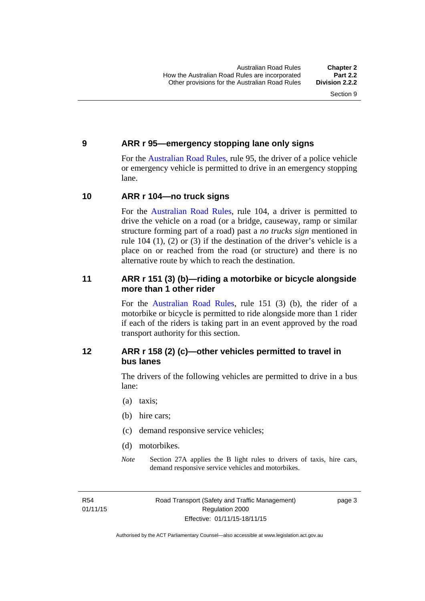#### <span id="page-19-0"></span>**9 ARR r 95—emergency stopping lane only signs**

For the [Australian Road Rules,](http://www.legislation.act.gov.au//ni/db_37271/default.asp) rule 95, the driver of a police vehicle or emergency vehicle is permitted to drive in an emergency stopping lane.

#### <span id="page-19-1"></span>**10 ARR r 104—no truck signs**

For the [Australian Road Rules,](http://www.legislation.act.gov.au//ni/db_37271/default.asp) rule 104, a driver is permitted to drive the vehicle on a road (or a bridge, causeway, ramp or similar structure forming part of a road) past a *no trucks sign* mentioned in rule 104 (1), (2) or (3) if the destination of the driver's vehicle is a place on or reached from the road (or structure) and there is no alternative route by which to reach the destination.

#### <span id="page-19-2"></span>**11 ARR r 151 (3) (b)—riding a motorbike or bicycle alongside more than 1 other rider**

For the [Australian Road Rules](http://www.legislation.act.gov.au//ni/db_37271/default.asp), rule 151 (3) (b), the rider of a motorbike or bicycle is permitted to ride alongside more than 1 rider if each of the riders is taking part in an event approved by the road transport authority for this section.

#### <span id="page-19-3"></span>**12 ARR r 158 (2) (c)—other vehicles permitted to travel in bus lanes**

The drivers of the following vehicles are permitted to drive in a bus lane:

- (a) taxis;
- (b) hire cars;
- (c) demand responsive service vehicles;
- (d) motorbikes.
- *Note* Section 27A applies the B light rules to drivers of taxis, hire cars, demand responsive service vehicles and motorbikes.

R54 01/11/15 Road Transport (Safety and Traffic Management) Regulation 2000 Effective: 01/11/15-18/11/15

page 3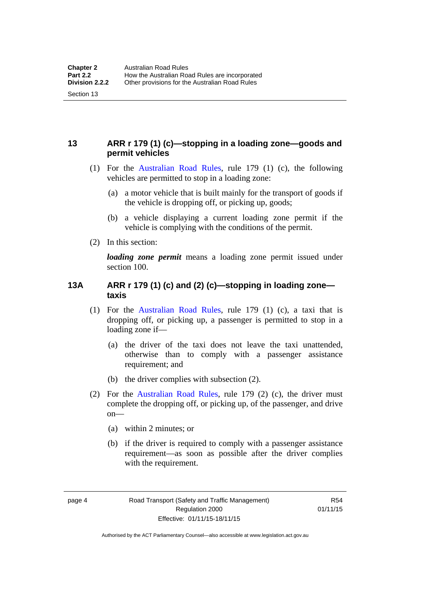#### <span id="page-20-0"></span>**13 ARR r 179 (1) (c)—stopping in a loading zone—goods and permit vehicles**

- (1) For the [Australian Road Rules,](http://www.legislation.act.gov.au//ni/db_37271/default.asp) rule 179 (1) (c), the following vehicles are permitted to stop in a loading zone:
	- (a) a motor vehicle that is built mainly for the transport of goods if the vehicle is dropping off, or picking up, goods;
	- (b) a vehicle displaying a current loading zone permit if the vehicle is complying with the conditions of the permit.
- (2) In this section:

Section 13

*loading zone permit* means a loading zone permit issued under section 100.

#### <span id="page-20-1"></span>**13A ARR r 179 (1) (c) and (2) (c)—stopping in loading zone taxis**

- (1) For the [Australian Road Rules,](http://www.legislation.act.gov.au//ni/db_37271/default.asp) rule 179 (1) (c), a taxi that is dropping off, or picking up, a passenger is permitted to stop in a loading zone if—
	- (a) the driver of the taxi does not leave the taxi unattended, otherwise than to comply with a passenger assistance requirement; and
	- (b) the driver complies with subsection (2).
- (2) For the [Australian Road Rules,](http://www.legislation.act.gov.au//ni/db_37271/default.asp) rule 179 (2) (c), the driver must complete the dropping off, or picking up, of the passenger, and drive on—
	- (a) within 2 minutes; or
	- (b) if the driver is required to comply with a passenger assistance requirement—as soon as possible after the driver complies with the requirement.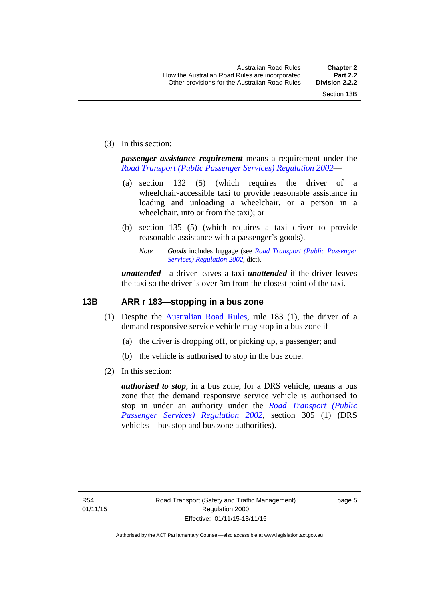(3) In this section:

*passenger assistance requirement* means a requirement under the *[Road Transport \(Public Passenger Services\) Regulation 2002](http://www.legislation.act.gov.au/sl/2002-3)*—

- (a) section 132 (5) (which requires the driver of a wheelchair-accessible taxi to provide reasonable assistance in loading and unloading a wheelchair, or a person in a wheelchair, into or from the taxi); or
- (b) section 135 (5) (which requires a taxi driver to provide reasonable assistance with a passenger's goods).
	- *Note Goods* includes luggage (see *[Road Transport \(Public Passenger](http://www.legislation.act.gov.au/sl/2002-3)  [Services\) Regulation 2002](http://www.legislation.act.gov.au/sl/2002-3)*, dict).

*unattended*—a driver leaves a taxi *unattended* if the driver leaves the taxi so the driver is over 3m from the closest point of the taxi.

#### <span id="page-21-0"></span>**13B ARR r 183—stopping in a bus zone**

- (1) Despite the [Australian Road Rules](http://www.legislation.act.gov.au//ni/db_37271/default.asp), rule 183 (1), the driver of a demand responsive service vehicle may stop in a bus zone if—
	- (a) the driver is dropping off, or picking up, a passenger; and
	- (b) the vehicle is authorised to stop in the bus zone.
- (2) In this section:

*authorised to stop*, in a bus zone, for a DRS vehicle, means a bus zone that the demand responsive service vehicle is authorised to stop in under an authority under the *[Road Transport \(Public](http://www.legislation.act.gov.au/sl/2002-3)  [Passenger Services\) Regulation 2002](http://www.legislation.act.gov.au/sl/2002-3)*, section 305 (1) (DRS vehicles—bus stop and bus zone authorities).

page 5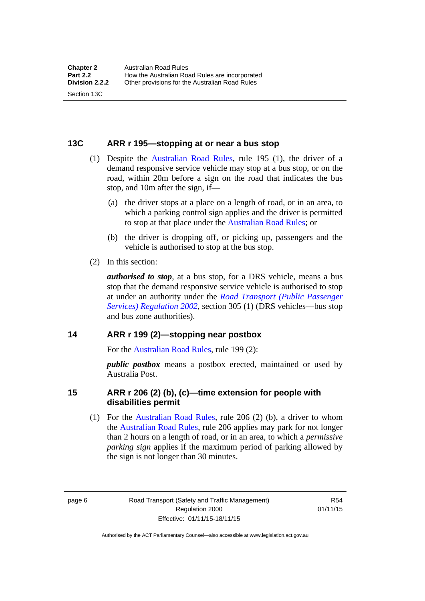#### <span id="page-22-0"></span>**13C ARR r 195—stopping at or near a bus stop**

- (1) Despite the [Australian Road Rules](http://www.legislation.act.gov.au//ni/db_37271/default.asp), rule 195 (1), the driver of a demand responsive service vehicle may stop at a bus stop, or on the road, within 20m before a sign on the road that indicates the bus stop, and 10m after the sign, if—
	- (a) the driver stops at a place on a length of road, or in an area, to which a parking control sign applies and the driver is permitted to stop at that place under the [Australian Road Rules;](http://www.legislation.act.gov.au//ni/db_37271/default.asp) or
	- (b) the driver is dropping off, or picking up, passengers and the vehicle is authorised to stop at the bus stop.
- (2) In this section:

Section 13C

*authorised to stop*, at a bus stop, for a DRS vehicle, means a bus stop that the demand responsive service vehicle is authorised to stop at under an authority under the *[Road Transport \(Public Passenger](http://www.legislation.act.gov.au/sl/2002-3)  [Services\) Regulation 2002](http://www.legislation.act.gov.au/sl/2002-3)*, section 305 (1) (DRS vehicles—bus stop and bus zone authorities).

#### <span id="page-22-1"></span>**14 ARR r 199 (2)—stopping near postbox**

For the [Australian Road Rules,](http://www.legislation.act.gov.au//ni/db_37271/default.asp) rule 199 (2):

*public postbox* means a postbox erected, maintained or used by Australia Post.

#### <span id="page-22-2"></span>**15 ARR r 206 (2) (b), (c)—time extension for people with disabilities permit**

 (1) For the [Australian Road Rules](http://www.legislation.act.gov.au//ni/db_37271/default.asp), rule 206 (2) (b), a driver to whom the [Australian Road Rules](http://www.legislation.act.gov.au//ni/db_37271/default.asp), rule 206 applies may park for not longer than 2 hours on a length of road, or in an area, to which a *permissive parking sign* applies if the maximum period of parking allowed by the sign is not longer than 30 minutes.

page 6 Road Transport (Safety and Traffic Management) Regulation 2000 Effective: 01/11/15-18/11/15

R54 01/11/15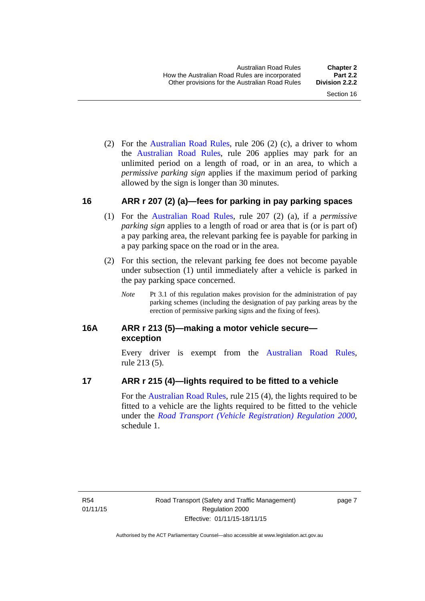(2) For the [Australian Road Rules,](http://www.legislation.act.gov.au//ni/db_37271/default.asp) rule 206 (2) (c), a driver to whom the [Australian Road Rules](http://www.legislation.act.gov.au//ni/db_37271/default.asp), rule 206 applies may park for an unlimited period on a length of road, or in an area, to which a *permissive parking sign* applies if the maximum period of parking allowed by the sign is longer than 30 minutes.

#### <span id="page-23-0"></span>**16 ARR r 207 (2) (a)—fees for parking in pay parking spaces**

- (1) For the [Australian Road Rules,](http://www.legislation.act.gov.au//ni/db_37271/default.asp) rule 207 (2) (a), if a *permissive parking sign* applies to a length of road or area that is (or is part of) a pay parking area, the relevant parking fee is payable for parking in a pay parking space on the road or in the area.
- (2) For this section, the relevant parking fee does not become payable under subsection (1) until immediately after a vehicle is parked in the pay parking space concerned.
	- *Note* Pt 3.1 of this regulation makes provision for the administration of pay parking schemes (including the designation of pay parking areas by the erection of permissive parking signs and the fixing of fees).

#### <span id="page-23-1"></span>**16A ARR r 213 (5)—making a motor vehicle secure exception**

Every driver is exempt from the [Australian Road Rules](http://www.legislation.act.gov.au//ni/db_37271/default.asp), rule 213 (5).

#### <span id="page-23-2"></span>**17 ARR r 215 (4)—lights required to be fitted to a vehicle**

For the [Australian Road Rules,](http://www.legislation.act.gov.au//ni/db_37271/default.asp) rule 215 (4), the lights required to be fitted to a vehicle are the lights required to be fitted to the vehicle under the *[Road Transport \(Vehicle Registration\) Regulation 2000](http://www.legislation.act.gov.au/sl/2000-12),*  schedule 1.

page 7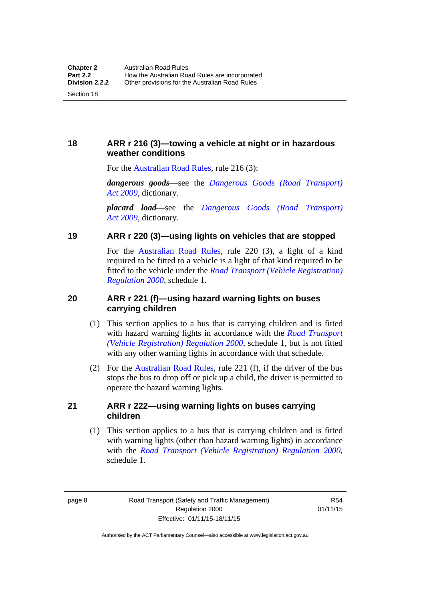#### <span id="page-24-0"></span>**18 ARR r 216 (3)—towing a vehicle at night or in hazardous weather conditions**

For the [Australian Road Rules,](http://www.legislation.act.gov.au//ni/db_37271/default.asp) rule 216 (3):

*dangerous goods*—see the *[Dangerous Goods \(Road Transport\)](http://www.legislation.act.gov.au/a/2009-34)  [Act 2009](http://www.legislation.act.gov.au/a/2009-34)*, dictionary.

*placard load*—see the *[Dangerous Goods \(Road Transport\)](http://www.legislation.act.gov.au/a/2009-34)  [Act 2009](http://www.legislation.act.gov.au/a/2009-34)*, dictionary.

#### <span id="page-24-1"></span>**19 ARR r 220 (3)—using lights on vehicles that are stopped**

For the [Australian Road Rules](http://www.legislation.act.gov.au//ni/db_37271/default.asp), rule 220 (3), a light of a kind required to be fitted to a vehicle is a light of that kind required to be fitted to the vehicle under the *[Road Transport \(Vehicle Registration\)](http://www.legislation.act.gov.au/sl/2000-12)  [Regulation 2000](http://www.legislation.act.gov.au/sl/2000-12)*, schedule 1.

#### <span id="page-24-2"></span>**20 ARR r 221 (f)—using hazard warning lights on buses carrying children**

- (1) This section applies to a bus that is carrying children and is fitted with hazard warning lights in accordance with the *[Road Transport](http://www.legislation.act.gov.au/sl/2000-12)  [\(Vehicle Registration\) Regulation 2000](http://www.legislation.act.gov.au/sl/2000-12)*, schedule 1, but is not fitted with any other warning lights in accordance with that schedule.
- (2) For the [Australian Road Rules](http://www.legislation.act.gov.au//ni/db_37271/default.asp), rule 221 (f), if the driver of the bus stops the bus to drop off or pick up a child, the driver is permitted to operate the hazard warning lights.

#### <span id="page-24-3"></span>**21 ARR r 222—using warning lights on buses carrying children**

(1) This section applies to a bus that is carrying children and is fitted with warning lights (other than hazard warning lights) in accordance with the *[Road Transport \(Vehicle Registration\) Regulation 2000](http://www.legislation.act.gov.au/sl/2000-12)*, schedule 1.

page 8 Road Transport (Safety and Traffic Management) Regulation 2000 Effective: 01/11/15-18/11/15

R54 01/11/15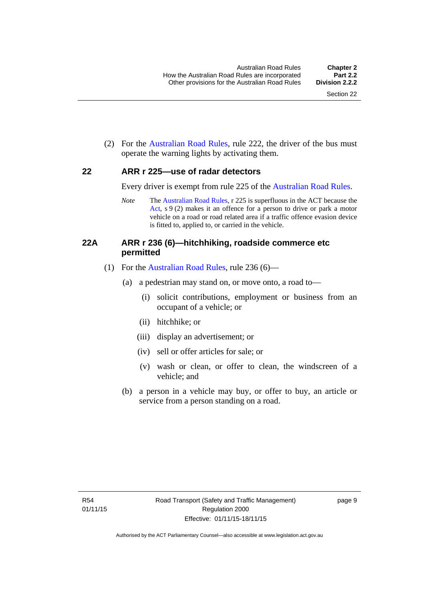(2) For the [Australian Road Rules](http://www.legislation.act.gov.au//ni/db_37271/default.asp), rule 222, the driver of the bus must operate the warning lights by activating them.

#### <span id="page-25-0"></span>**22 ARR r 225—use of radar detectors**

Every driver is exempt from rule 225 of the [Australian Road Rules.](http://www.legislation.act.gov.au//ni/db_37271/default.asp)

*Note* The [Australian Road Rules](http://www.legislation.act.gov.au//ni/db_37271/default.asp), r 225 is superfluous in the ACT because the [Act,](http://www.legislation.act.gov.au/a/1999-80/default.asp) s 9 (2) makes it an offence for a person to drive or park a motor vehicle on a road or road related area if a traffic offence evasion device is fitted to, applied to, or carried in the vehicle.

#### <span id="page-25-1"></span>**22A ARR r 236 (6)—hitchhiking, roadside commerce etc permitted**

- (1) For the [Australian Road Rules](http://www.legislation.act.gov.au//ni/db_37271/default.asp), rule 236 (6)—
	- (a) a pedestrian may stand on, or move onto, a road to—
		- (i) solicit contributions, employment or business from an occupant of a vehicle; or
		- (ii) hitchhike; or
		- (iii) display an advertisement; or
		- (iv) sell or offer articles for sale; or
		- (v) wash or clean, or offer to clean, the windscreen of a vehicle; and
	- (b) a person in a vehicle may buy, or offer to buy, an article or service from a person standing on a road.

page 9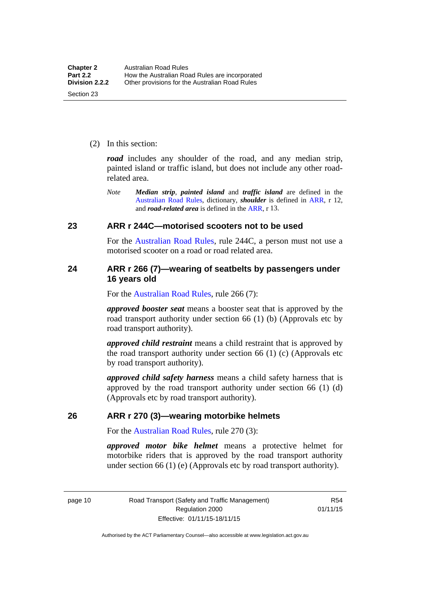(2) In this section:

*road* includes any shoulder of the road, and any median strip, painted island or traffic island, but does not include any other roadrelated area.

*Note Median strip*, *painted island* and *traffic island* are defined in the [Australian Road Rules](http://www.legislation.act.gov.au//ni/db_37271/default.asp), dictionary, *shoulder* is defined in [ARR,](http://www.legislation.act.gov.au//ni/db_37271/default.asp) r 12, and *road-related area* is defined in the [ARR,](http://www.legislation.act.gov.au//ni/db_37271/default.asp) r 13.

#### <span id="page-26-0"></span>**23 ARR r 244C—motorised scooters not to be used**

For the [Australian Road Rules](http://www.legislation.act.gov.au//ni/db_37271/default.asp), rule 244C, a person must not use a motorised scooter on a road or road related area.

#### <span id="page-26-1"></span>**24 ARR r 266 (7)—wearing of seatbelts by passengers under 16 years old**

For the [Australian Road Rules,](http://www.legislation.act.gov.au//ni/db_37271/default.asp) rule 266 (7):

*approved booster seat* means a booster seat that is approved by the road transport authority under section 66 (1) (b) (Approvals etc by road transport authority).

*approved child restraint* means a child restraint that is approved by the road transport authority under section 66 (1) (c) (Approvals etc by road transport authority).

*approved child safety harness* means a child safety harness that is approved by the road transport authority under section 66 (1) (d) (Approvals etc by road transport authority).

#### <span id="page-26-2"></span>**26 ARR r 270 (3)—wearing motorbike helmets**

For the [Australian Road Rules,](http://www.legislation.act.gov.au//ni/db_37271/default.asp) rule 270 (3):

*approved motor bike helmet* means a protective helmet for motorbike riders that is approved by the road transport authority under section 66 (1) (e) (Approvals etc by road transport authority).

page 10 Road Transport (Safety and Traffic Management) Regulation 2000 Effective: 01/11/15-18/11/15

R54 01/11/15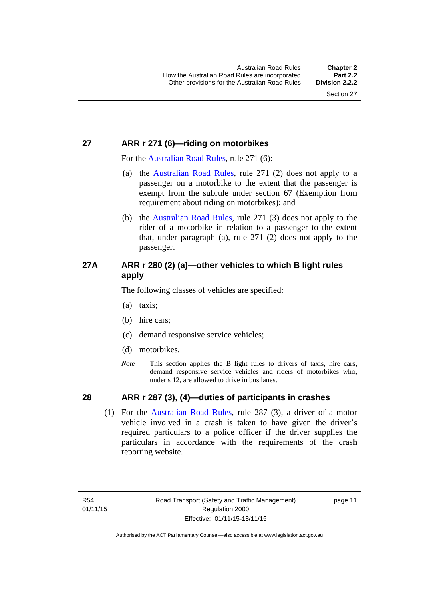#### <span id="page-27-0"></span>**27 ARR r 271 (6)—riding on motorbikes**

For the [Australian Road Rules](http://www.legislation.act.gov.au//ni/db_37271/default.asp), rule 271 (6):

- (a) the [Australian Road Rules,](http://www.legislation.act.gov.au//ni/db_37271/default.asp) rule 271 (2) does not apply to a passenger on a motorbike to the extent that the passenger is exempt from the subrule under section 67 (Exemption from requirement about riding on motorbikes); and
- (b) the [Australian Road Rules](http://www.legislation.act.gov.au//ni/db_37271/default.asp), rule 271 (3) does not apply to the rider of a motorbike in relation to a passenger to the extent that, under paragraph (a), rule 271 (2) does not apply to the passenger.

#### <span id="page-27-1"></span>**27A ARR r 280 (2) (a)—other vehicles to which B light rules apply**

The following classes of vehicles are specified:

- (a) taxis;
- (b) hire cars;
- (c) demand responsive service vehicles;
- (d) motorbikes.
- *Note* This section applies the B light rules to drivers of taxis, hire cars, demand responsive service vehicles and riders of motorbikes who, under s 12, are allowed to drive in bus lanes.

#### <span id="page-27-2"></span>**28 ARR r 287 (3), (4)—duties of participants in crashes**

 (1) For the [Australian Road Rules,](http://www.legislation.act.gov.au//ni/db_37271/default.asp) rule 287 (3), a driver of a motor vehicle involved in a crash is taken to have given the driver's required particulars to a police officer if the driver supplies the particulars in accordance with the requirements of the crash reporting website.

page 11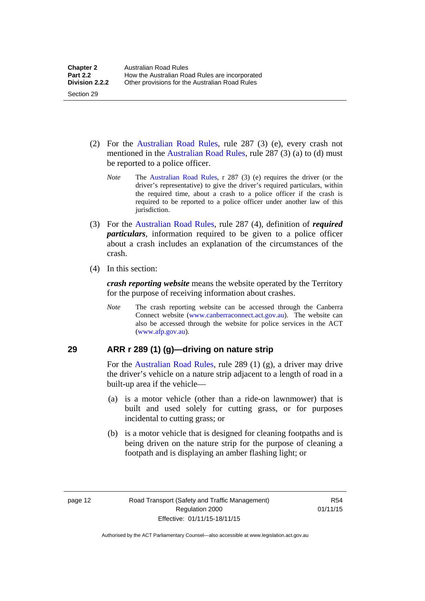- (2) For the [Australian Road Rules](http://www.legislation.act.gov.au//ni/db_37271/default.asp), rule 287 (3) (e), every crash not mentioned in the [Australian Road Rules,](http://www.legislation.act.gov.au//ni/db_37271/default.asp) rule 287 (3) (a) to (d) must be reported to a police officer.
	- *Note* The [Australian Road Rules](http://www.legislation.act.gov.au//ni/db_37271/default.asp), r 287 (3) (e) requires the driver (or the driver's representative) to give the driver's required particulars, within the required time, about a crash to a police officer if the crash is required to be reported to a police officer under another law of this jurisdiction.
- (3) For the [Australian Road Rules](http://www.legislation.act.gov.au//ni/db_37271/default.asp), rule 287 (4), definition of *required particulars*, information required to be given to a police officer about a crash includes an explanation of the circumstances of the crash.
- (4) In this section:

Section 29

*crash reporting website* means the website operated by the Territory for the purpose of receiving information about crashes.

*Note* The crash reporting website can be accessed through the Canberra Connect website [\(www.canberraconnect.act.gov.au](http://www.canberraconnect.act.gov.au/)). The website can also be accessed through the website for police services in the ACT [\(www.afp.gov.au\)](http://www.afp.gov.au/).

#### <span id="page-28-0"></span>**29 ARR r 289 (1) (g)—driving on nature strip**

For the [Australian Road Rules](http://www.legislation.act.gov.au//ni/db_37271/default.asp), rule 289 (1) (g), a driver may drive the driver's vehicle on a nature strip adjacent to a length of road in a built-up area if the vehicle—

- (a) is a motor vehicle (other than a ride-on lawnmower) that is built and used solely for cutting grass, or for purposes incidental to cutting grass; or
- (b) is a motor vehicle that is designed for cleaning footpaths and is being driven on the nature strip for the purpose of cleaning a footpath and is displaying an amber flashing light; or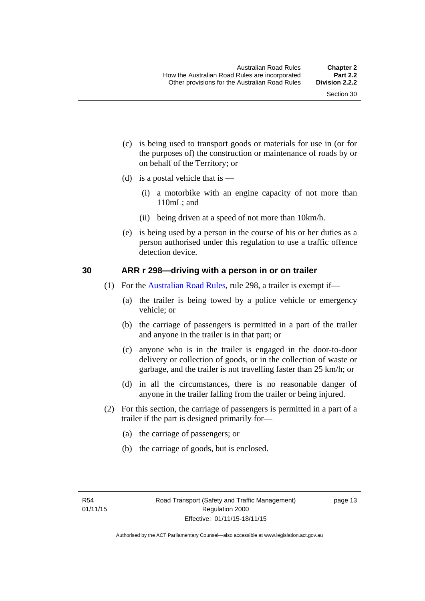- (c) is being used to transport goods or materials for use in (or for the purposes of) the construction or maintenance of roads by or on behalf of the Territory; or
- (d) is a postal vehicle that is  $-$ 
	- (i) a motorbike with an engine capacity of not more than 110mL; and
	- (ii) being driven at a speed of not more than 10km/h.
- (e) is being used by a person in the course of his or her duties as a person authorised under this regulation to use a traffic offence detection device.

#### <span id="page-29-0"></span>**30 ARR r 298—driving with a person in or on trailer**

- (1) For the [Australian Road Rules](http://www.legislation.act.gov.au//ni/db_37271/default.asp), rule 298, a trailer is exempt if—
	- (a) the trailer is being towed by a police vehicle or emergency vehicle; or
	- (b) the carriage of passengers is permitted in a part of the trailer and anyone in the trailer is in that part; or
	- (c) anyone who is in the trailer is engaged in the door-to-door delivery or collection of goods, or in the collection of waste or garbage, and the trailer is not travelling faster than 25 km/h; or
	- (d) in all the circumstances, there is no reasonable danger of anyone in the trailer falling from the trailer or being injured.
- (2) For this section, the carriage of passengers is permitted in a part of a trailer if the part is designed primarily for—
	- (a) the carriage of passengers; or
	- (b) the carriage of goods, but is enclosed.

page 13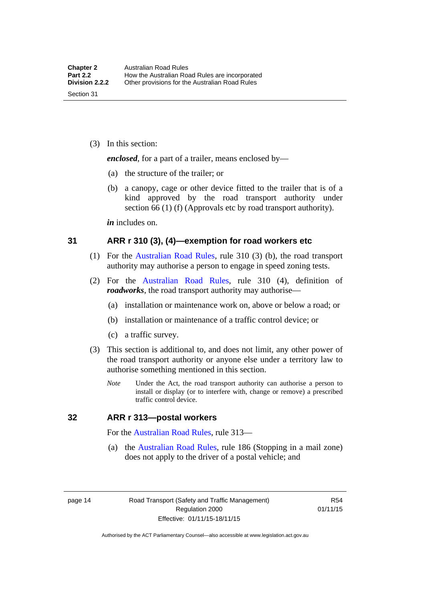(3) In this section:

*enclosed*, for a part of a trailer, means enclosed by—

- (a) the structure of the trailer; or
- (b) a canopy, cage or other device fitted to the trailer that is of a kind approved by the road transport authority under section 66 (1) (f) (Approvals etc by road transport authority).

*in* includes on.

#### <span id="page-30-0"></span>**31 ARR r 310 (3), (4)—exemption for road workers etc**

- (1) For the [Australian Road Rules](http://www.legislation.act.gov.au//ni/db_37271/default.asp), rule 310 (3) (b), the road transport authority may authorise a person to engage in speed zoning tests.
- (2) For the [Australian Road Rules,](http://www.legislation.act.gov.au//ni/db_37271/default.asp) rule 310 (4), definition of *roadworks*, the road transport authority may authorise—
	- (a) installation or maintenance work on, above or below a road; or
	- (b) installation or maintenance of a traffic control device; or
	- (c) a traffic survey.
- (3) This section is additional to, and does not limit, any other power of the road transport authority or anyone else under a territory law to authorise something mentioned in this section.
	- *Note* Under the Act, the road transport authority can authorise a person to install or display (or to interfere with, change or remove) a prescribed traffic control device.

#### <span id="page-30-1"></span>**32 ARR r 313—postal workers**

For the [Australian Road Rules,](http://www.legislation.act.gov.au//ni/db_37271/default.asp) rule 313—

 (a) the [Australian Road Rules,](http://www.legislation.act.gov.au//ni/db_37271/default.asp) rule 186 (Stopping in a mail zone) does not apply to the driver of a postal vehicle; and

page 14 Road Transport (Safety and Traffic Management) Regulation 2000 Effective: 01/11/15-18/11/15

R54 01/11/15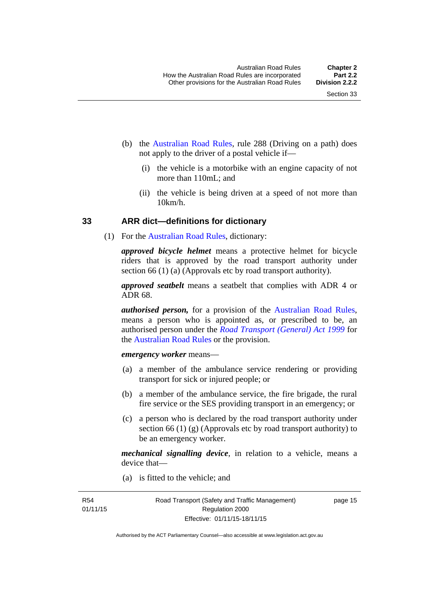- (b) the [Australian Road Rules](http://www.legislation.act.gov.au//ni/db_37271/default.asp), rule 288 (Driving on a path) does not apply to the driver of a postal vehicle if—
	- (i) the vehicle is a motorbike with an engine capacity of not more than 110mL; and
	- (ii) the vehicle is being driven at a speed of not more than  $10km/h$ .

#### <span id="page-31-0"></span>**33 ARR dict—definitions for dictionary**

(1) For the [Australian Road Rules](http://www.legislation.act.gov.au//ni/db_37271/default.asp), dictionary:

*approved bicycle helmet* means a protective helmet for bicycle riders that is approved by the road transport authority under section 66 (1) (a) (Approvals etc by road transport authority).

*approved seatbelt* means a seatbelt that complies with ADR 4 or ADR 68.

*authorised person,* for a provision of the [Australian Road Rules](http://www.legislation.act.gov.au//ni/db_37271/default.asp), means a person who is appointed as, or prescribed to be, an authorised person under the *[Road Transport \(General\) Act 1999](http://www.legislation.act.gov.au/a/1999-77)* for the [Australian Road Rules](http://www.legislation.act.gov.au//ni/db_37271/default.asp) or the provision.

#### *emergency worker* means—

- (a) a member of the ambulance service rendering or providing transport for sick or injured people; or
- (b) a member of the ambulance service, the fire brigade, the rural fire service or the SES providing transport in an emergency; or
- (c) a person who is declared by the road transport authority under section 66 (1) (g) (Approvals etc by road transport authority) to be an emergency worker.

*mechanical signalling device*, in relation to a vehicle, means a device that—

(a) is fitted to the vehicle; and

page 15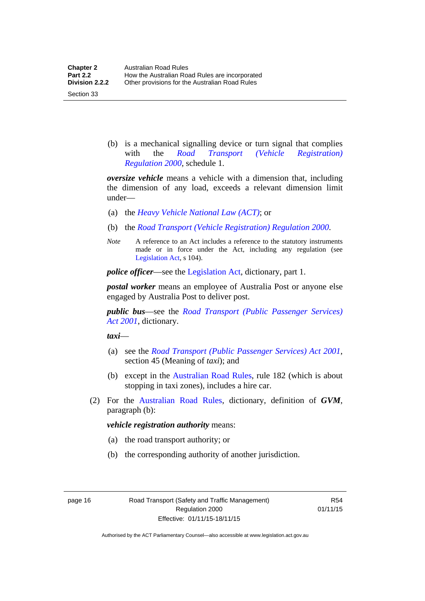Section 33

 (b) is a mechanical signalling device or turn signal that complies with the *[Road Transport \(Vehicle Registration\)](http://www.legislation.act.gov.au/sl/2000-12)  [Regulation 2000](http://www.legislation.act.gov.au/sl/2000-12)*, schedule 1.

*oversize vehicle* means a vehicle with a dimension that, including the dimension of any load, exceeds a relevant dimension limit under—

- (a) the *[Heavy Vehicle National Law \(ACT\)](http://www.legislation.act.gov.au/a/db_49155/default.asp)*; or
- (b) the *[Road Transport \(Vehicle Registration\) Regulation 2000](http://www.legislation.act.gov.au/sl/2000-12)*.
- *Note* A reference to an Act includes a reference to the statutory instruments made or in force under the Act, including any regulation (see [Legislation Act,](http://www.legislation.act.gov.au/a/2001-14) s 104).

*police officer*—see the [Legislation Act](http://www.legislation.act.gov.au/a/2001-14), dictionary, part 1.

*postal worker* means an employee of Australia Post or anyone else engaged by Australia Post to deliver post.

*public bus*—see the *[Road Transport \(Public Passenger Services\)](http://www.legislation.act.gov.au/a/2001-62)  [Act 2001](http://www.legislation.act.gov.au/a/2001-62)*, dictionary.

*taxi*—

- (a) see the *[Road Transport \(Public Passenger Services\) Act 2001](http://www.legislation.act.gov.au/a/2001-62)*, section 45 (Meaning of *taxi*); and
- (b) except in the [Australian Road Rules,](http://www.legislation.act.gov.au//ni/db_37271/default.asp) rule 182 (which is about stopping in taxi zones), includes a hire car.
- (2) For the [Australian Road Rules](http://www.legislation.act.gov.au//ni/db_37271/default.asp), dictionary, definition of *GVM*, paragraph (b):

#### *vehicle registration authority* means:

- (a) the road transport authority; or
- (b) the corresponding authority of another jurisdiction.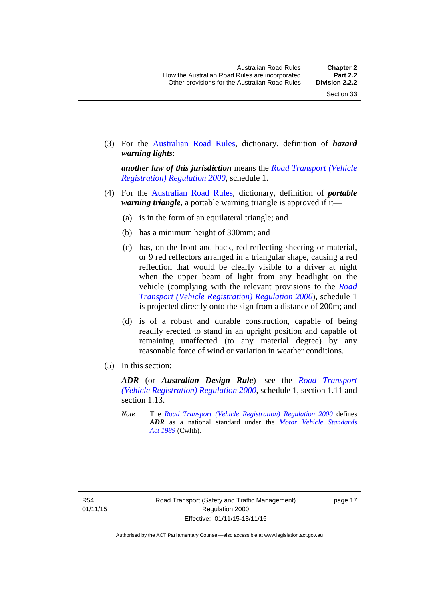(3) For the [Australian Road Rules,](http://www.legislation.act.gov.au//ni/db_37271/default.asp) dictionary, definition of *hazard warning lights*:

*another law of this jurisdiction* means the *[Road Transport \(Vehicle](http://www.legislation.act.gov.au/sl/2000-12)  [Registration\) Regulation 2000](http://www.legislation.act.gov.au/sl/2000-12)*, schedule 1.

- (4) For the [Australian Road Rules](http://www.legislation.act.gov.au//ni/db_37271/default.asp), dictionary, definition of *portable warning triangle*, a portable warning triangle is approved if it—
	- (a) is in the form of an equilateral triangle; and
	- (b) has a minimum height of 300mm; and
	- (c) has, on the front and back, red reflecting sheeting or material, or 9 red reflectors arranged in a triangular shape, causing a red reflection that would be clearly visible to a driver at night when the upper beam of light from any headlight on the vehicle (complying with the relevant provisions to the *[Road](http://www.legislation.act.gov.au/sl/2000-12)  [Transport \(Vehicle Registration\) Regulation 2000](http://www.legislation.act.gov.au/sl/2000-12)*), schedule 1 is projected directly onto the sign from a distance of 200m; and
	- (d) is of a robust and durable construction, capable of being readily erected to stand in an upright position and capable of remaining unaffected (to any material degree) by any reasonable force of wind or variation in weather conditions.
- (5) In this section:

*ADR* (or *Australian Design Rule*)—see the *[Road Transport](http://www.legislation.act.gov.au/sl/2000-12)  [\(Vehicle Registration\) Regulation 2000](http://www.legislation.act.gov.au/sl/2000-12)*, schedule 1, section 1.11 and section 1.13.

*Note* The *[Road Transport \(Vehicle Registration\) Regulation 2000](http://www.legislation.act.gov.au/sl/2000-12)* defines *ADR* as a national standard under the *[Motor Vehicle Standards](http://www.comlaw.gov.au/Series/C2004A03813)  [Act 1989](http://www.comlaw.gov.au/Series/C2004A03813)* (Cwlth).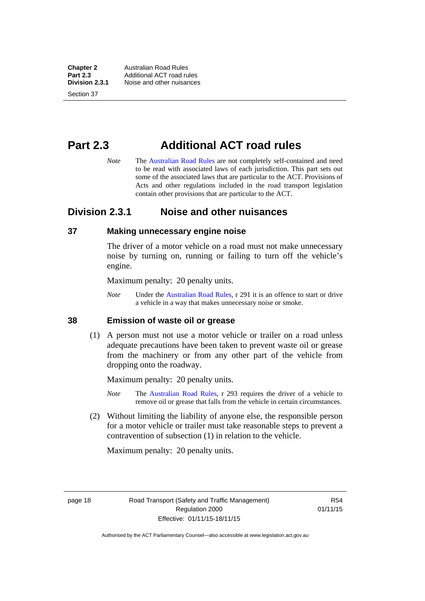**Chapter 2 Australian Road Rules**<br>**Part 2.3 Additional ACT road rules Part 2.3** Additional ACT road rules<br>**Division 2.3.1** Noise and other nuisances **Division 2.3.1** Noise and other nuisances

Section 37

# <span id="page-34-0"></span>**Part 2.3 Additional ACT road rules**

*Note* The [Australian Road Rules](http://www.legislation.act.gov.au//ni/db_37271/default.asp) are not completely self-contained and need to be read with associated laws of each jurisdiction. This part sets out some of the associated laws that are particular to the ACT. Provisions of Acts and other regulations included in the road transport legislation contain other provisions that are particular to the ACT.

#### <span id="page-34-1"></span>**Division 2.3.1 Noise and other nuisances**

#### <span id="page-34-2"></span>**37 Making unnecessary engine noise**

The driver of a motor vehicle on a road must not make unnecessary noise by turning on, running or failing to turn off the vehicle's engine.

Maximum penalty: 20 penalty units.

*Note* Under the [Australian Road Rules,](http://www.legislation.act.gov.au//ni/db_37271/default.asp) r 291 it is an offence to start or drive a vehicle in a way that makes unnecessary noise or smoke.

#### <span id="page-34-3"></span>**38 Emission of waste oil or grease**

 (1) A person must not use a motor vehicle or trailer on a road unless adequate precautions have been taken to prevent waste oil or grease from the machinery or from any other part of the vehicle from dropping onto the roadway.

Maximum penalty: 20 penalty units.

- *Note* The [Australian Road Rules,](http://www.legislation.act.gov.au//ni/db_37271/default.asp) r 293 requires the driver of a vehicle to remove oil or grease that falls from the vehicle in certain circumstances.
- (2) Without limiting the liability of anyone else, the responsible person for a motor vehicle or trailer must take reasonable steps to prevent a contravention of subsection (1) in relation to the vehicle.

Maximum penalty: 20 penalty units.

page 18 Road Transport (Safety and Traffic Management) Regulation 2000 Effective: 01/11/15-18/11/15

R54 01/11/15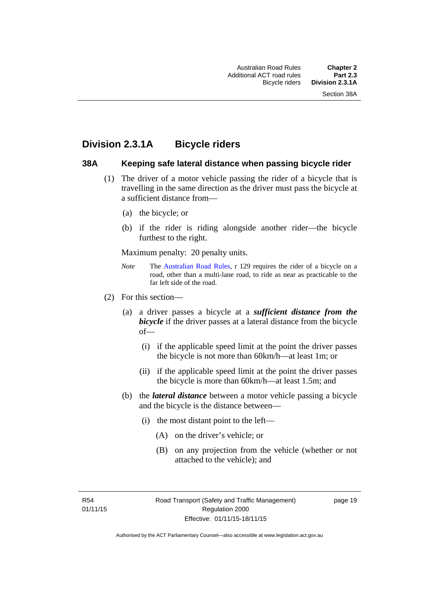### <span id="page-35-0"></span>**Division 2.3.1A Bicycle riders**

#### <span id="page-35-1"></span>**38A Keeping safe lateral distance when passing bicycle rider**

- (1) The driver of a motor vehicle passing the rider of a bicycle that is travelling in the same direction as the driver must pass the bicycle at a sufficient distance from—
	- (a) the bicycle; or
	- (b) if the rider is riding alongside another rider—the bicycle furthest to the right.

Maximum penalty: 20 penalty units.

- *Note* **The [Australian Road Rules](http://www.legislation.act.gov.au//ni/db_37271/default.asp), r 129 requires the rider of a bicycle on a** road, other than a multi-lane road, to ride as near as practicable to the far left side of the road.
- (2) For this section—
	- (a) a driver passes a bicycle at a *sufficient distance from the bicycle* if the driver passes at a lateral distance from the bicycle of—
		- (i) if the applicable speed limit at the point the driver passes the bicycle is not more than 60km/h—at least 1m; or
		- (ii) if the applicable speed limit at the point the driver passes the bicycle is more than 60km/h—at least 1.5m; and
	- (b) the *lateral distance* between a motor vehicle passing a bicycle and the bicycle is the distance between—
		- (i) the most distant point to the left—
			- (A) on the driver's vehicle; or
			- (B) on any projection from the vehicle (whether or not attached to the vehicle); and

R54 01/11/15 page 19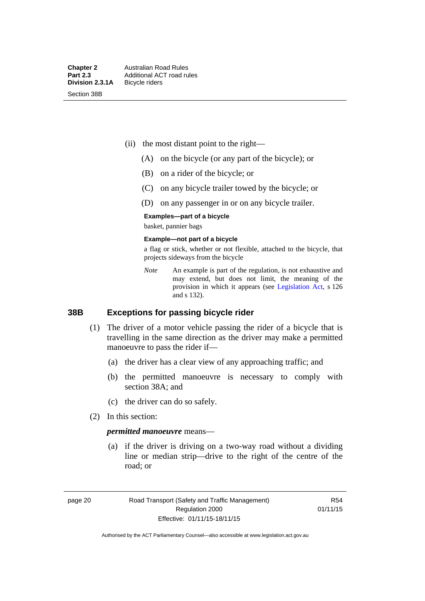Section 38B

- (ii) the most distant point to the right—
	- (A) on the bicycle (or any part of the bicycle); or
	- (B) on a rider of the bicycle; or
	- (C) on any bicycle trailer towed by the bicycle; or
	- (D) on any passenger in or on any bicycle trailer.

#### **Examples—part of a bicycle**

basket, pannier bags

#### **Example—not part of a bicycle**

a flag or stick, whether or not flexible, attached to the bicycle, that projects sideways from the bicycle

*Note* An example is part of the regulation, is not exhaustive and may extend, but does not limit, the meaning of the provision in which it appears (see [Legislation Act](http://www.legislation.act.gov.au/a/2001-14), s 126 and s 132).

#### **38B Exceptions for passing bicycle rider**

- (1) The driver of a motor vehicle passing the rider of a bicycle that is travelling in the same direction as the driver may make a permitted manoeuvre to pass the rider if—
	- (a) the driver has a clear view of any approaching traffic; and
	- (b) the permitted manoeuvre is necessary to comply with section 38A; and
	- (c) the driver can do so safely.
- (2) In this section:

#### *permitted manoeuvre* means—

 (a) if the driver is driving on a two-way road without a dividing line or median strip—drive to the right of the centre of the road; or

page 20 Road Transport (Safety and Traffic Management) Regulation 2000 Effective: 01/11/15-18/11/15

R54 01/11/15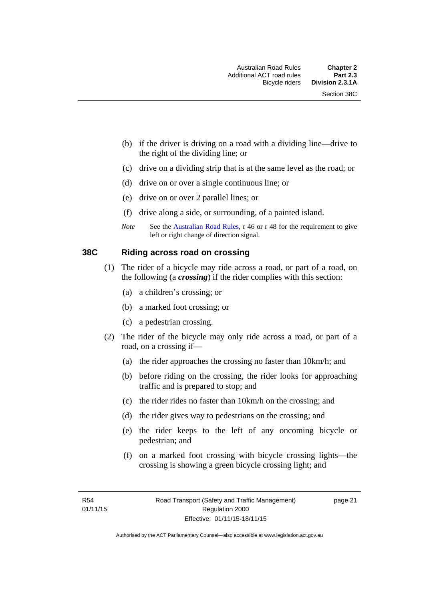- (b) if the driver is driving on a road with a dividing line—drive to the right of the dividing line; or
- (c) drive on a dividing strip that is at the same level as the road; or
- (d) drive on or over a single continuous line; or
- (e) drive on or over 2 parallel lines; or
- (f) drive along a side, or surrounding, of a painted island.
- *Note* See the [Australian Road Rules,](http://www.legislation.act.gov.au//ni/db_37271/default.asp) r 46 or r 48 for the requirement to give left or right change of direction signal.

### **38C Riding across road on crossing**

- (1) The rider of a bicycle may ride across a road, or part of a road, on the following (a *crossing*) if the rider complies with this section:
	- (a) a children's crossing; or
	- (b) a marked foot crossing; or
	- (c) a pedestrian crossing.
- (2) The rider of the bicycle may only ride across a road, or part of a road, on a crossing if—
	- (a) the rider approaches the crossing no faster than 10km/h; and
	- (b) before riding on the crossing, the rider looks for approaching traffic and is prepared to stop; and
	- (c) the rider rides no faster than 10km/h on the crossing; and
	- (d) the rider gives way to pedestrians on the crossing; and
	- (e) the rider keeps to the left of any oncoming bicycle or pedestrian; and
	- (f) on a marked foot crossing with bicycle crossing lights—the crossing is showing a green bicycle crossing light; and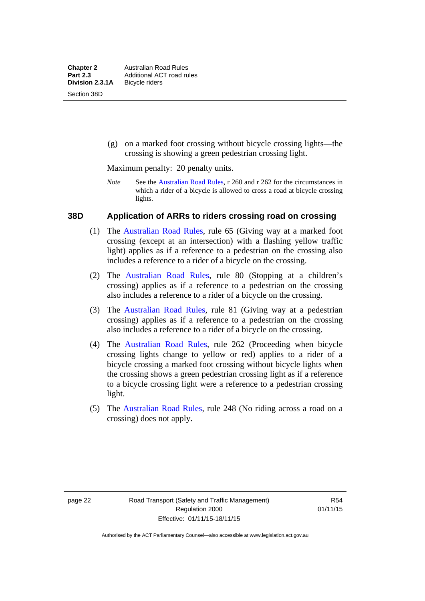(g) on a marked foot crossing without bicycle crossing lights—the crossing is showing a green pedestrian crossing light.

Maximum penalty: 20 penalty units.

*Note* See the [Australian Road Rules](http://www.legislation.act.gov.au//ni/db_37271/default.asp), r 260 and r 262 for the circumstances in which a rider of a bicycle is allowed to cross a road at bicycle crossing lights.

# **38D Application of ARRs to riders crossing road on crossing**

- (1) The [Australian Road Rules,](http://www.legislation.act.gov.au//ni/db_37271/default.asp) rule 65 (Giving way at a marked foot crossing (except at an intersection) with a flashing yellow traffic light) applies as if a reference to a pedestrian on the crossing also includes a reference to a rider of a bicycle on the crossing.
- (2) The [Australian Road Rules](http://www.legislation.act.gov.au//ni/db_37271/default.asp), rule 80 (Stopping at a children's crossing) applies as if a reference to a pedestrian on the crossing also includes a reference to a rider of a bicycle on the crossing.
- (3) The [Australian Road Rules,](http://www.legislation.act.gov.au//ni/db_37271/default.asp) rule 81 (Giving way at a pedestrian crossing) applies as if a reference to a pedestrian on the crossing also includes a reference to a rider of a bicycle on the crossing.
- (4) The [Australian Road Rules](http://www.legislation.act.gov.au//ni/db_37271/default.asp), rule 262 (Proceeding when bicycle crossing lights change to yellow or red) applies to a rider of a bicycle crossing a marked foot crossing without bicycle lights when the crossing shows a green pedestrian crossing light as if a reference to a bicycle crossing light were a reference to a pedestrian crossing light.
- (5) The [Australian Road Rules](http://www.legislation.act.gov.au//ni/db_37271/default.asp), rule 248 (No riding across a road on a crossing) does not apply.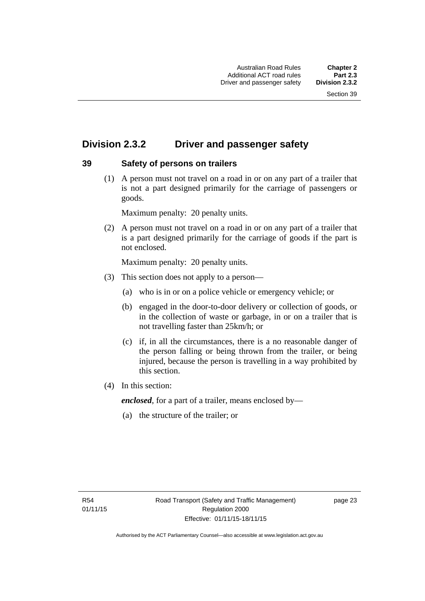# **Division 2.3.2 Driver and passenger safety**

# **39 Safety of persons on trailers**

 (1) A person must not travel on a road in or on any part of a trailer that is not a part designed primarily for the carriage of passengers or goods.

Maximum penalty: 20 penalty units.

 (2) A person must not travel on a road in or on any part of a trailer that is a part designed primarily for the carriage of goods if the part is not enclosed.

Maximum penalty: 20 penalty units.

- (3) This section does not apply to a person—
	- (a) who is in or on a police vehicle or emergency vehicle; or
	- (b) engaged in the door-to-door delivery or collection of goods, or in the collection of waste or garbage, in or on a trailer that is not travelling faster than 25km/h; or
	- (c) if, in all the circumstances, there is a no reasonable danger of the person falling or being thrown from the trailer, or being injured, because the person is travelling in a way prohibited by this section.
- (4) In this section:

*enclosed*, for a part of a trailer, means enclosed by—

(a) the structure of the trailer; or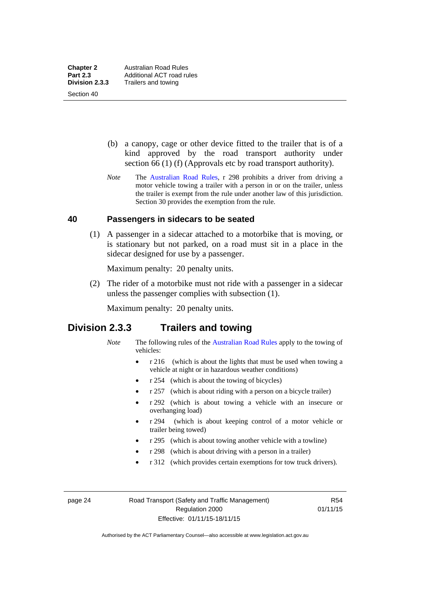Section 40

 (b) a canopy, cage or other device fitted to the trailer that is of a kind approved by the road transport authority under section 66 (1) (f) (Approvals etc by road transport authority).

*Note* The [Australian Road Rules](http://www.legislation.act.gov.au//ni/db_37271/default.asp), r 298 prohibits a driver from driving a motor vehicle towing a trailer with a person in or on the trailer, unless the trailer is exempt from the rule under another law of this jurisdiction. Section 30 provides the exemption from the rule.

# **40 Passengers in sidecars to be seated**

 (1) A passenger in a sidecar attached to a motorbike that is moving, or is stationary but not parked, on a road must sit in a place in the sidecar designed for use by a passenger.

Maximum penalty: 20 penalty units.

 (2) The rider of a motorbike must not ride with a passenger in a sidecar unless the passenger complies with subsection (1).

Maximum penalty: 20 penalty units.

# **Division 2.3.3 Trailers and towing**

- *Note* The following rules of the [Australian Road Rules](http://www.legislation.act.gov.au//ni/db_37271/default.asp) apply to the towing of vehicles:
	- r 216 (which is about the lights that must be used when towing a vehicle at night or in hazardous weather conditions)
	- r 254 (which is about the towing of bicycles)
	- r 257 (which is about riding with a person on a bicycle trailer)
	- r 292 (which is about towing a vehicle with an insecure or overhanging load)
	- r 294 (which is about keeping control of a motor vehicle or trailer being towed)
	- r 295 (which is about towing another vehicle with a towline)
	- r 298 (which is about driving with a person in a trailer)
	- r 312 (which provides certain exemptions for tow truck drivers).

page 24 Road Transport (Safety and Traffic Management) Regulation 2000 Effective: 01/11/15-18/11/15

R54 01/11/15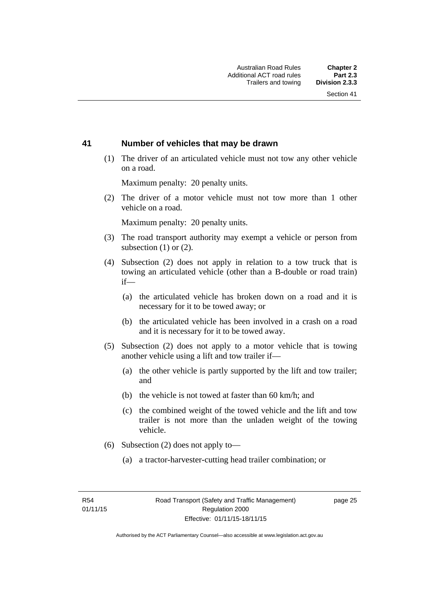# **41 Number of vehicles that may be drawn**

 (1) The driver of an articulated vehicle must not tow any other vehicle on a road.

Maximum penalty: 20 penalty units.

 (2) The driver of a motor vehicle must not tow more than 1 other vehicle on a road.

Maximum penalty: 20 penalty units.

- (3) The road transport authority may exempt a vehicle or person from subsection (1) or (2).
- (4) Subsection (2) does not apply in relation to a tow truck that is towing an articulated vehicle (other than a B-double or road train) if—
	- (a) the articulated vehicle has broken down on a road and it is necessary for it to be towed away; or
	- (b) the articulated vehicle has been involved in a crash on a road and it is necessary for it to be towed away.
- (5) Subsection (2) does not apply to a motor vehicle that is towing another vehicle using a lift and tow trailer if—
	- (a) the other vehicle is partly supported by the lift and tow trailer; and
	- (b) the vehicle is not towed at faster than 60 km/h; and
	- (c) the combined weight of the towed vehicle and the lift and tow trailer is not more than the unladen weight of the towing vehicle.
- (6) Subsection (2) does not apply to—
	- (a) a tractor-harvester-cutting head trailer combination; or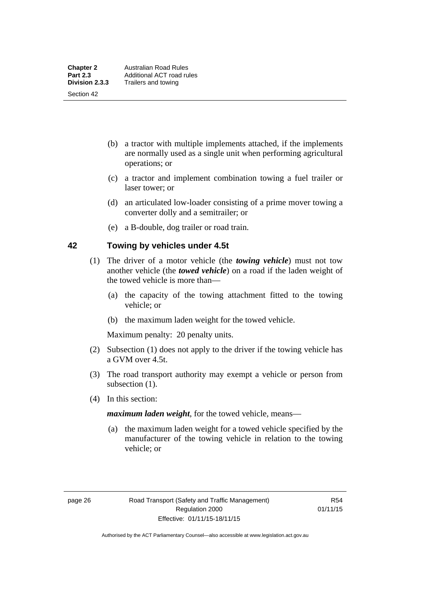Section 42

- (b) a tractor with multiple implements attached, if the implements are normally used as a single unit when performing agricultural operations; or
- (c) a tractor and implement combination towing a fuel trailer or laser tower; or
- (d) an articulated low-loader consisting of a prime mover towing a converter dolly and a semitrailer; or
- (e) a B-double, dog trailer or road train.

# **42 Towing by vehicles under 4.5t**

- (1) The driver of a motor vehicle (the *towing vehicle*) must not tow another vehicle (the *towed vehicle*) on a road if the laden weight of the towed vehicle is more than—
	- (a) the capacity of the towing attachment fitted to the towing vehicle; or
	- (b) the maximum laden weight for the towed vehicle.

Maximum penalty: 20 penalty units.

- (2) Subsection (1) does not apply to the driver if the towing vehicle has a GVM over 4.5t.
- (3) The road transport authority may exempt a vehicle or person from subsection  $(1)$ .
- (4) In this section:

*maximum laden weight*, for the towed vehicle, means—

 (a) the maximum laden weight for a towed vehicle specified by the manufacturer of the towing vehicle in relation to the towing vehicle; or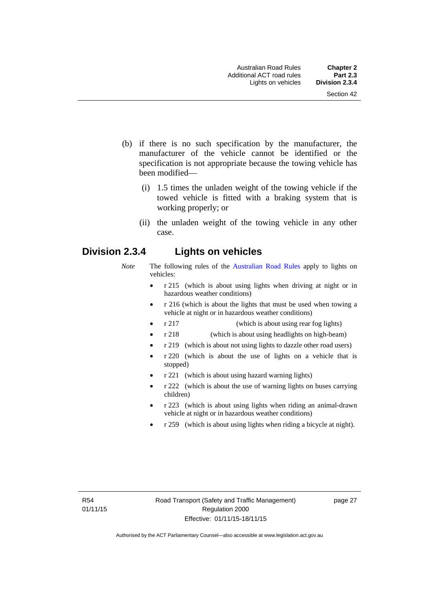- (b) if there is no such specification by the manufacturer, the manufacturer of the vehicle cannot be identified or the specification is not appropriate because the towing vehicle has been modified—
	- (i) 1.5 times the unladen weight of the towing vehicle if the towed vehicle is fitted with a braking system that is working properly; or
	- (ii) the unladen weight of the towing vehicle in any other case.

# **Division 2.3.4 Lights on vehicles**

- *Note* The following rules of the [Australian Road Rules](http://www.legislation.act.gov.au//ni/db_37271/default.asp) apply to lights on vehicles:
	- r 215 (which is about using lights when driving at night or in hazardous weather conditions)
	- r 216 (which is about the lights that must be used when towing a vehicle at night or in hazardous weather conditions)
	- r 217 (which is about using rear fog lights)
	- r 218 (which is about using headlights on high-beam)
	- r 219 (which is about not using lights to dazzle other road users)
	- r 220 (which is about the use of lights on a vehicle that is stopped)
	- r 221 (which is about using hazard warning lights)
	- r 222 (which is about the use of warning lights on buses carrying children)
	- r 223 (which is about using lights when riding an animal-drawn vehicle at night or in hazardous weather conditions)
	- r 259 (which is about using lights when riding a bicycle at night).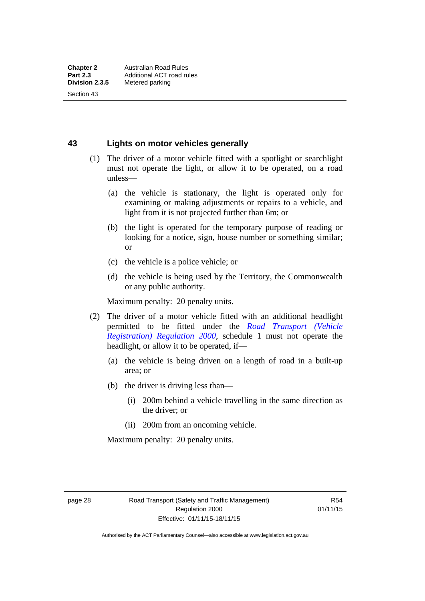Section 43

**43 Lights on motor vehicles generally**

- (1) The driver of a motor vehicle fitted with a spotlight or searchlight must not operate the light, or allow it to be operated, on a road unless—
	- (a) the vehicle is stationary, the light is operated only for examining or making adjustments or repairs to a vehicle, and light from it is not projected further than 6m; or
	- (b) the light is operated for the temporary purpose of reading or looking for a notice, sign, house number or something similar; or
	- (c) the vehicle is a police vehicle; or
	- (d) the vehicle is being used by the Territory, the Commonwealth or any public authority.

Maximum penalty: 20 penalty units.

- (2) The driver of a motor vehicle fitted with an additional headlight permitted to be fitted under the *[Road Transport \(Vehicle](http://www.legislation.act.gov.au/sl/2000-12)  [Registration\) Regulation 2000](http://www.legislation.act.gov.au/sl/2000-12)*, schedule 1 must not operate the headlight, or allow it to be operated, if—
	- (a) the vehicle is being driven on a length of road in a built-up area; or
	- (b) the driver is driving less than—
		- (i) 200m behind a vehicle travelling in the same direction as the driver; or
		- (ii) 200m from an oncoming vehicle.

Maximum penalty: 20 penalty units.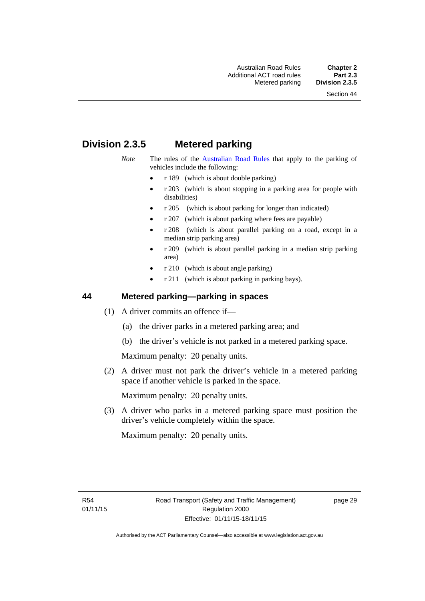# **Division 2.3.5 Metered parking**

- *Note* The rules of the [Australian Road Rules](http://www.legislation.act.gov.au//ni/db_37271/default.asp) that apply to the parking of vehicles include the following:
	- r 189 (which is about double parking)
	- r 203 (which is about stopping in a parking area for people with disabilities)
	- r 205 (which is about parking for longer than indicated)
	- r 207 (which is about parking where fees are payable)
	- r 208 (which is about parallel parking on a road, except in a median strip parking area)
	- r 209 (which is about parallel parking in a median strip parking area)
	- r 210 (which is about angle parking)
	- r 211 (which is about parking in parking bays).

# **44 Metered parking—parking in spaces**

- (1) A driver commits an offence if—
	- (a) the driver parks in a metered parking area; and
	- (b) the driver's vehicle is not parked in a metered parking space.

Maximum penalty: 20 penalty units.

 (2) A driver must not park the driver's vehicle in a metered parking space if another vehicle is parked in the space.

Maximum penalty: 20 penalty units.

 (3) A driver who parks in a metered parking space must position the driver's vehicle completely within the space.

Maximum penalty: 20 penalty units.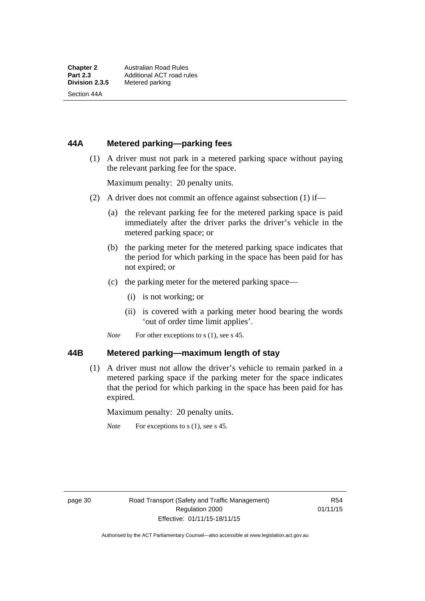Section 44A

# **44A Metered parking—parking fees**

 (1) A driver must not park in a metered parking space without paying the relevant parking fee for the space.

Maximum penalty: 20 penalty units.

- (2) A driver does not commit an offence against subsection (1) if—
	- (a) the relevant parking fee for the metered parking space is paid immediately after the driver parks the driver's vehicle in the metered parking space; or
	- (b) the parking meter for the metered parking space indicates that the period for which parking in the space has been paid for has not expired; or
	- (c) the parking meter for the metered parking space—
		- (i) is not working; or
		- (ii) is covered with a parking meter hood bearing the words 'out of order time limit applies'.
	- *Note* For other exceptions to s (1), see s 45.

# **44B Metered parking—maximum length of stay**

 (1) A driver must not allow the driver's vehicle to remain parked in a metered parking space if the parking meter for the space indicates that the period for which parking in the space has been paid for has expired.

Maximum penalty: 20 penalty units.

*Note* For exceptions to s (1), see s 45.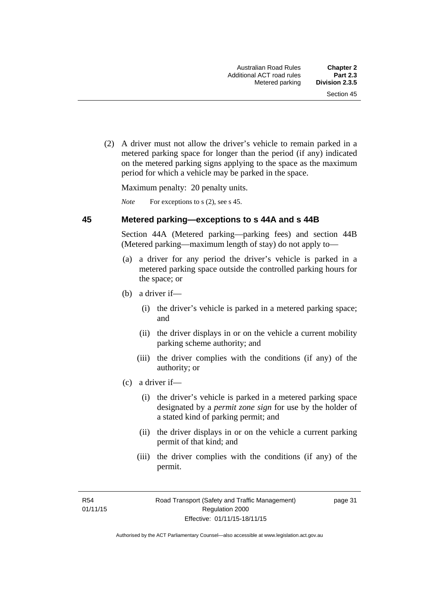(2) A driver must not allow the driver's vehicle to remain parked in a metered parking space for longer than the period (if any) indicated on the metered parking signs applying to the space as the maximum period for which a vehicle may be parked in the space.

Maximum penalty: 20 penalty units.

*Note* For exceptions to s (2), see s 45.

#### **45 Metered parking—exceptions to s 44A and s 44B**

Section 44A (Metered parking—parking fees) and section 44B (Metered parking—maximum length of stay) do not apply to—

- (a) a driver for any period the driver's vehicle is parked in a metered parking space outside the controlled parking hours for the space; or
- (b) a driver if—
	- (i) the driver's vehicle is parked in a metered parking space; and
	- (ii) the driver displays in or on the vehicle a current mobility parking scheme authority; and
	- (iii) the driver complies with the conditions (if any) of the authority; or
- (c) a driver if—
	- (i) the driver's vehicle is parked in a metered parking space designated by a *permit zone sign* for use by the holder of a stated kind of parking permit; and
	- (ii) the driver displays in or on the vehicle a current parking permit of that kind; and
	- (iii) the driver complies with the conditions (if any) of the permit.

R54 01/11/15 page 31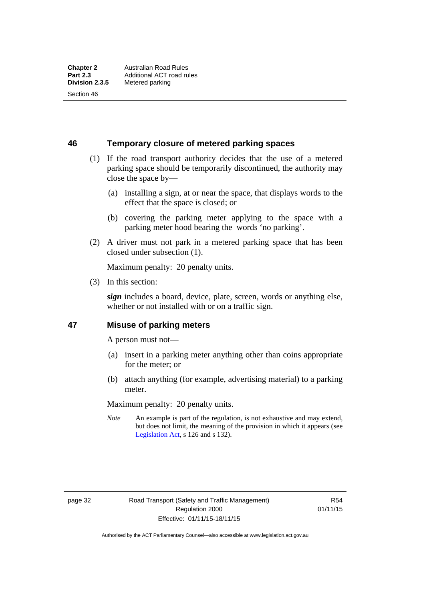Section 46

**46 Temporary closure of metered parking spaces**

- (1) If the road transport authority decides that the use of a metered parking space should be temporarily discontinued, the authority may close the space by—
	- (a) installing a sign, at or near the space, that displays words to the effect that the space is closed; or
	- (b) covering the parking meter applying to the space with a parking meter hood bearing the words 'no parking'.
- (2) A driver must not park in a metered parking space that has been closed under subsection (1).

Maximum penalty: 20 penalty units.

(3) In this section:

*sign* includes a board, device, plate, screen, words or anything else, whether or not installed with or on a traffic sign.

# **47 Misuse of parking meters**

A person must not—

- (a) insert in a parking meter anything other than coins appropriate for the meter; or
- (b) attach anything (for example, advertising material) to a parking meter.

Maximum penalty: 20 penalty units.

*Note* An example is part of the regulation, is not exhaustive and may extend, but does not limit, the meaning of the provision in which it appears (see [Legislation Act,](http://www.legislation.act.gov.au/a/2001-14) s 126 and s 132).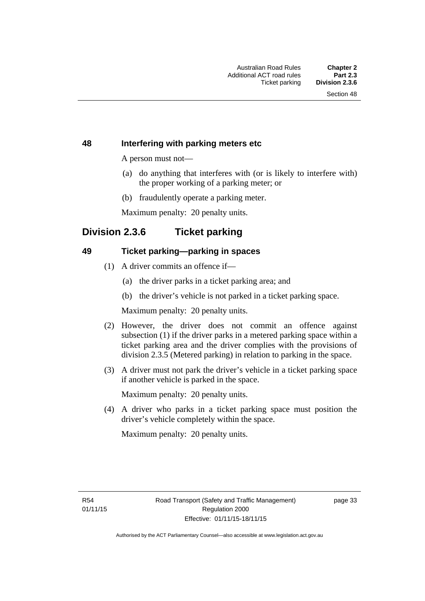# **48 Interfering with parking meters etc**

A person must not—

- (a) do anything that interferes with (or is likely to interfere with) the proper working of a parking meter; or
- (b) fraudulently operate a parking meter.

Maximum penalty: 20 penalty units.

# **Division 2.3.6 Ticket parking**

# **49 Ticket parking—parking in spaces**

- (1) A driver commits an offence if—
	- (a) the driver parks in a ticket parking area; and
	- (b) the driver's vehicle is not parked in a ticket parking space.

Maximum penalty: 20 penalty units.

- (2) However, the driver does not commit an offence against subsection (1) if the driver parks in a metered parking space within a ticket parking area and the driver complies with the provisions of division 2.3.5 (Metered parking) in relation to parking in the space.
- (3) A driver must not park the driver's vehicle in a ticket parking space if another vehicle is parked in the space.

Maximum penalty: 20 penalty units.

 (4) A driver who parks in a ticket parking space must position the driver's vehicle completely within the space.

Maximum penalty: 20 penalty units.

R54 01/11/15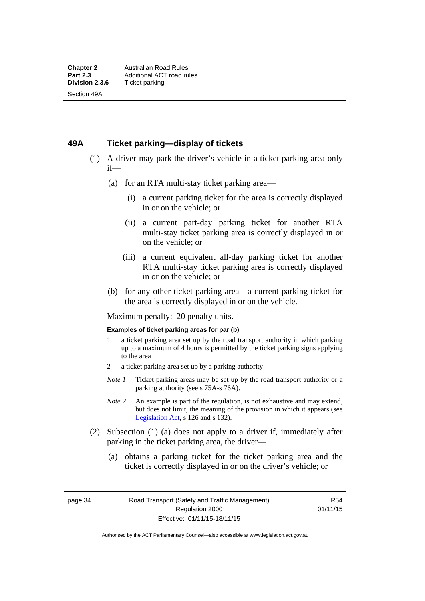# **49A Ticket parking—display of tickets**

- (1) A driver may park the driver's vehicle in a ticket parking area only if—
	- (a) for an RTA multi-stay ticket parking area—
		- (i) a current parking ticket for the area is correctly displayed in or on the vehicle; or
		- (ii) a current part-day parking ticket for another RTA multi-stay ticket parking area is correctly displayed in or on the vehicle; or
		- (iii) a current equivalent all-day parking ticket for another RTA multi-stay ticket parking area is correctly displayed in or on the vehicle; or
	- (b) for any other ticket parking area—a current parking ticket for the area is correctly displayed in or on the vehicle.

Maximum penalty: 20 penalty units.

#### **Examples of ticket parking areas for par (b)**

- 1 a ticket parking area set up by the road transport authority in which parking up to a maximum of 4 hours is permitted by the ticket parking signs applying to the area
- 2 a ticket parking area set up by a parking authority
- *Note 1* Ticket parking areas may be set up by the road transport authority or a parking authority (see s 75A-s 76A).
- *Note 2* An example is part of the regulation, is not exhaustive and may extend, but does not limit, the meaning of the provision in which it appears (see [Legislation Act,](http://www.legislation.act.gov.au/a/2001-14) s 126 and s 132).
- (2) Subsection (1) (a) does not apply to a driver if, immediately after parking in the ticket parking area, the driver—
	- (a) obtains a parking ticket for the ticket parking area and the ticket is correctly displayed in or on the driver's vehicle; or

page 34 Road Transport (Safety and Traffic Management) Regulation 2000 Effective: 01/11/15-18/11/15

R54 01/11/15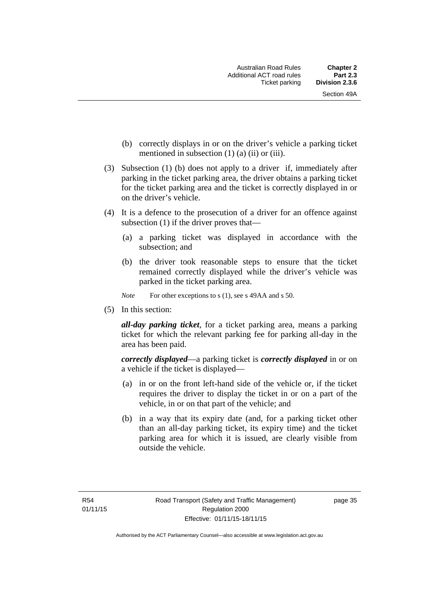- (b) correctly displays in or on the driver's vehicle a parking ticket mentioned in subsection  $(1)$   $(a)$   $(ii)$  or  $(iii)$ .
- (3) Subsection (1) (b) does not apply to a driver if, immediately after parking in the ticket parking area, the driver obtains a parking ticket for the ticket parking area and the ticket is correctly displayed in or on the driver's vehicle.
- (4) It is a defence to the prosecution of a driver for an offence against subsection (1) if the driver proves that—
	- (a) a parking ticket was displayed in accordance with the subsection; and
	- (b) the driver took reasonable steps to ensure that the ticket remained correctly displayed while the driver's vehicle was parked in the ticket parking area.
	- *Note* For other exceptions to s (1), see s 49AA and s 50.
- (5) In this section:

*all-day parking ticket*, for a ticket parking area, means a parking ticket for which the relevant parking fee for parking all-day in the area has been paid.

*correctly displayed*—a parking ticket is *correctly displayed* in or on a vehicle if the ticket is displayed—

- (a) in or on the front left-hand side of the vehicle or, if the ticket requires the driver to display the ticket in or on a part of the vehicle, in or on that part of the vehicle; and
- (b) in a way that its expiry date (and, for a parking ticket other than an all-day parking ticket, its expiry time) and the ticket parking area for which it is issued, are clearly visible from outside the vehicle.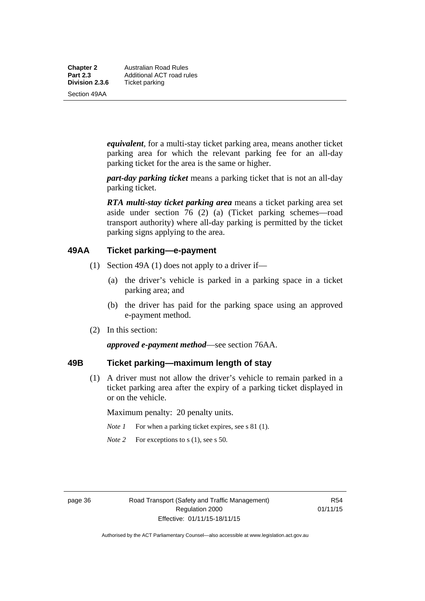**Chapter 2** Australian Road Rules<br>**Part 2.3** Additional ACT road ru **Part 2.3 Additional ACT road rules**<br>**Division 2.3.6** Ticket parking **Ticket parking** 

Section 49AA

*equivalent*, for a multi-stay ticket parking area, means another ticket parking area for which the relevant parking fee for an all-day parking ticket for the area is the same or higher.

*part-day parking ticket* means a parking ticket that is not an all-day parking ticket.

*RTA multi-stay ticket parking area* means a ticket parking area set aside under section 76 (2) (a) (Ticket parking schemes—road transport authority) where all-day parking is permitted by the ticket parking signs applying to the area.

# **49AA Ticket parking—e-payment**

- (1) Section 49A (1) does not apply to a driver if—
	- (a) the driver's vehicle is parked in a parking space in a ticket parking area; and
	- (b) the driver has paid for the parking space using an approved e-payment method.
- (2) In this section:

*approved e-payment method*—see section 76AA.

# **49B Ticket parking—maximum length of stay**

(1) A driver must not allow the driver's vehicle to remain parked in a ticket parking area after the expiry of a parking ticket displayed in or on the vehicle.

Maximum penalty: 20 penalty units.

- *Note 1* For when a parking ticket expires, see s 81 (1).
- *Note* 2 For exceptions to s (1), see s 50.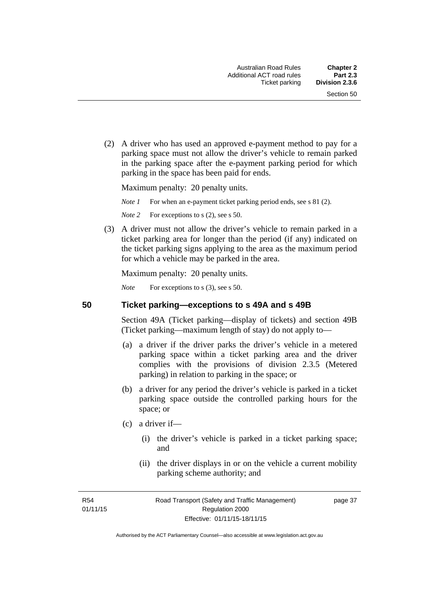(2) A driver who has used an approved e-payment method to pay for a parking space must not allow the driver's vehicle to remain parked in the parking space after the e-payment parking period for which parking in the space has been paid for ends.

Maximum penalty: 20 penalty units.

*Note 1* For when an e-payment ticket parking period ends, see s 81 (2).

*Note* 2 For exceptions to s (2), see s 50.

 (3) A driver must not allow the driver's vehicle to remain parked in a ticket parking area for longer than the period (if any) indicated on the ticket parking signs applying to the area as the maximum period for which a vehicle may be parked in the area.

Maximum penalty: 20 penalty units.

*Note* For exceptions to s (3), see s 50.

**50 Ticket parking—exceptions to s 49A and s 49B** 

Section 49A (Ticket parking—display of tickets) and section 49B (Ticket parking—maximum length of stay) do not apply to—

- (a) a driver if the driver parks the driver's vehicle in a metered parking space within a ticket parking area and the driver complies with the provisions of division 2.3.5 (Metered parking) in relation to parking in the space; or
- (b) a driver for any period the driver's vehicle is parked in a ticket parking space outside the controlled parking hours for the space; or
- (c) a driver if—
	- (i) the driver's vehicle is parked in a ticket parking space; and
	- (ii) the driver displays in or on the vehicle a current mobility parking scheme authority; and

R54 01/11/15 page 37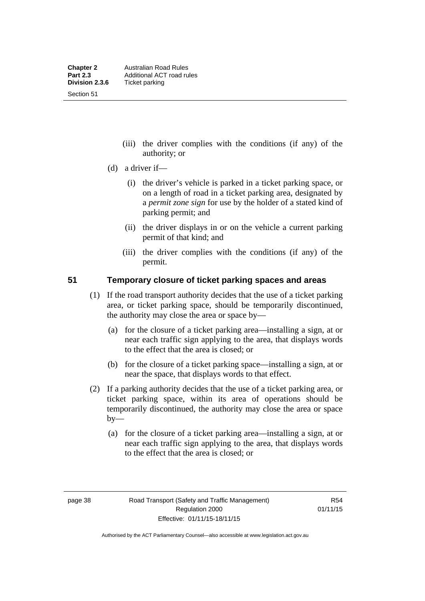Section 51

- (iii) the driver complies with the conditions (if any) of the authority; or
- (d) a driver if—
	- (i) the driver's vehicle is parked in a ticket parking space, or on a length of road in a ticket parking area, designated by a *permit zone sign* for use by the holder of a stated kind of parking permit; and
	- (ii) the driver displays in or on the vehicle a current parking permit of that kind; and
	- (iii) the driver complies with the conditions (if any) of the permit.

# **51 Temporary closure of ticket parking spaces and areas**

- (1) If the road transport authority decides that the use of a ticket parking area, or ticket parking space, should be temporarily discontinued, the authority may close the area or space by—
	- (a) for the closure of a ticket parking area—installing a sign, at or near each traffic sign applying to the area, that displays words to the effect that the area is closed; or
	- (b) for the closure of a ticket parking space—installing a sign, at or near the space, that displays words to that effect.
- (2) If a parking authority decides that the use of a ticket parking area, or ticket parking space, within its area of operations should be temporarily discontinued, the authority may close the area or space  $by-$ 
	- (a) for the closure of a ticket parking area—installing a sign, at or near each traffic sign applying to the area, that displays words to the effect that the area is closed; or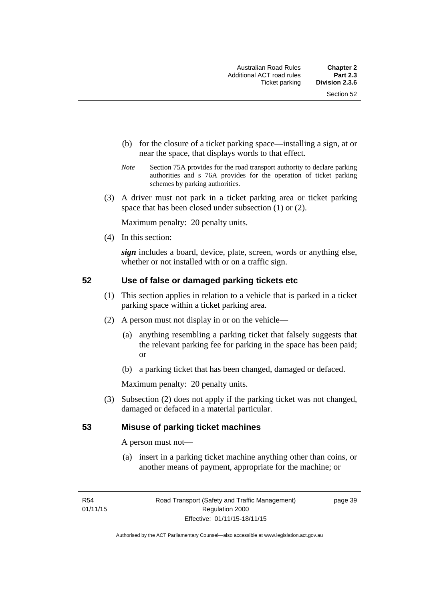- (b) for the closure of a ticket parking space—installing a sign, at or near the space, that displays words to that effect.
- *Note* Section 75A provides for the road transport authority to declare parking authorities and s 76A provides for the operation of ticket parking schemes by parking authorities.
- (3) A driver must not park in a ticket parking area or ticket parking space that has been closed under subsection (1) or (2).

Maximum penalty: 20 penalty units.

(4) In this section:

*sign* includes a board, device, plate, screen, words or anything else, whether or not installed with or on a traffic sign.

# **52 Use of false or damaged parking tickets etc**

- (1) This section applies in relation to a vehicle that is parked in a ticket parking space within a ticket parking area.
- (2) A person must not display in or on the vehicle—
	- (a) anything resembling a parking ticket that falsely suggests that the relevant parking fee for parking in the space has been paid; or
	- (b) a parking ticket that has been changed, damaged or defaced.

Maximum penalty: 20 penalty units.

 (3) Subsection (2) does not apply if the parking ticket was not changed, damaged or defaced in a material particular.

# **53 Misuse of parking ticket machines**

A person must not—

(a) insert in a parking ticket machine anything other than coins, or another means of payment, appropriate for the machine; or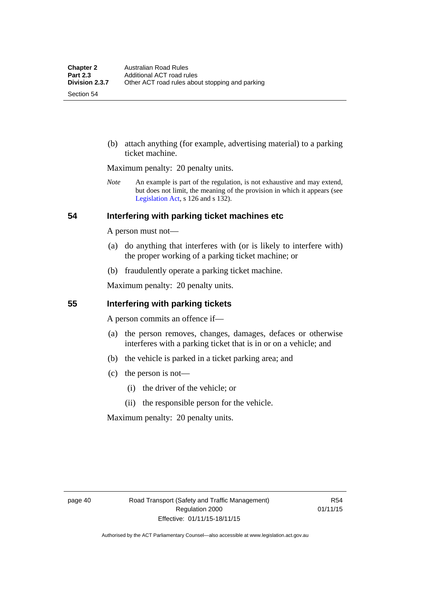Section 54

 (b) attach anything (for example, advertising material) to a parking ticket machine.

Maximum penalty: 20 penalty units.

*Note* An example is part of the regulation, is not exhaustive and may extend, but does not limit, the meaning of the provision in which it appears (see [Legislation Act,](http://www.legislation.act.gov.au/a/2001-14) s 126 and s 132).

# **54 Interfering with parking ticket machines etc**

A person must not—

- (a) do anything that interferes with (or is likely to interfere with) the proper working of a parking ticket machine; or
- (b) fraudulently operate a parking ticket machine.

Maximum penalty: 20 penalty units.

# **55 Interfering with parking tickets**

A person commits an offence if—

- (a) the person removes, changes, damages, defaces or otherwise interferes with a parking ticket that is in or on a vehicle; and
- (b) the vehicle is parked in a ticket parking area; and
- (c) the person is not—
	- (i) the driver of the vehicle; or
	- (ii) the responsible person for the vehicle.

Maximum penalty: 20 penalty units.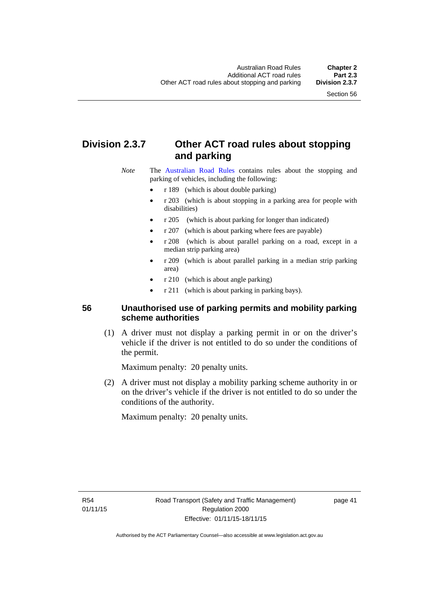# **Division 2.3.7 Other ACT road rules about stopping and parking**

*Note* The [Australian Road Rules](http://www.legislation.act.gov.au//ni/db_37271/default.asp) contains rules about the stopping and parking of vehicles, including the following:

- r 189 (which is about double parking)
- r 203 (which is about stopping in a parking area for people with disabilities)
- r 205 (which is about parking for longer than indicated)
- r 207 (which is about parking where fees are payable)
- r 208 (which is about parallel parking on a road, except in a median strip parking area)
- r 209 (which is about parallel parking in a median strip parking area)
- r 210 (which is about angle parking)
- r 211 (which is about parking in parking bays).

# **56 Unauthorised use of parking permits and mobility parking scheme authorities**

 (1) A driver must not display a parking permit in or on the driver's vehicle if the driver is not entitled to do so under the conditions of the permit.

Maximum penalty: 20 penalty units.

 (2) A driver must not display a mobility parking scheme authority in or on the driver's vehicle if the driver is not entitled to do so under the conditions of the authority.

Maximum penalty: 20 penalty units.

R54 01/11/15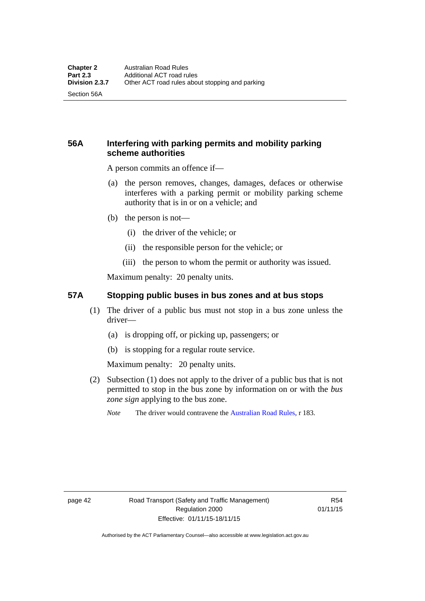Section 56A

# **56A Interfering with parking permits and mobility parking scheme authorities**

A person commits an offence if—

- (a) the person removes, changes, damages, defaces or otherwise interferes with a parking permit or mobility parking scheme authority that is in or on a vehicle; and
- (b) the person is not—
	- (i) the driver of the vehicle; or
	- (ii) the responsible person for the vehicle; or
	- (iii) the person to whom the permit or authority was issued.

Maximum penalty: 20 penalty units.

# **57A Stopping public buses in bus zones and at bus stops**

- (1) The driver of a public bus must not stop in a bus zone unless the driver—
	- (a) is dropping off, or picking up, passengers; or
	- (b) is stopping for a regular route service.

Maximum penalty: 20 penalty units.

- (2) Subsection (1) does not apply to the driver of a public bus that is not permitted to stop in the bus zone by information on or with the *bus zone sign* applying to the bus zone.
	- *Note* The driver would contravene the [Australian Road Rules,](http://www.legislation.act.gov.au//ni/db_37271/default.asp) r 183.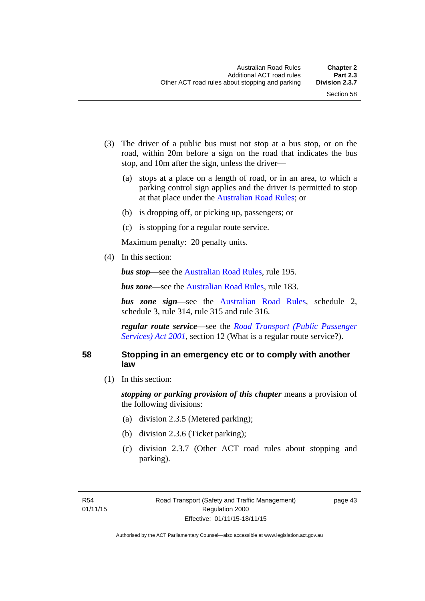- (3) The driver of a public bus must not stop at a bus stop, or on the road, within 20m before a sign on the road that indicates the bus stop, and 10m after the sign, unless the driver—
	- (a) stops at a place on a length of road, or in an area, to which a parking control sign applies and the driver is permitted to stop at that place under the [Australian Road Rules;](http://www.legislation.act.gov.au//ni/db_37271/default.asp) or
	- (b) is dropping off, or picking up, passengers; or
	- (c) is stopping for a regular route service.

Maximum penalty: 20 penalty units.

(4) In this section:

*bus stop***—see the [Australian Road Rules](http://www.legislation.act.gov.au//ni/db_37271/default.asp)**, rule 195.

*bus zone***—see the Australian Road Rules**, rule 183.

*bus zone sign*—see the [Australian Road Rules,](http://www.legislation.act.gov.au//ni/db_37271/default.asp) schedule 2, schedule 3, rule 314, rule 315 and rule 316.

*regular route service*—see the *[Road Transport \(Public Passenger](http://www.legislation.act.gov.au/a/2001-62)  Services*) *Act 2001*, section 12 (What is a regular route service?).

### **58 Stopping in an emergency etc or to comply with another law**

(1) In this section:

*stopping or parking provision of this chapter* means a provision of the following divisions:

- (a) division 2.3.5 (Metered parking);
- (b) division 2.3.6 (Ticket parking);
- (c) division 2.3.7 (Other ACT road rules about stopping and parking).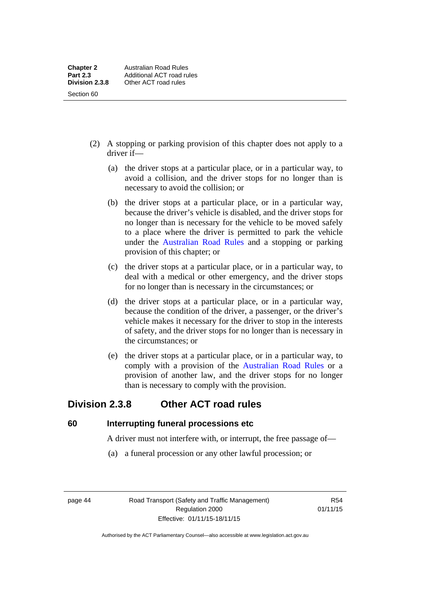- (2) A stopping or parking provision of this chapter does not apply to a driver if—
	- (a) the driver stops at a particular place, or in a particular way, to avoid a collision, and the driver stops for no longer than is necessary to avoid the collision; or
	- (b) the driver stops at a particular place, or in a particular way, because the driver's vehicle is disabled, and the driver stops for no longer than is necessary for the vehicle to be moved safely to a place where the driver is permitted to park the vehicle under the [Australian Road Rules](http://www.legislation.act.gov.au//ni/db_37271/default.asp) and a stopping or parking provision of this chapter; or
	- (c) the driver stops at a particular place, or in a particular way, to deal with a medical or other emergency, and the driver stops for no longer than is necessary in the circumstances; or
	- (d) the driver stops at a particular place, or in a particular way, because the condition of the driver, a passenger, or the driver's vehicle makes it necessary for the driver to stop in the interests of safety, and the driver stops for no longer than is necessary in the circumstances; or
	- (e) the driver stops at a particular place, or in a particular way, to comply with a provision of the [Australian Road Rules](http://www.legislation.act.gov.au//ni/db_37271/default.asp) or a provision of another law, and the driver stops for no longer than is necessary to comply with the provision.

# **Division 2.3.8 Other ACT road rules**

**60 Interrupting funeral processions etc**

A driver must not interfere with, or interrupt, the free passage of—

(a) a funeral procession or any other lawful procession; or

page 44 Road Transport (Safety and Traffic Management) Regulation 2000 Effective: 01/11/15-18/11/15

R54 01/11/15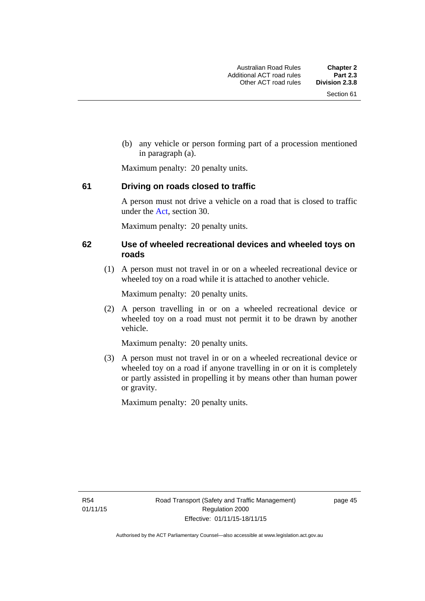(b) any vehicle or person forming part of a procession mentioned in paragraph (a).

Maximum penalty: 20 penalty units.

# **61 Driving on roads closed to traffic**

A person must not drive a vehicle on a road that is closed to traffic under the [Act](http://www.legislation.act.gov.au/a/1999-80/default.asp), section 30.

Maximum penalty: 20 penalty units.

# **62 Use of wheeled recreational devices and wheeled toys on roads**

 (1) A person must not travel in or on a wheeled recreational device or wheeled toy on a road while it is attached to another vehicle.

Maximum penalty: 20 penalty units.

 (2) A person travelling in or on a wheeled recreational device or wheeled toy on a road must not permit it to be drawn by another vehicle.

Maximum penalty: 20 penalty units.

 (3) A person must not travel in or on a wheeled recreational device or wheeled toy on a road if anyone travelling in or on it is completely or partly assisted in propelling it by means other than human power or gravity.

Maximum penalty: 20 penalty units.

R54 01/11/15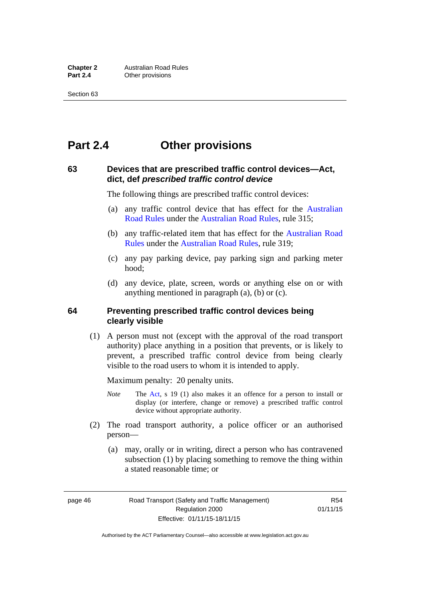# **Part 2.4 Other provisions**

# **63 Devices that are prescribed traffic control devices—Act, dict, def** *prescribed traffic control device*

The following things are prescribed traffic control devices:

- (a) any traffic control device that has effect for the [Australian](http://www.legislation.act.gov.au//ni/db_37271/default.asp)  [Road Rules](http://www.legislation.act.gov.au//ni/db_37271/default.asp) under the [Australian Road Rules](http://www.legislation.act.gov.au//ni/db_37271/default.asp), rule 315;
- (b) any traffic-related item that has effect for the [Australian Road](http://www.legislation.act.gov.au//ni/db_37271/default.asp)  [Rules](http://www.legislation.act.gov.au//ni/db_37271/default.asp) under the [Australian Road Rules,](http://www.legislation.act.gov.au//ni/db_37271/default.asp) rule 319;
- (c) any pay parking device, pay parking sign and parking meter hood;
- (d) any device, plate, screen, words or anything else on or with anything mentioned in paragraph (a), (b) or (c).

# **64 Preventing prescribed traffic control devices being clearly visible**

 (1) A person must not (except with the approval of the road transport authority) place anything in a position that prevents, or is likely to prevent, a prescribed traffic control device from being clearly visible to the road users to whom it is intended to apply.

Maximum penalty: 20 penalty units.

- *Note* The [Act](http://www.legislation.act.gov.au/a/1999-80/default.asp), s 19 (1) also makes it an offence for a person to install or display (or interfere, change or remove) a prescribed traffic control device without appropriate authority.
- (2) The road transport authority, a police officer or an authorised person—
	- (a) may, orally or in writing, direct a person who has contravened subsection (1) by placing something to remove the thing within a stated reasonable time; or

page 46 Road Transport (Safety and Traffic Management) Regulation 2000 Effective: 01/11/15-18/11/15

R54 01/11/15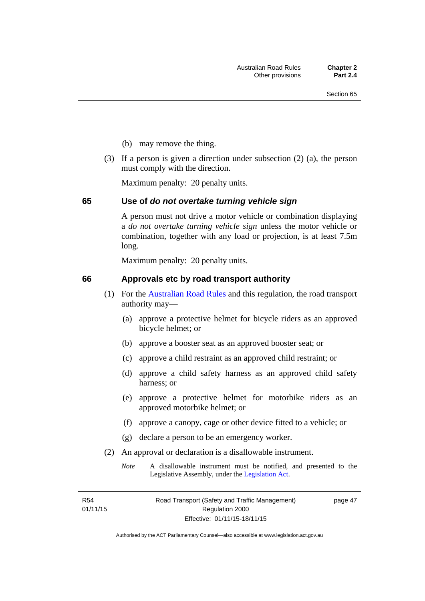- (b) may remove the thing.
- (3) If a person is given a direction under subsection (2) (a), the person must comply with the direction.

Maximum penalty: 20 penalty units.

#### **65 Use of** *do not overtake turning vehicle sign*

A person must not drive a motor vehicle or combination displaying a *do not overtake turning vehicle sign* unless the motor vehicle or combination, together with any load or projection, is at least 7.5m long.

Maximum penalty: 20 penalty units.

#### **66 Approvals etc by road transport authority**

- (1) For the [Australian Road Rules](http://www.legislation.act.gov.au//ni/db_37271/default.asp) and this regulation, the road transport authority may—
	- (a) approve a protective helmet for bicycle riders as an approved bicycle helmet; or
	- (b) approve a booster seat as an approved booster seat; or
	- (c) approve a child restraint as an approved child restraint; or
	- (d) approve a child safety harness as an approved child safety harness; or
	- (e) approve a protective helmet for motorbike riders as an approved motorbike helmet; or
	- (f) approve a canopy, cage or other device fitted to a vehicle; or
	- (g) declare a person to be an emergency worker.
- (2) An approval or declaration is a disallowable instrument.
	- *Note* A disallowable instrument must be notified, and presented to the Legislative Assembly, under the [Legislation Act.](http://www.legislation.act.gov.au/a/2001-14)

R54 01/11/15 page 47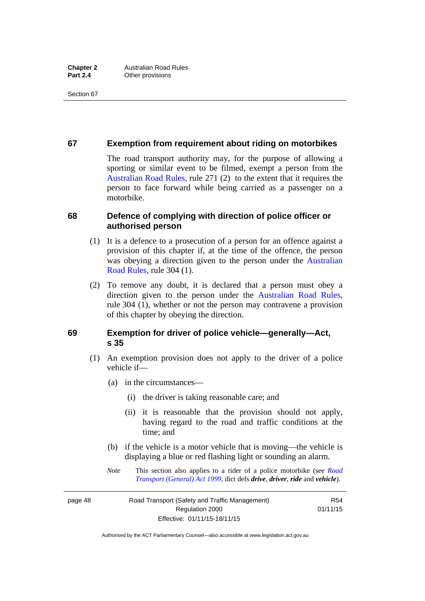# **67 Exemption from requirement about riding on motorbikes**

The road transport authority may, for the purpose of allowing a sporting or similar event to be filmed, exempt a person from the [Australian Road Rules](http://www.legislation.act.gov.au//ni/db_37271/default.asp), rule 271 (2) to the extent that it requires the person to face forward while being carried as a passenger on a motorbike.

# **68 Defence of complying with direction of police officer or authorised person**

- (1) It is a defence to a prosecution of a person for an offence against a provision of this chapter if, at the time of the offence, the person was obeying a direction given to the person under the [Australian](http://www.legislation.act.gov.au//ni/db_37271/default.asp)  [Road Rules,](http://www.legislation.act.gov.au//ni/db_37271/default.asp) rule 304 (1).
- (2) To remove any doubt, it is declared that a person must obey a direction given to the person under the [Australian Road Rules](http://www.legislation.act.gov.au//ni/db_37271/default.asp), rule 304 (1), whether or not the person may contravene a provision of this chapter by obeying the direction.

# **69 Exemption for driver of police vehicle—generally—Act, s 35**

- (1) An exemption provision does not apply to the driver of a police vehicle if—
	- (a) in the circumstances—
		- (i) the driver is taking reasonable care; and
		- (ii) it is reasonable that the provision should not apply, having regard to the road and traffic conditions at the time; and
	- (b) if the vehicle is a motor vehicle that is moving—the vehicle is displaying a blue or red flashing light or sounding an alarm.
	- *Note* This section also applies to a rider of a police motorbike (see *[Road](http://www.legislation.act.gov.au/a/1999-77)  [Transport \(General\) Act 1999](http://www.legislation.act.gov.au/a/1999-77)*, dict defs *drive*, *driver*, *ride* and *vehicle*).

page 48 Road Transport (Safety and Traffic Management) Regulation 2000 Effective: 01/11/15-18/11/15

R54 01/11/15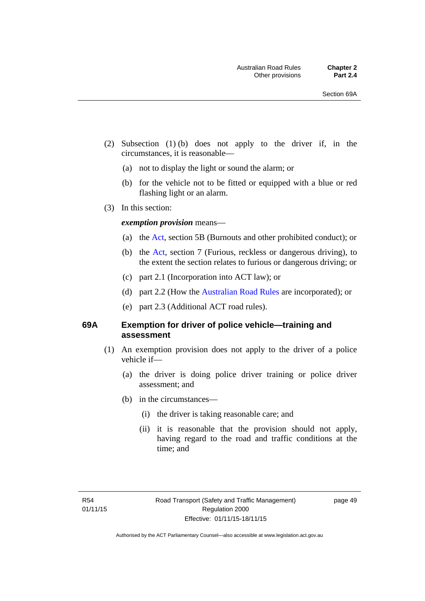- (2) Subsection (1) (b) does not apply to the driver if, in the circumstances, it is reasonable—
	- (a) not to display the light or sound the alarm; or
	- (b) for the vehicle not to be fitted or equipped with a blue or red flashing light or an alarm.
- (3) In this section:

### *exemption provision* means—

- (a) the [Act](http://www.legislation.act.gov.au/a/1999-80/default.asp), section 5B (Burnouts and other prohibited conduct); or
- (b) the [Act](http://www.legislation.act.gov.au/a/1999-80/default.asp), section 7 (Furious, reckless or dangerous driving), to the extent the section relates to furious or dangerous driving; or
- (c) part 2.1 (Incorporation into ACT law); or
- (d) part 2.2 (How the [Australian Road Rules](http://www.legislation.act.gov.au//ni/db_37271/default.asp) are incorporated); or
- (e) part 2.3 (Additional ACT road rules).

### **69A Exemption for driver of police vehicle—training and assessment**

- (1) An exemption provision does not apply to the driver of a police vehicle if—
	- (a) the driver is doing police driver training or police driver assessment; and
	- (b) in the circumstances—
		- (i) the driver is taking reasonable care; and
		- (ii) it is reasonable that the provision should not apply, having regard to the road and traffic conditions at the time; and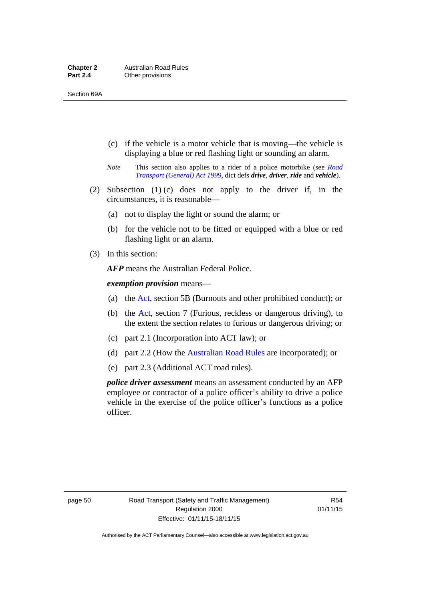- (c) if the vehicle is a motor vehicle that is moving—the vehicle is displaying a blue or red flashing light or sounding an alarm.
- *Note* This section also applies to a rider of a police motorbike (see *[Road](http://www.legislation.act.gov.au/a/1999-77)  [Transport \(General\) Act 1999](http://www.legislation.act.gov.au/a/1999-77)*, dict defs *drive*, *driver*, *ride* and *vehicle*).
- (2) Subsection (1) (c) does not apply to the driver if, in the circumstances, it is reasonable—
	- (a) not to display the light or sound the alarm; or
	- (b) for the vehicle not to be fitted or equipped with a blue or red flashing light or an alarm.
- (3) In this section:

*AFP* means the Australian Federal Police.

*exemption provision* means—

- (a) the [Act,](http://www.legislation.act.gov.au/a/1999-80/default.asp) section 5B (Burnouts and other prohibited conduct); or
- (b) the [Act](http://www.legislation.act.gov.au/a/1999-80/default.asp), section 7 (Furious, reckless or dangerous driving), to the extent the section relates to furious or dangerous driving; or
- (c) part 2.1 (Incorporation into ACT law); or
- (d) part 2.2 (How the [Australian Road Rules](http://www.legislation.act.gov.au//ni/db_37271/default.asp) are incorporated); or
- (e) part 2.3 (Additional ACT road rules).

*police driver assessment* means an assessment conducted by an AFP employee or contractor of a police officer's ability to drive a police vehicle in the exercise of the police officer's functions as a police officer.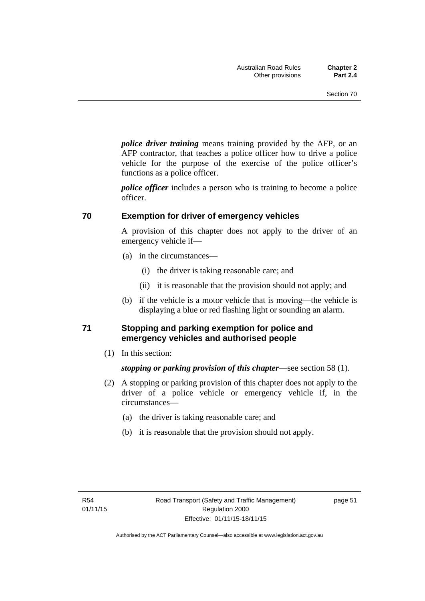*police driver training* means training provided by the AFP, or an AFP contractor, that teaches a police officer how to drive a police vehicle for the purpose of the exercise of the police officer's functions as a police officer.

*police officer* includes a person who is training to become a police officer.

# **70 Exemption for driver of emergency vehicles**

A provision of this chapter does not apply to the driver of an emergency vehicle if—

- (a) in the circumstances—
	- (i) the driver is taking reasonable care; and
	- (ii) it is reasonable that the provision should not apply; and
- (b) if the vehicle is a motor vehicle that is moving—the vehicle is displaying a blue or red flashing light or sounding an alarm.

# **71 Stopping and parking exemption for police and emergency vehicles and authorised people**

(1) In this section:

*stopping or parking provision of this chapter*—see section 58 (1).

- (2) A stopping or parking provision of this chapter does not apply to the driver of a police vehicle or emergency vehicle if, in the circumstances—
	- (a) the driver is taking reasonable care; and
	- (b) it is reasonable that the provision should not apply.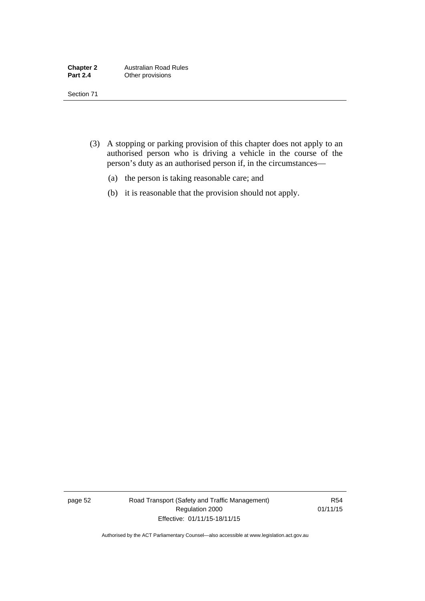- (3) A stopping or parking provision of this chapter does not apply to an authorised person who is driving a vehicle in the course of the person's duty as an authorised person if, in the circumstances—
	- (a) the person is taking reasonable care; and
	- (b) it is reasonable that the provision should not apply.

page 52 Road Transport (Safety and Traffic Management) Regulation 2000 Effective: 01/11/15-18/11/15

R54 01/11/15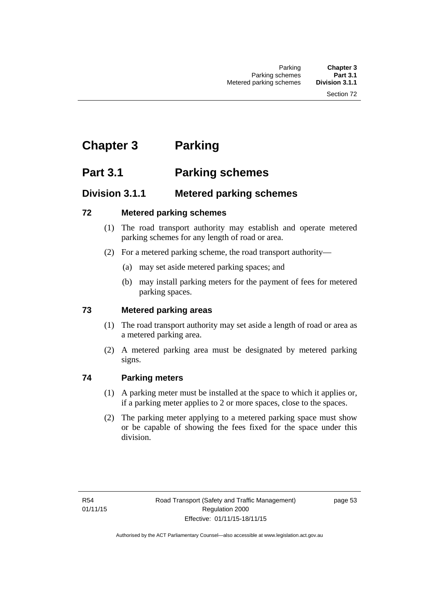# **Chapter 3 Parking**

# **Part 3.1 Parking schemes**

# **Division 3.1.1 Metered parking schemes**

# **72 Metered parking schemes**

- (1) The road transport authority may establish and operate metered parking schemes for any length of road or area.
- (2) For a metered parking scheme, the road transport authority—
	- (a) may set aside metered parking spaces; and
	- (b) may install parking meters for the payment of fees for metered parking spaces.

# **73 Metered parking areas**

- (1) The road transport authority may set aside a length of road or area as a metered parking area.
- (2) A metered parking area must be designated by metered parking signs.

# **74 Parking meters**

- (1) A parking meter must be installed at the space to which it applies or, if a parking meter applies to 2 or more spaces, close to the spaces.
- (2) The parking meter applying to a metered parking space must show or be capable of showing the fees fixed for the space under this division.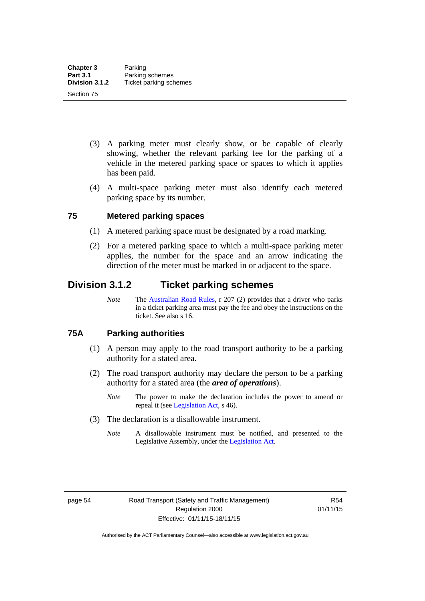- (3) A parking meter must clearly show, or be capable of clearly showing, whether the relevant parking fee for the parking of a vehicle in the metered parking space or spaces to which it applies has been paid.
- (4) A multi-space parking meter must also identify each metered parking space by its number.

# **75 Metered parking spaces**

- (1) A metered parking space must be designated by a road marking.
- (2) For a metered parking space to which a multi-space parking meter applies, the number for the space and an arrow indicating the direction of the meter must be marked in or adjacent to the space.

# **Division 3.1.2 Ticket parking schemes**

*Note* The [Australian Road Rules](http://www.legislation.act.gov.au//ni/db_37271/default.asp), r 207 (2) provides that a driver who parks in a ticket parking area must pay the fee and obey the instructions on the ticket. See also s 16.

# **75A Parking authorities**

- (1) A person may apply to the road transport authority to be a parking authority for a stated area.
- (2) The road transport authority may declare the person to be a parking authority for a stated area (the *area of operations*).
	- *Note* The power to make the declaration includes the power to amend or repeal it (see [Legislation Act,](http://www.legislation.act.gov.au/a/2001-14) s 46).
- (3) The declaration is a disallowable instrument.
	- *Note* A disallowable instrument must be notified, and presented to the Legislative Assembly, under the [Legislation Act.](http://www.legislation.act.gov.au/a/2001-14)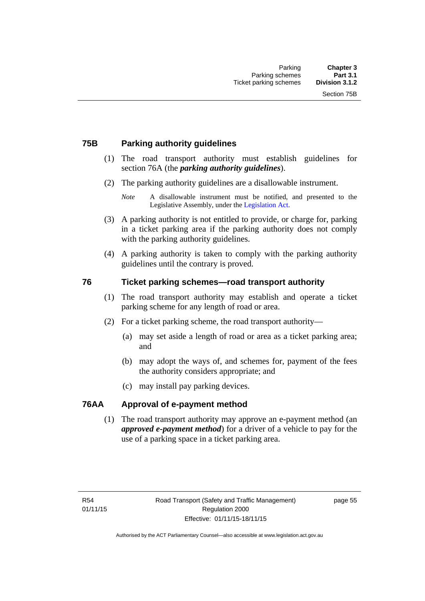# **75B Parking authority guidelines**

- (1) The road transport authority must establish guidelines for section 76A (the *parking authority guidelines*).
- (2) The parking authority guidelines are a disallowable instrument.

- (3) A parking authority is not entitled to provide, or charge for, parking in a ticket parking area if the parking authority does not comply with the parking authority guidelines.
- (4) A parking authority is taken to comply with the parking authority guidelines until the contrary is proved.

# **76 Ticket parking schemes—road transport authority**

- (1) The road transport authority may establish and operate a ticket parking scheme for any length of road or area.
- (2) For a ticket parking scheme, the road transport authority—
	- (a) may set aside a length of road or area as a ticket parking area; and
	- (b) may adopt the ways of, and schemes for, payment of the fees the authority considers appropriate; and
	- (c) may install pay parking devices.

# **76AA Approval of e-payment method**

(1) The road transport authority may approve an e-payment method (an *approved e-payment method*) for a driver of a vehicle to pay for the use of a parking space in a ticket parking area.

*Note* A disallowable instrument must be notified, and presented to the Legislative Assembly, under the [Legislation Act.](http://www.legislation.act.gov.au/a/2001-14)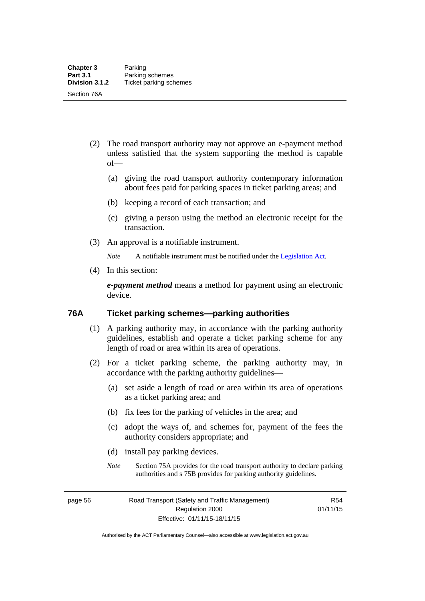- (2) The road transport authority may not approve an e-payment method unless satisfied that the system supporting the method is capable of—
	- (a) giving the road transport authority contemporary information about fees paid for parking spaces in ticket parking areas; and
	- (b) keeping a record of each transaction; and
	- (c) giving a person using the method an electronic receipt for the transaction.
- (3) An approval is a notifiable instrument.

*Note* A notifiable instrument must be notified under the [Legislation Act](http://www.legislation.act.gov.au/a/2001-14).

(4) In this section:

*e-payment method* means a method for payment using an electronic device.

#### **76A Ticket parking schemes—parking authorities**

- (1) A parking authority may, in accordance with the parking authority guidelines, establish and operate a ticket parking scheme for any length of road or area within its area of operations.
- (2) For a ticket parking scheme, the parking authority may, in accordance with the parking authority guidelines—
	- (a) set aside a length of road or area within its area of operations as a ticket parking area; and
	- (b) fix fees for the parking of vehicles in the area; and
	- (c) adopt the ways of, and schemes for, payment of the fees the authority considers appropriate; and
	- (d) install pay parking devices.
	- *Note* Section 75A provides for the road transport authority to declare parking authorities and s 75B provides for parking authority guidelines.

page 56 Road Transport (Safety and Traffic Management) Regulation 2000 Effective: 01/11/15-18/11/15

R54 01/11/15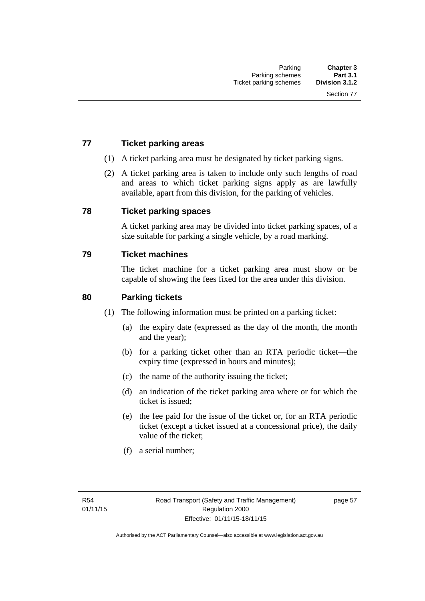## **77 Ticket parking areas**

- (1) A ticket parking area must be designated by ticket parking signs.
- (2) A ticket parking area is taken to include only such lengths of road and areas to which ticket parking signs apply as are lawfully available, apart from this division, for the parking of vehicles.

#### **78 Ticket parking spaces**

A ticket parking area may be divided into ticket parking spaces, of a size suitable for parking a single vehicle, by a road marking.

#### **79 Ticket machines**

The ticket machine for a ticket parking area must show or be capable of showing the fees fixed for the area under this division.

#### **80 Parking tickets**

- (1) The following information must be printed on a parking ticket:
	- (a) the expiry date (expressed as the day of the month, the month and the year);
	- (b) for a parking ticket other than an RTA periodic ticket—the expiry time (expressed in hours and minutes);
	- (c) the name of the authority issuing the ticket;
	- (d) an indication of the ticket parking area where or for which the ticket is issued;
	- (e) the fee paid for the issue of the ticket or, for an RTA periodic ticket (except a ticket issued at a concessional price), the daily value of the ticket;
	- (f) a serial number;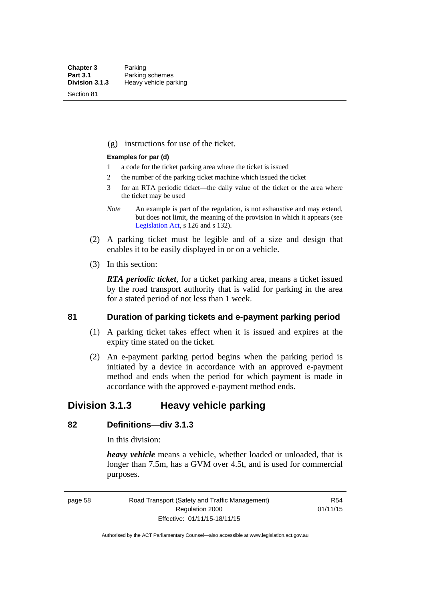Section 81

(g) instructions for use of the ticket.

#### **Examples for par (d)**

- 1 a code for the ticket parking area where the ticket is issued
- 2 the number of the parking ticket machine which issued the ticket
- 3 for an RTA periodic ticket—the daily value of the ticket or the area where the ticket may be used
- *Note* An example is part of the regulation, is not exhaustive and may extend, but does not limit, the meaning of the provision in which it appears (see [Legislation Act,](http://www.legislation.act.gov.au/a/2001-14) s 126 and s 132).
- (2) A parking ticket must be legible and of a size and design that enables it to be easily displayed in or on a vehicle.
- (3) In this section:

*RTA periodic ticket*, for a ticket parking area, means a ticket issued by the road transport authority that is valid for parking in the area for a stated period of not less than 1 week.

#### **81 Duration of parking tickets and e-payment parking period**

- (1) A parking ticket takes effect when it is issued and expires at the expiry time stated on the ticket.
- (2) An e-payment parking period begins when the parking period is initiated by a device in accordance with an approved e-payment method and ends when the period for which payment is made in accordance with the approved e-payment method ends.

# **Division 3.1.3 Heavy vehicle parking**

# **82 Definitions—div 3.1.3**

In this division:

*heavy vehicle* means a vehicle, whether loaded or unloaded, that is longer than 7.5m, has a GVM over 4.5t, and is used for commercial purposes.

page 58 Road Transport (Safety and Traffic Management) Regulation 2000 Effective: 01/11/15-18/11/15

R54 01/11/15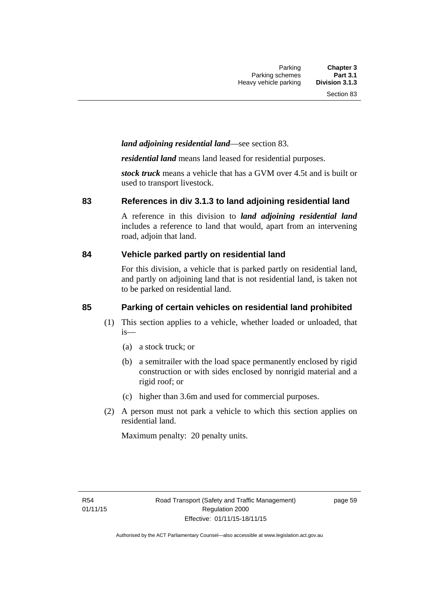#### *land adjoining residential land*—see section 83.

*residential land* means land leased for residential purposes.

*stock truck* means a vehicle that has a GVM over 4.5t and is built or used to transport livestock.

#### **83 References in div 3.1.3 to land adjoining residential land**

A reference in this division to *land adjoining residential land* includes a reference to land that would, apart from an intervening road, adjoin that land.

#### **84 Vehicle parked partly on residential land**

For this division, a vehicle that is parked partly on residential land, and partly on adjoining land that is not residential land, is taken not to be parked on residential land.

## **85 Parking of certain vehicles on residential land prohibited**

- (1) This section applies to a vehicle, whether loaded or unloaded, that is—
	- (a) a stock truck; or
	- (b) a semitrailer with the load space permanently enclosed by rigid construction or with sides enclosed by nonrigid material and a rigid roof; or
	- (c) higher than 3.6m and used for commercial purposes.
- (2) A person must not park a vehicle to which this section applies on residential land.

Maximum penalty: 20 penalty units.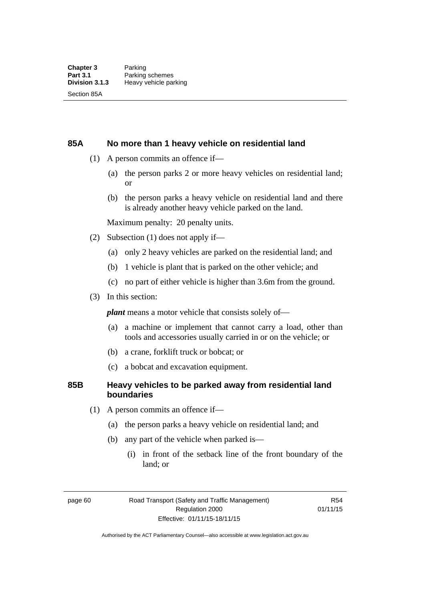#### **85A No more than 1 heavy vehicle on residential land**

- (1) A person commits an offence if—
	- (a) the person parks 2 or more heavy vehicles on residential land; or
	- (b) the person parks a heavy vehicle on residential land and there is already another heavy vehicle parked on the land.

Maximum penalty: 20 penalty units.

- (2) Subsection (1) does not apply if—
	- (a) only 2 heavy vehicles are parked on the residential land; and
	- (b) 1 vehicle is plant that is parked on the other vehicle; and
	- (c) no part of either vehicle is higher than 3.6m from the ground.
- (3) In this section:

*plant* means a motor vehicle that consists solely of—

- (a) a machine or implement that cannot carry a load, other than tools and accessories usually carried in or on the vehicle; or
- (b) a crane, forklift truck or bobcat; or
- (c) a bobcat and excavation equipment.

#### **85B Heavy vehicles to be parked away from residential land boundaries**

- (1) A person commits an offence if—
	- (a) the person parks a heavy vehicle on residential land; and
	- (b) any part of the vehicle when parked is—
		- (i) in front of the setback line of the front boundary of the land; or

page 60 Road Transport (Safety and Traffic Management) Regulation 2000 Effective: 01/11/15-18/11/15

R54 01/11/15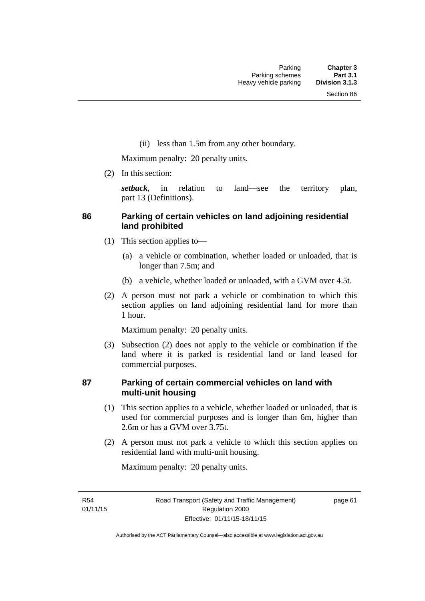(ii) less than 1.5m from any other boundary.

Maximum penalty: 20 penalty units.

(2) In this section:

*setback*, in relation to land—see the territory plan, part 13 (Definitions).

#### **86 Parking of certain vehicles on land adjoining residential land prohibited**

- (1) This section applies to—
	- (a) a vehicle or combination, whether loaded or unloaded, that is longer than 7.5m; and
	- (b) a vehicle, whether loaded or unloaded, with a GVM over 4.5t.
- (2) A person must not park a vehicle or combination to which this section applies on land adjoining residential land for more than 1 hour.

Maximum penalty: 20 penalty units.

 (3) Subsection (2) does not apply to the vehicle or combination if the land where it is parked is residential land or land leased for commercial purposes.

#### **87 Parking of certain commercial vehicles on land with multi-unit housing**

- (1) This section applies to a vehicle, whether loaded or unloaded, that is used for commercial purposes and is longer than 6m, higher than 2.6m or has a GVM over 3.75t.
- (2) A person must not park a vehicle to which this section applies on residential land with multi-unit housing.

Maximum penalty: 20 penalty units.

R54 01/11/15 page 61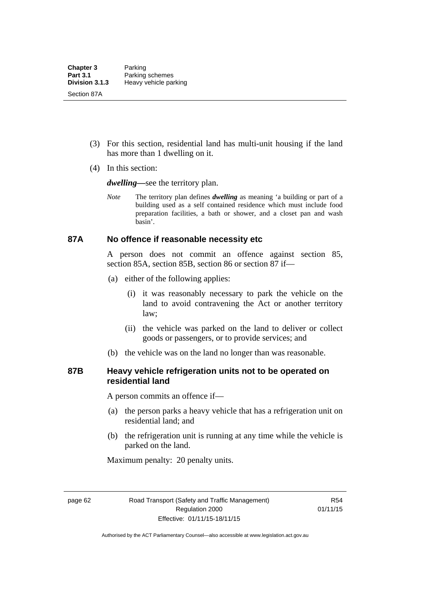- (3) For this section, residential land has multi-unit housing if the land has more than 1 dwelling on it.
- (4) In this section:

*dwelling—*see the territory plan.

*Note* The territory plan defines *dwelling* as meaning 'a building or part of a building used as a self contained residence which must include food preparation facilities, a bath or shower, and a closet pan and wash basin'.

#### **87A No offence if reasonable necessity etc**

A person does not commit an offence against section 85, section 85A, section 85B, section 86 or section 87 if—

- (a) either of the following applies:
	- (i) it was reasonably necessary to park the vehicle on the land to avoid contravening the Act or another territory law;
	- (ii) the vehicle was parked on the land to deliver or collect goods or passengers, or to provide services; and
- (b) the vehicle was on the land no longer than was reasonable.

#### **87B Heavy vehicle refrigeration units not to be operated on residential land**

A person commits an offence if—

- (a) the person parks a heavy vehicle that has a refrigeration unit on residential land; and
- (b) the refrigeration unit is running at any time while the vehicle is parked on the land.

Maximum penalty: 20 penalty units.

page 62 Road Transport (Safety and Traffic Management) Regulation 2000 Effective: 01/11/15-18/11/15

R54 01/11/15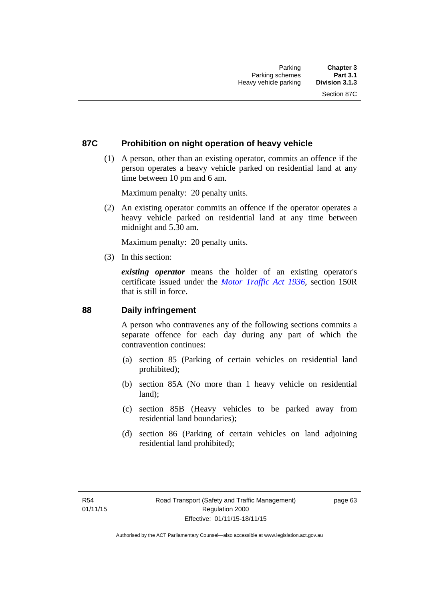#### **87C Prohibition on night operation of heavy vehicle**

 (1) A person, other than an existing operator, commits an offence if the person operates a heavy vehicle parked on residential land at any time between 10 pm and 6 am.

Maximum penalty: 20 penalty units.

 (2) An existing operator commits an offence if the operator operates a heavy vehicle parked on residential land at any time between midnight and 5.30 am.

Maximum penalty: 20 penalty units.

(3) In this section:

*existing operator* means the holder of an existing operator's certificate issued under the *[Motor Traffic Act 1936](http://www.legislation.act.gov.au/a/1936-45)*, section 150R that is still in force.

#### **88 Daily infringement**

A person who contravenes any of the following sections commits a separate offence for each day during any part of which the contravention continues:

- (a) section 85 (Parking of certain vehicles on residential land prohibited);
- (b) section 85A (No more than 1 heavy vehicle on residential land);
- (c) section 85B (Heavy vehicles to be parked away from residential land boundaries);
- (d) section 86 (Parking of certain vehicles on land adjoining residential land prohibited);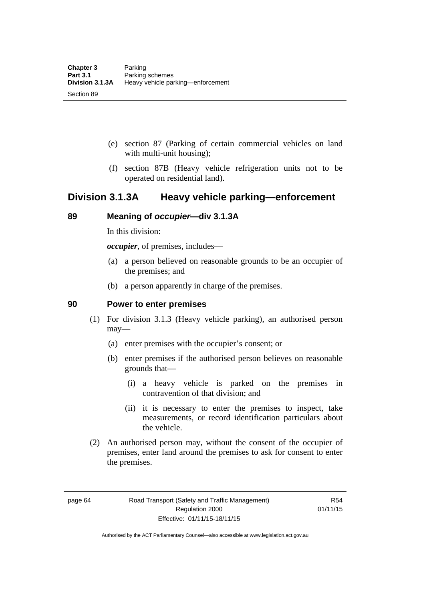- (e) section 87 (Parking of certain commercial vehicles on land with multi-unit housing);
- (f) section 87B (Heavy vehicle refrigeration units not to be operated on residential land).

# **Division 3.1.3A Heavy vehicle parking—enforcement**

#### **89 Meaning of** *occupier***—div 3.1.3A**

In this division:

*occupier*, of premises, includes—

- (a) a person believed on reasonable grounds to be an occupier of the premises; and
- (b) a person apparently in charge of the premises.

#### **90 Power to enter premises**

- (1) For division 3.1.3 (Heavy vehicle parking), an authorised person may—
	- (a) enter premises with the occupier's consent; or
	- (b) enter premises if the authorised person believes on reasonable grounds that—
		- (i) a heavy vehicle is parked on the premises in contravention of that division; and
		- (ii) it is necessary to enter the premises to inspect, take measurements, or record identification particulars about the vehicle.
- (2) An authorised person may, without the consent of the occupier of premises, enter land around the premises to ask for consent to enter the premises.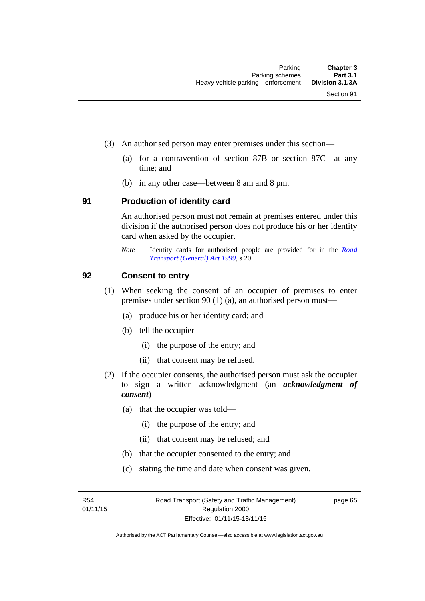- (3) An authorised person may enter premises under this section––
	- (a) for a contravention of section 87B or section 87C––at any time; and
	- (b) in any other case––between 8 am and 8 pm.

#### **91 Production of identity card**

An authorised person must not remain at premises entered under this division if the authorised person does not produce his or her identity card when asked by the occupier.

*Note* Identity cards for authorised people are provided for in the *[Road](http://www.legislation.act.gov.au/a/1999-77)  [Transport \(General\) Act 1999](http://www.legislation.act.gov.au/a/1999-77)*, s 20.

#### **92 Consent to entry**

- (1) When seeking the consent of an occupier of premises to enter premises under section 90 (1) (a), an authorised person must—
	- (a) produce his or her identity card; and
	- (b) tell the occupier—
		- (i) the purpose of the entry; and
		- (ii) that consent may be refused.
- (2) If the occupier consents, the authorised person must ask the occupier to sign a written acknowledgment (an *acknowledgment of consent*)—
	- (a) that the occupier was told—
		- (i) the purpose of the entry; and
		- (ii) that consent may be refused; and
	- (b) that the occupier consented to the entry; and
	- (c) stating the time and date when consent was given.

R54 01/11/15 page 65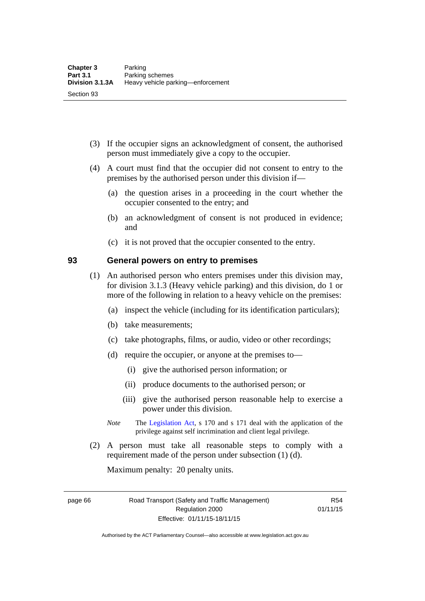- (3) If the occupier signs an acknowledgment of consent, the authorised person must immediately give a copy to the occupier.
- (4) A court must find that the occupier did not consent to entry to the premises by the authorised person under this division if—
	- (a) the question arises in a proceeding in the court whether the occupier consented to the entry; and
	- (b) an acknowledgment of consent is not produced in evidence; and
	- (c) it is not proved that the occupier consented to the entry.

#### **93 General powers on entry to premises**

- (1) An authorised person who enters premises under this division may, for division 3.1.3 (Heavy vehicle parking) and this division, do 1 or more of the following in relation to a heavy vehicle on the premises:
	- (a) inspect the vehicle (including for its identification particulars);
	- (b) take measurements;
	- (c) take photographs, films, or audio, video or other recordings;
	- (d) require the occupier, or anyone at the premises to—
		- (i) give the authorised person information; or
		- (ii) produce documents to the authorised person; or
		- (iii) give the authorised person reasonable help to exercise a power under this division.
	- *Note* The [Legislation Act](http://www.legislation.act.gov.au/a/2001-14), s 170 and s 171 deal with the application of the privilege against self incrimination and client legal privilege.
- (2) A person must take all reasonable steps to comply with a requirement made of the person under subsection (1) (d).

Maximum penalty: 20 penalty units.

page 66 Road Transport (Safety and Traffic Management) Regulation 2000 Effective: 01/11/15-18/11/15

R54 01/11/15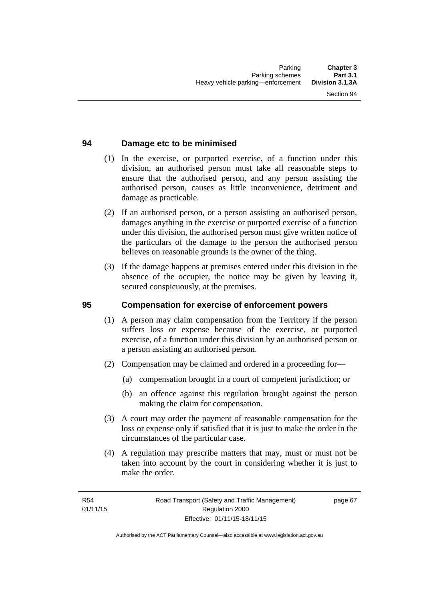#### **94 Damage etc to be minimised**

- (1) In the exercise, or purported exercise, of a function under this division, an authorised person must take all reasonable steps to ensure that the authorised person, and any person assisting the authorised person, causes as little inconvenience, detriment and damage as practicable.
- (2) If an authorised person, or a person assisting an authorised person, damages anything in the exercise or purported exercise of a function under this division, the authorised person must give written notice of the particulars of the damage to the person the authorised person believes on reasonable grounds is the owner of the thing.
- (3) If the damage happens at premises entered under this division in the absence of the occupier, the notice may be given by leaving it, secured conspicuously, at the premises.

#### **95 Compensation for exercise of enforcement powers**

- (1) A person may claim compensation from the Territory if the person suffers loss or expense because of the exercise, or purported exercise, of a function under this division by an authorised person or a person assisting an authorised person.
- (2) Compensation may be claimed and ordered in a proceeding for—
	- (a) compensation brought in a court of competent jurisdiction; or
	- (b) an offence against this regulation brought against the person making the claim for compensation.
- (3) A court may order the payment of reasonable compensation for the loss or expense only if satisfied that it is just to make the order in the circumstances of the particular case.
- (4) A regulation may prescribe matters that may, must or must not be taken into account by the court in considering whether it is just to make the order.

page 67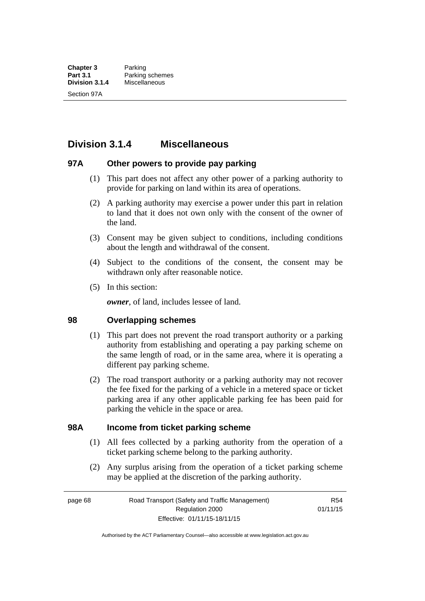# **Division 3.1.4 Miscellaneous**

#### **97A Other powers to provide pay parking**

- (1) This part does not affect any other power of a parking authority to provide for parking on land within its area of operations.
- (2) A parking authority may exercise a power under this part in relation to land that it does not own only with the consent of the owner of the land.
- (3) Consent may be given subject to conditions, including conditions about the length and withdrawal of the consent.
- (4) Subject to the conditions of the consent, the consent may be withdrawn only after reasonable notice.
- (5) In this section:

*owner*, of land, includes lessee of land.

#### **98 Overlapping schemes**

- (1) This part does not prevent the road transport authority or a parking authority from establishing and operating a pay parking scheme on the same length of road, or in the same area, where it is operating a different pay parking scheme.
- (2) The road transport authority or a parking authority may not recover the fee fixed for the parking of a vehicle in a metered space or ticket parking area if any other applicable parking fee has been paid for parking the vehicle in the space or area.

#### **98A Income from ticket parking scheme**

- (1) All fees collected by a parking authority from the operation of a ticket parking scheme belong to the parking authority.
- (2) Any surplus arising from the operation of a ticket parking scheme may be applied at the discretion of the parking authority.

page 68 Road Transport (Safety and Traffic Management) Regulation 2000 Effective: 01/11/15-18/11/15

R54 01/11/15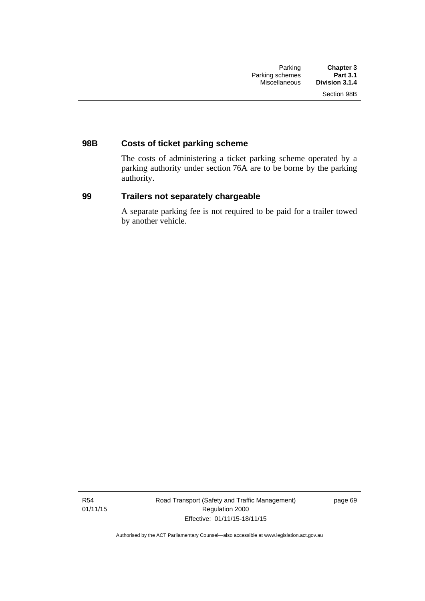# **98B Costs of ticket parking scheme**

The costs of administering a ticket parking scheme operated by a parking authority under section 76A are to be borne by the parking authority.

#### **99 Trailers not separately chargeable**

A separate parking fee is not required to be paid for a trailer towed by another vehicle.

R54 01/11/15 Road Transport (Safety and Traffic Management) Regulation 2000 Effective: 01/11/15-18/11/15

page 69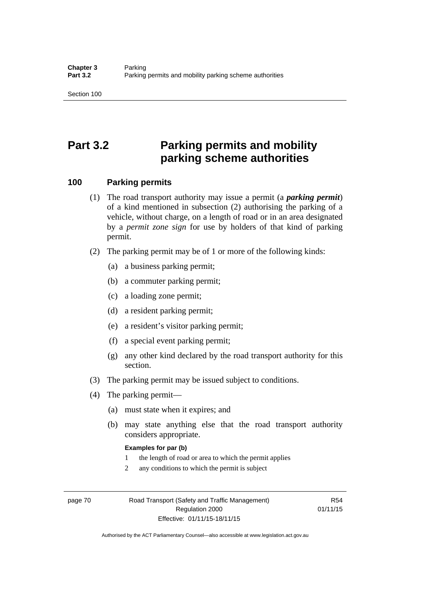# **Part 3.2 Parking permits and mobility parking scheme authorities**

#### **100 Parking permits**

- (1) The road transport authority may issue a permit (a *parking permit*) of a kind mentioned in subsection (2) authorising the parking of a vehicle, without charge, on a length of road or in an area designated by a *permit zone sign* for use by holders of that kind of parking permit.
- (2) The parking permit may be of 1 or more of the following kinds:
	- (a) a business parking permit;
	- (b) a commuter parking permit;
	- (c) a loading zone permit;
	- (d) a resident parking permit;
	- (e) a resident's visitor parking permit;
	- (f) a special event parking permit;
	- (g) any other kind declared by the road transport authority for this section.
- (3) The parking permit may be issued subject to conditions.
- (4) The parking permit—
	- (a) must state when it expires; and
	- (b) may state anything else that the road transport authority considers appropriate.

#### **Examples for par (b)**

- 1 the length of road or area to which the permit applies
- 2 any conditions to which the permit is subject

page 70 Road Transport (Safety and Traffic Management) Regulation 2000 Effective: 01/11/15-18/11/15

R54 01/11/15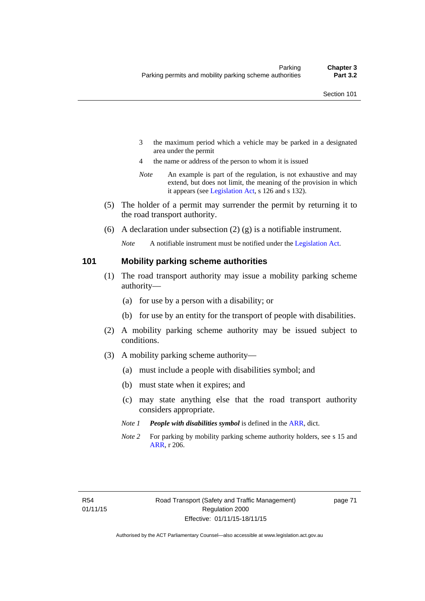- 3 the maximum period which a vehicle may be parked in a designated area under the permit
- 4 the name or address of the person to whom it is issued
- *Note* An example is part of the regulation, is not exhaustive and may extend, but does not limit, the meaning of the provision in which it appears (see [Legislation Act,](http://www.legislation.act.gov.au/a/2001-14) s 126 and s 132).
- (5) The holder of a permit may surrender the permit by returning it to the road transport authority.
- (6) A declaration under subsection  $(2)$  (g) is a notifiable instrument.

*Note* A notifiable instrument must be notified under the [Legislation Act](http://www.legislation.act.gov.au/a/2001-14).

#### **101 Mobility parking scheme authorities**

- (1) The road transport authority may issue a mobility parking scheme authority—
	- (a) for use by a person with a disability; or
	- (b) for use by an entity for the transport of people with disabilities.
- (2) A mobility parking scheme authority may be issued subject to conditions.
- (3) A mobility parking scheme authority—
	- (a) must include a people with disabilities symbol; and
	- (b) must state when it expires; and
	- (c) may state anything else that the road transport authority considers appropriate.
	- *Note 1 People with disabilities symbol* is defined in the [ARR,](http://www.legislation.act.gov.au//ni/db_37271/default.asp) dict.
	- *Note 2* For parking by mobility parking scheme authority holders, see s 15 and [ARR,](http://www.legislation.act.gov.au//ni/db_37271/default.asp) r 206.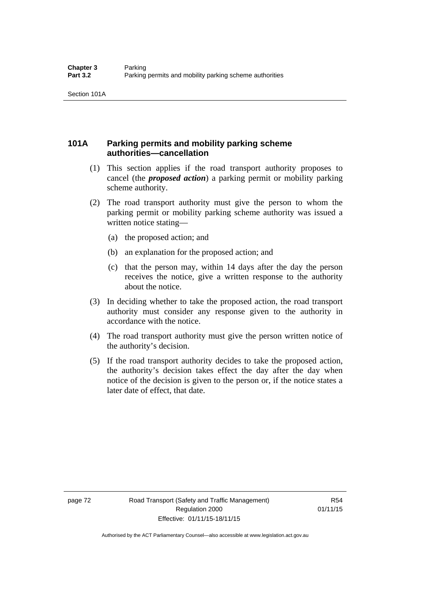#### **101A Parking permits and mobility parking scheme authorities—cancellation**

- (1) This section applies if the road transport authority proposes to cancel (the *proposed action*) a parking permit or mobility parking scheme authority.
- (2) The road transport authority must give the person to whom the parking permit or mobility parking scheme authority was issued a written notice stating—
	- (a) the proposed action; and
	- (b) an explanation for the proposed action; and
	- (c) that the person may, within 14 days after the day the person receives the notice, give a written response to the authority about the notice.
- (3) In deciding whether to take the proposed action, the road transport authority must consider any response given to the authority in accordance with the notice.
- (4) The road transport authority must give the person written notice of the authority's decision.
- (5) If the road transport authority decides to take the proposed action, the authority's decision takes effect the day after the day when notice of the decision is given to the person or, if the notice states a later date of effect, that date.

page 72 Road Transport (Safety and Traffic Management) Regulation 2000 Effective: 01/11/15-18/11/15

R54 01/11/15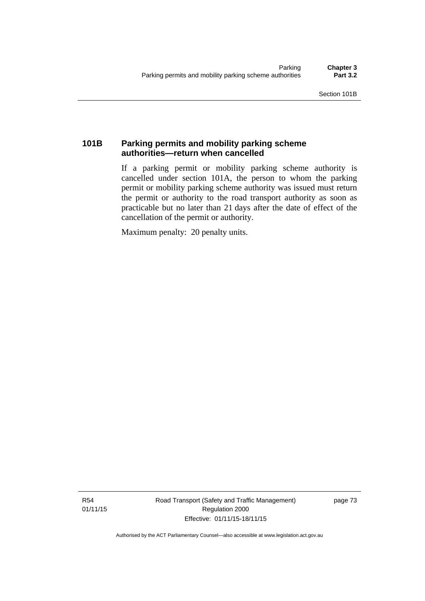## **101B Parking permits and mobility parking scheme authorities—return when cancelled**

If a parking permit or mobility parking scheme authority is cancelled under section 101A, the person to whom the parking permit or mobility parking scheme authority was issued must return the permit or authority to the road transport authority as soon as practicable but no later than 21 days after the date of effect of the cancellation of the permit or authority.

Maximum penalty: 20 penalty units.

R54 01/11/15 Road Transport (Safety and Traffic Management) Regulation 2000 Effective: 01/11/15-18/11/15

page 73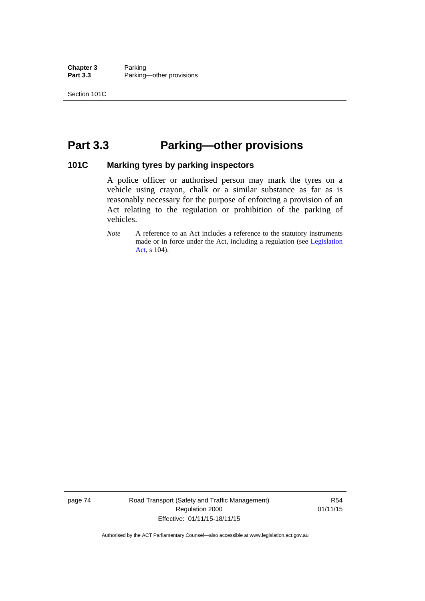**Chapter 3** Parking<br>**Part 3.3** Parking Parking—other provisions

# **Part 3.3 Parking—other provisions**

#### **101C Marking tyres by parking inspectors**

A police officer or authorised person may mark the tyres on a vehicle using crayon, chalk or a similar substance as far as is reasonably necessary for the purpose of enforcing a provision of an Act relating to the regulation or prohibition of the parking of vehicles.

*Note* A reference to an Act includes a reference to the statutory instruments made or in force under the Act, including a regulation (see [Legislation](http://www.legislation.act.gov.au/a/2001-14)  [Act](http://www.legislation.act.gov.au/a/2001-14), s 104).

page 74 Road Transport (Safety and Traffic Management) Regulation 2000 Effective: 01/11/15-18/11/15

R54 01/11/15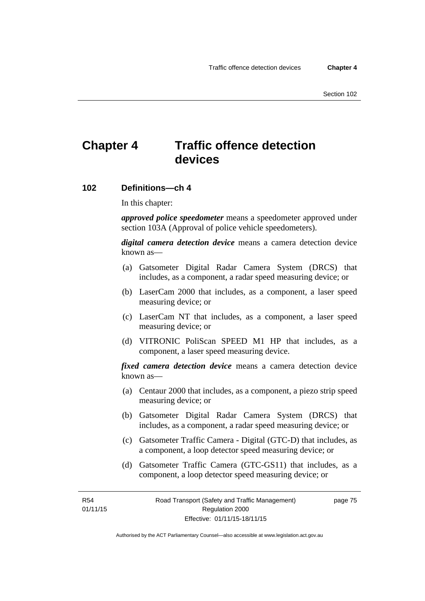# **Chapter 4 Traffic offence detection devices**

#### **102 Definitions—ch 4**

In this chapter:

*approved police speedometer* means a speedometer approved under section 103A (Approval of police vehicle speedometers).

*digital camera detection device* means a camera detection device known as—

- (a) Gatsometer Digital Radar Camera System (DRCS) that includes, as a component, a radar speed measuring device; or
- (b) LaserCam 2000 that includes, as a component, a laser speed measuring device; or
- (c) LaserCam NT that includes, as a component, a laser speed measuring device; or
- (d) VITRONIC PoliScan SPEED M1 HP that includes, as a component, a laser speed measuring device.

*fixed camera detection device* means a camera detection device known as—

- (a) Centaur 2000 that includes, as a component, a piezo strip speed measuring device; or
- (b) Gatsometer Digital Radar Camera System (DRCS) that includes, as a component, a radar speed measuring device; or
- (c) Gatsometer Traffic Camera Digital (GTC-D) that includes, as a component, a loop detector speed measuring device; or
- (d) Gatsometer Traffic Camera (GTC-GS11) that includes, as a component, a loop detector speed measuring device; or

R54 01/11/15 page 75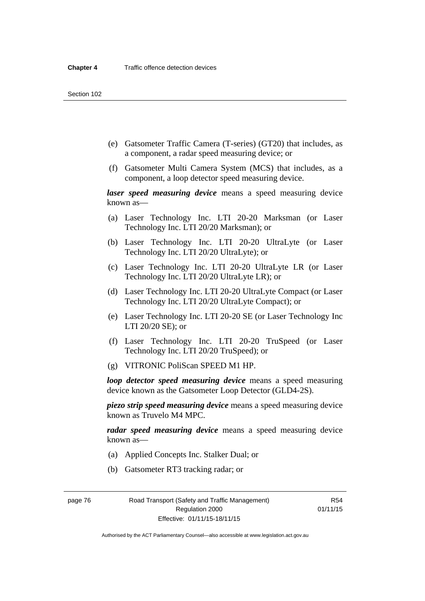- (e) Gatsometer Traffic Camera (T-series) (GT20) that includes, as a component, a radar speed measuring device; or
- (f) Gatsometer Multi Camera System (MCS) that includes, as a component, a loop detector speed measuring device.

*laser speed measuring device* means a speed measuring device known as—

- (a) Laser Technology Inc. LTI 20-20 Marksman (or Laser Technology Inc. LTI 20/20 Marksman); or
- (b) Laser Technology Inc. LTI 20-20 UltraLyte (or Laser Technology Inc. LTI 20/20 UltraLyte); or
- (c) Laser Technology Inc. LTI 20-20 UltraLyte LR (or Laser Technology Inc. LTI 20/20 UltraLyte LR); or
- (d) Laser Technology Inc. LTI 20-20 UltraLyte Compact (or Laser Technology Inc. LTI 20/20 UltraLyte Compact); or
- (e) Laser Technology Inc. LTI 20-20 SE (or Laser Technology Inc LTI 20/20 SE); or
- (f) Laser Technology Inc. LTI 20-20 TruSpeed (or Laser Technology Inc. LTI 20/20 TruSpeed); or
- (g) VITRONIC PoliScan SPEED M1 HP.

*loop detector speed measuring device* means a speed measuring device known as the Gatsometer Loop Detector (GLD4-2S).

*piezo strip speed measuring device* means a speed measuring device known as Truvelo M4 MPC.

*radar speed measuring device* means a speed measuring device known as—

- (a) Applied Concepts Inc. Stalker Dual; or
- (b) Gatsometer RT3 tracking radar; or

page 76 Road Transport (Safety and Traffic Management) Regulation 2000 Effective: 01/11/15-18/11/15

R54 01/11/15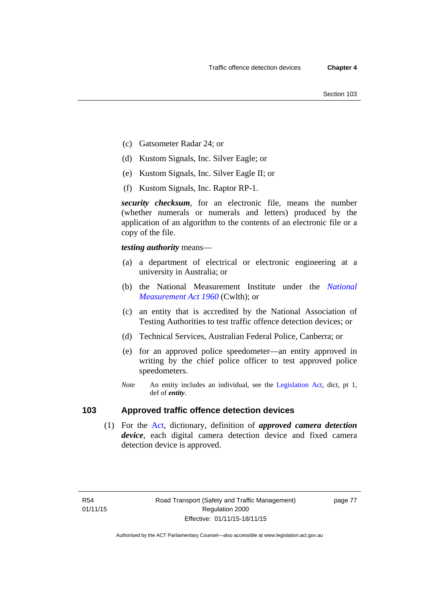- (c) Gatsometer Radar 24; or
- (d) Kustom Signals, Inc. Silver Eagle; or
- (e) Kustom Signals, Inc. Silver Eagle II; or
- (f) Kustom Signals, Inc. Raptor RP-1.

*security checksum*, for an electronic file, means the number (whether numerals or numerals and letters) produced by the application of an algorithm to the contents of an electronic file or a copy of the file.

*testing authority* means—

- (a) a department of electrical or electronic engineering at a university in Australia; or
- (b) the National Measurement Institute under the *[National](http://www.comlaw.gov.au/Series/C2004A07405)  [Measurement Act 1960](http://www.comlaw.gov.au/Series/C2004A07405)* (Cwlth); or
- (c) an entity that is accredited by the National Association of Testing Authorities to test traffic offence detection devices; or
- (d) Technical Services, Australian Federal Police, Canberra; or
- (e) for an approved police speedometer—an entity approved in writing by the chief police officer to test approved police speedometers.
- *Note* An entity includes an individual, see the [Legislation Act,](http://www.legislation.act.gov.au/a/2001-14) dict, pt 1, def of *entity*.

#### **103 Approved traffic offence detection devices**

 (1) For the [Act,](http://www.legislation.act.gov.au/a/1999-80/default.asp) dictionary, definition of *approved camera detection device*, each digital camera detection device and fixed camera detection device is approved.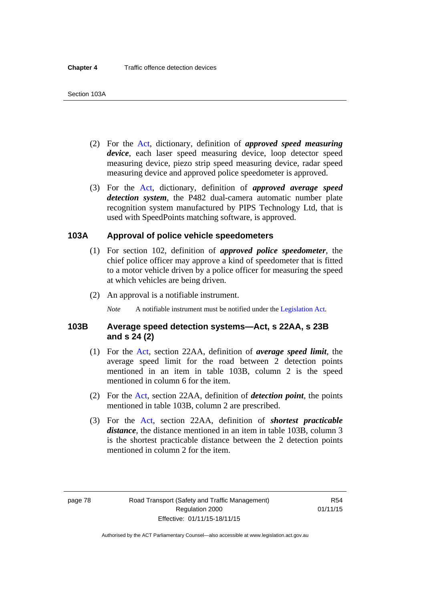- (2) For the [Act,](http://www.legislation.act.gov.au/a/1999-80/default.asp) dictionary, definition of *approved speed measuring device*, each laser speed measuring device, loop detector speed measuring device, piezo strip speed measuring device, radar speed measuring device and approved police speedometer is approved.
- (3) For the [Act](http://www.legislation.act.gov.au/a/1999-80/default.asp), dictionary, definition of *approved average speed detection system*, the P482 dual-camera automatic number plate recognition system manufactured by PIPS Technology Ltd, that is used with SpeedPoints matching software, is approved.

#### **103A Approval of police vehicle speedometers**

- (1) For section 102, definition of *approved police speedometer*, the chief police officer may approve a kind of speedometer that is fitted to a motor vehicle driven by a police officer for measuring the speed at which vehicles are being driven.
- (2) An approval is a notifiable instrument.

*Note* A notifiable instrument must be notified under the [Legislation Act](http://www.legislation.act.gov.au/a/2001-14).

#### **103B Average speed detection systems—Act, s 22AA, s 23B and s 24 (2)**

- (1) For the [Act](http://www.legislation.act.gov.au/a/1999-80/default.asp), section 22AA, definition of *average speed limit*, the average speed limit for the road between 2 detection points mentioned in an item in table 103B, column 2 is the speed mentioned in column 6 for the item.
- (2) For the [Act](http://www.legislation.act.gov.au/a/1999-80/default.asp), section 22AA, definition of *detection point*, the points mentioned in table 103B, column 2 are prescribed.
- (3) For the [Act](http://www.legislation.act.gov.au/a/1999-80/default.asp), section 22AA, definition of *shortest practicable distance*, the distance mentioned in an item in table 103B, column 3 is the shortest practicable distance between the 2 detection points mentioned in column 2 for the item.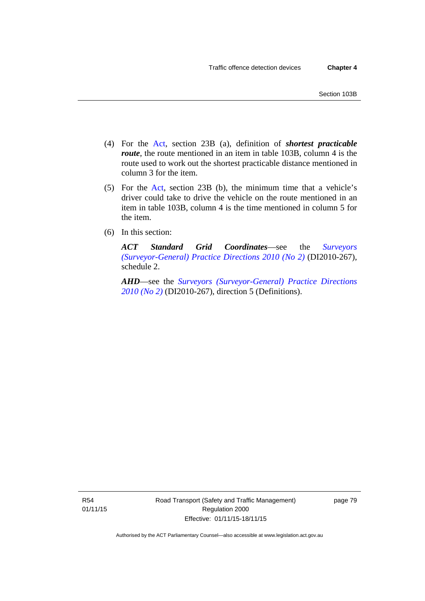- (4) For the [Act,](http://www.legislation.act.gov.au/a/1999-80/default.asp) section 23B (a), definition of *shortest practicable route*, the route mentioned in an item in table 103B, column 4 is the route used to work out the shortest practicable distance mentioned in column 3 for the item.
- (5) For the [Act](http://www.legislation.act.gov.au/a/1999-80/default.asp), section 23B (b), the minimum time that a vehicle's driver could take to drive the vehicle on the route mentioned in an item in table 103B, column 4 is the time mentioned in column 5 for the item.
- (6) In this section:

*ACT Standard Grid Coordinates*—see the *[Surveyors](http://www.legislation.act.gov.au/di/2010-267/default.asp)  [\(Surveyor-General\) Practice Directions 2010 \(No 2\)](http://www.legislation.act.gov.au/di/2010-267/default.asp)* (DI2010-267), schedule 2.

*AHD*—see the *[Surveyors \(Surveyor-General\) Practice Directions](http://www.legislation.act.gov.au/di/2010-267/default.asp)  [2010 \(No 2\)](http://www.legislation.act.gov.au/di/2010-267/default.asp)* (DI2010-267), direction 5 (Definitions).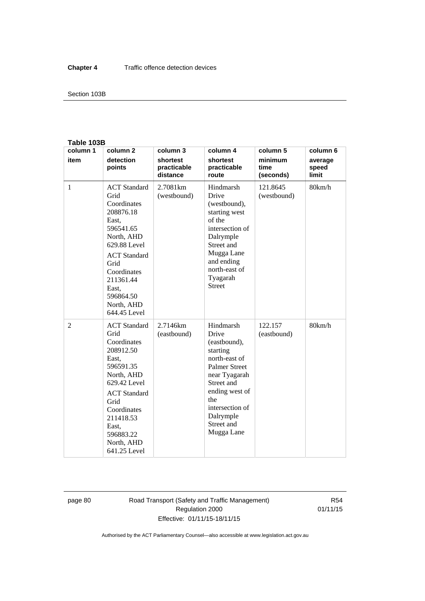#### Section 103B

#### **Table 103B**

| column 1 | column <sub>2</sub>                                                                                                                                                                                                        | column 3                            | column 4                                                                                                                                                                                                    | column 5                     | column 6                  |
|----------|----------------------------------------------------------------------------------------------------------------------------------------------------------------------------------------------------------------------------|-------------------------------------|-------------------------------------------------------------------------------------------------------------------------------------------------------------------------------------------------------------|------------------------------|---------------------------|
| item     | detection<br>points                                                                                                                                                                                                        | shortest<br>practicable<br>distance | shortest<br>practicable<br>route                                                                                                                                                                            | minimum<br>time<br>(seconds) | average<br>speed<br>limit |
| 1        | <b>ACT</b> Standard<br>Grid<br>Coordinates<br>208876.18<br>East,<br>596541.65<br>North, AHD<br>629.88 Level<br><b>ACT</b> Standard<br>Grid<br>Coordinates<br>211361.44<br>East.<br>596864.50<br>North, AHD<br>644.45 Level | 2.7081 <sub>km</sub><br>(westbound) | Hindmarsh<br>Drive<br>(westbound),<br>starting west<br>of the<br>intersection of<br>Dalrymple<br>Street and<br>Mugga Lane<br>and ending<br>north-east of<br>Tyagarah<br><b>Street</b>                       | 121.8645<br>(westbound)      | 80km/h                    |
| 2        | <b>ACT</b> Standard<br>Grid<br>Coordinates<br>208912.50<br>East,<br>596591.35<br>North, AHD<br>629.42 Level<br><b>ACT</b> Standard<br>Grid<br>Coordinates<br>211418.53<br>East.<br>596883.22<br>North, AHD<br>641.25 Level | 2.7146km<br>(eastbound)             | Hindmarsh<br>Drive<br>(eastbound),<br>starting<br>north-east of<br><b>Palmer Street</b><br>near Tyagarah<br>Street and<br>ending west of<br>the<br>intersection of<br>Dalrymple<br>Street and<br>Mugga Lane | 122.157<br>(eastbound)       | 80km/h                    |

page 80 Road Transport (Safety and Traffic Management) Regulation 2000 Effective: 01/11/15-18/11/15

R54 01/11/15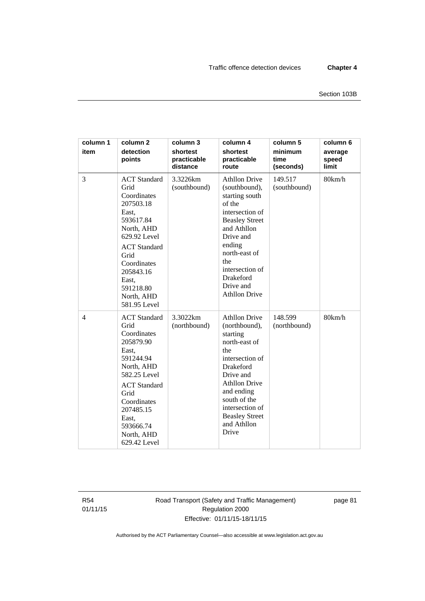| column 1<br>item | column <sub>2</sub><br>detection<br>points                                                                                                                                                                                 | column 3<br>shortest<br>practicable<br>distance | column 4<br>shortest<br>practicable<br>route                                                                                                                                                                                                            | column 5<br>minimum<br>time<br>(seconds) | column 6<br>average<br>speed<br>limit |
|------------------|----------------------------------------------------------------------------------------------------------------------------------------------------------------------------------------------------------------------------|-------------------------------------------------|---------------------------------------------------------------------------------------------------------------------------------------------------------------------------------------------------------------------------------------------------------|------------------------------------------|---------------------------------------|
| 3                | <b>ACT</b> Standard<br>Grid<br>Coordinates<br>207503.18<br>East,<br>593617.84<br>North, AHD<br>629.92 Level<br><b>ACT</b> Standard<br>Grid<br>Coordinates<br>205843.16<br>East,<br>591218.80<br>North, AHD<br>581.95 Level | 3.3226km<br>(southbound)                        | <b>Athllon Drive</b><br>(southbound),<br>starting south<br>of the<br>intersection of<br><b>Beasley Street</b><br>and Athllon<br>Drive and<br>ending<br>north-east of<br>the<br>intersection of<br><b>Drakeford</b><br>Drive and<br><b>Athllon Drive</b> | 149.517<br>(southbound)                  | 80km/h                                |
| $\overline{4}$   | <b>ACT</b> Standard<br>Grid<br>Coordinates<br>205879.90<br>East,<br>591244.94<br>North, AHD<br>582.25 Level<br><b>ACT</b> Standard<br>Grid<br>Coordinates<br>207485.15<br>East,<br>593666.74<br>North, AHD<br>629.42 Level | 3.3022km<br>(northbound)                        | <b>Athllon Drive</b><br>(northbound),<br>starting<br>north-east of<br>the<br>intersection of<br><b>Drakeford</b><br>Drive and<br><b>Athllon Drive</b><br>and ending<br>south of the<br>intersection of<br><b>Beasley Street</b><br>and Athllon<br>Drive | 148.599<br>(northbound)                  | 80km/h                                |

R54 01/11/15 Road Transport (Safety and Traffic Management) Regulation 2000 Effective: 01/11/15-18/11/15

page 81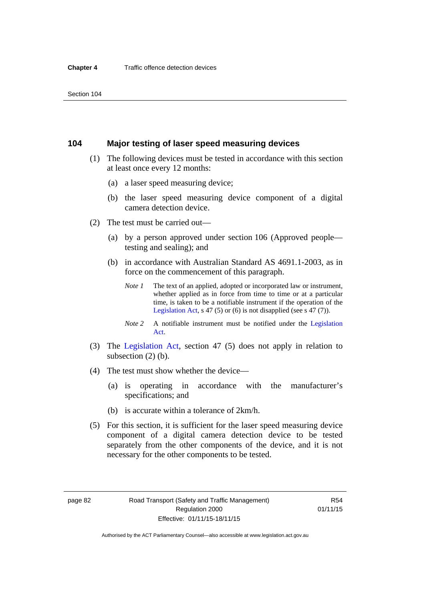#### **104 Major testing of laser speed measuring devices**

- (1) The following devices must be tested in accordance with this section at least once every 12 months:
	- (a) a laser speed measuring device;
	- (b) the laser speed measuring device component of a digital camera detection device.
- (2) The test must be carried out—
	- (a) by a person approved under section 106 (Approved people testing and sealing); and
	- (b) in accordance with Australian Standard AS 4691.1-2003, as in force on the commencement of this paragraph.
		- *Note 1* The text of an applied, adopted or incorporated law or instrument, whether applied as in force from time to time or at a particular time, is taken to be a notifiable instrument if the operation of the [Legislation Act,](http://www.legislation.act.gov.au/a/2001-14) s 47 (5) or (6) is not disapplied (see s 47 (7)).
		- *Note 2* A notifiable instrument must be notified under the [Legislation](http://www.legislation.act.gov.au/a/2001-14)  [Act](http://www.legislation.act.gov.au/a/2001-14).
- (3) The [Legislation Act,](http://www.legislation.act.gov.au/a/2001-14) section 47 (5) does not apply in relation to subsection (2) (b).
- (4) The test must show whether the device—
	- (a) is operating in accordance with the manufacturer's specifications; and
	- (b) is accurate within a tolerance of 2km/h.
- (5) For this section, it is sufficient for the laser speed measuring device component of a digital camera detection device to be tested separately from the other components of the device, and it is not necessary for the other components to be tested.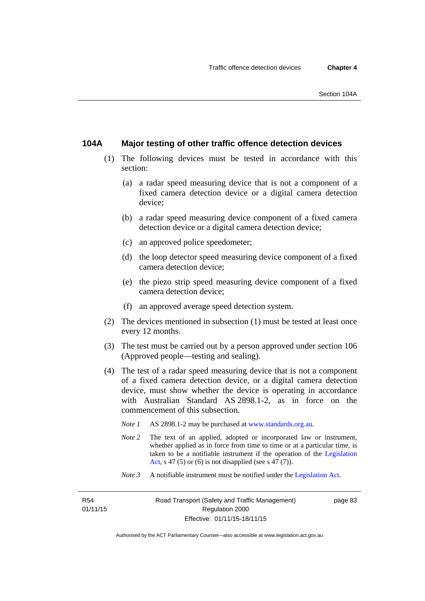#### **104A Major testing of other traffic offence detection devices**

- (1) The following devices must be tested in accordance with this section:
	- (a) a radar speed measuring device that is not a component of a fixed camera detection device or a digital camera detection device;
	- (b) a radar speed measuring device component of a fixed camera detection device or a digital camera detection device;
	- (c) an approved police speedometer;
	- (d) the loop detector speed measuring device component of a fixed camera detection device;
	- (e) the piezo strip speed measuring device component of a fixed camera detection device;
	- (f) an approved average speed detection system.
- (2) The devices mentioned in subsection (1) must be tested at least once every 12 months.
- (3) The test must be carried out by a person approved under section 106 (Approved people—testing and sealing).
- (4) The test of a radar speed measuring device that is not a component of a fixed camera detection device, or a digital camera detection device, must show whether the device is operating in accordance with Australian Standard AS 2898.1-2, as in force on the commencement of this subsection.
	- *Note 1* AS 2898.1-2 may be purchased at [www.standards.org.au](http://www.standards.org.au/Pages/default.aspx)*.*
	- *Note* 2 The text of an applied, adopted or incorporated law or instrument, whether applied as in force from time to time or at a particular time, is taken to be a notifiable instrument if the operation of the [Legislation](http://www.legislation.act.gov.au/a/2001-14)  [Act,](http://www.legislation.act.gov.au/a/2001-14) s 47 (5) or (6) is not disapplied (see s 47 (7)).
	- *Note 3* A notifiable instrument must be notified under the [Legislation Act](http://www.legislation.act.gov.au/a/2001-14).

R54 01/11/15 page 83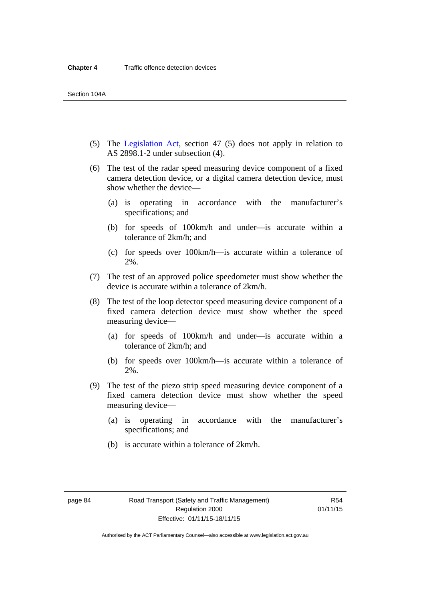- (5) The [Legislation Act,](http://www.legislation.act.gov.au/a/2001-14) section 47 (5) does not apply in relation to AS 2898.1-2 under subsection (4).
- (6) The test of the radar speed measuring device component of a fixed camera detection device, or a digital camera detection device, must show whether the device—
	- (a) is operating in accordance with the manufacturer's specifications; and
	- (b) for speeds of 100km/h and under—is accurate within a tolerance of 2km/h; and
	- (c) for speeds over 100km/h—is accurate within a tolerance of 2%.
- (7) The test of an approved police speedometer must show whether the device is accurate within a tolerance of 2km/h.
- (8) The test of the loop detector speed measuring device component of a fixed camera detection device must show whether the speed measuring device—
	- (a) for speeds of 100km/h and under—is accurate within a tolerance of 2km/h; and
	- (b) for speeds over 100km/h—is accurate within a tolerance of 2%.
- (9) The test of the piezo strip speed measuring device component of a fixed camera detection device must show whether the speed measuring device—
	- (a) is operating in accordance with the manufacturer's specifications; and
	- (b) is accurate within a tolerance of 2km/h.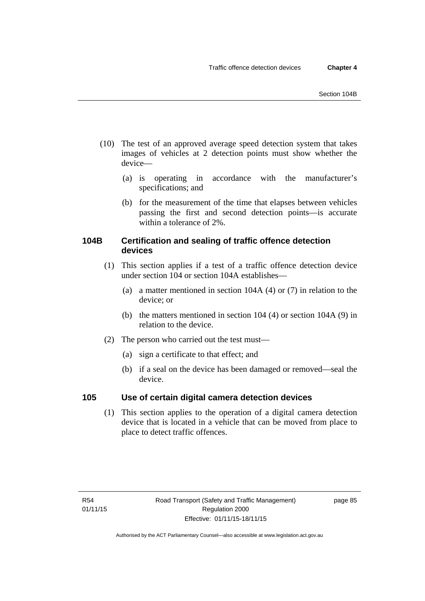- (10) The test of an approved average speed detection system that takes images of vehicles at 2 detection points must show whether the device—
	- (a) is operating in accordance with the manufacturer's specifications; and
	- (b) for the measurement of the time that elapses between vehicles passing the first and second detection points—is accurate within a tolerance of 2%.

# **104B Certification and sealing of traffic offence detection devices**

- (1) This section applies if a test of a traffic offence detection device under section 104 or section 104A establishes—
	- (a) a matter mentioned in section 104A (4) or (7) in relation to the device; or
	- (b) the matters mentioned in section 104 (4) or section 104A (9) in relation to the device.
- (2) The person who carried out the test must—
	- (a) sign a certificate to that effect; and
	- (b) if a seal on the device has been damaged or removed—seal the device.

## **105 Use of certain digital camera detection devices**

(1) This section applies to the operation of a digital camera detection device that is located in a vehicle that can be moved from place to place to detect traffic offences.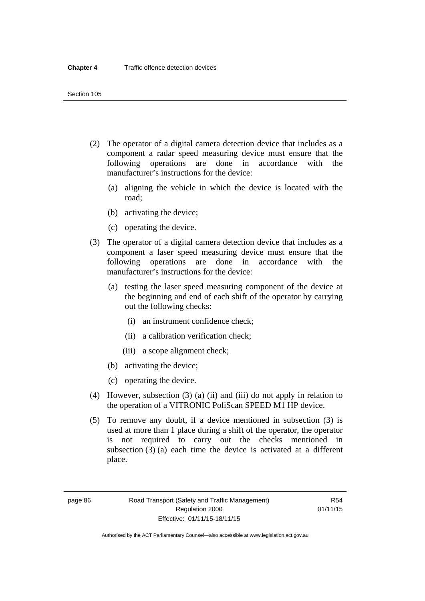- (2) The operator of a digital camera detection device that includes as a component a radar speed measuring device must ensure that the following operations are done in accordance with the manufacturer's instructions for the device:
	- (a) aligning the vehicle in which the device is located with the road;
	- (b) activating the device;
	- (c) operating the device.
- (3) The operator of a digital camera detection device that includes as a component a laser speed measuring device must ensure that the following operations are done in accordance with the manufacturer's instructions for the device:
	- (a) testing the laser speed measuring component of the device at the beginning and end of each shift of the operator by carrying out the following checks:
		- (i) an instrument confidence check;
		- (ii) a calibration verification check;
		- (iii) a scope alignment check;
	- (b) activating the device;
	- (c) operating the device.
- (4) However, subsection (3) (a) (ii) and (iii) do not apply in relation to the operation of a VITRONIC PoliScan SPEED M1 HP device.
- (5) To remove any doubt, if a device mentioned in subsection (3) is used at more than 1 place during a shift of the operator, the operator is not required to carry out the checks mentioned in subsection (3) (a) each time the device is activated at a different place.

page 86 Road Transport (Safety and Traffic Management) Regulation 2000 Effective: 01/11/15-18/11/15

R54 01/11/15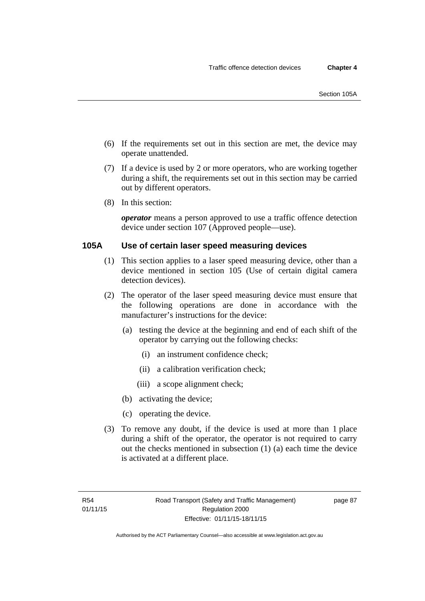- (6) If the requirements set out in this section are met, the device may operate unattended.
- (7) If a device is used by 2 or more operators, who are working together during a shift, the requirements set out in this section may be carried out by different operators.
- (8) In this section:

*operator* means a person approved to use a traffic offence detection device under section 107 (Approved people—use).

#### **105A Use of certain laser speed measuring devices**

- (1) This section applies to a laser speed measuring device, other than a device mentioned in section 105 (Use of certain digital camera detection devices).
- (2) The operator of the laser speed measuring device must ensure that the following operations are done in accordance with the manufacturer's instructions for the device:
	- (a) testing the device at the beginning and end of each shift of the operator by carrying out the following checks:
		- (i) an instrument confidence check;
		- (ii) a calibration verification check;
		- (iii) a scope alignment check;
	- (b) activating the device;
	- (c) operating the device.
- (3) To remove any doubt, if the device is used at more than 1 place during a shift of the operator, the operator is not required to carry out the checks mentioned in subsection (1) (a) each time the device is activated at a different place.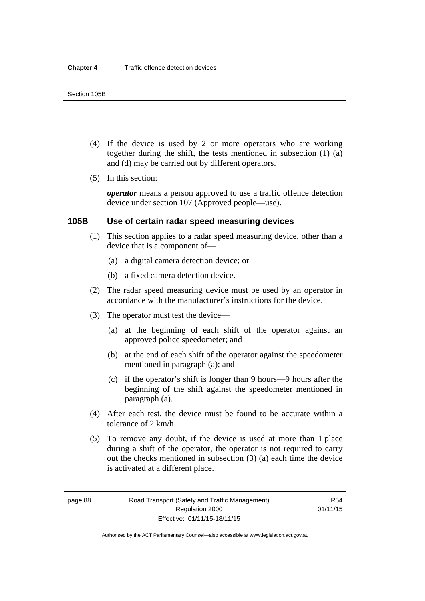- (4) If the device is used by 2 or more operators who are working together during the shift, the tests mentioned in subsection (1) (a) and (d) may be carried out by different operators.
- (5) In this section:

*operator* means a person approved to use a traffic offence detection device under section 107 (Approved people—use).

#### **105B Use of certain radar speed measuring devices**

- (1) This section applies to a radar speed measuring device, other than a device that is a component of—
	- (a) a digital camera detection device; or
	- (b) a fixed camera detection device.
- (2) The radar speed measuring device must be used by an operator in accordance with the manufacturer's instructions for the device.
- (3) The operator must test the device—
	- (a) at the beginning of each shift of the operator against an approved police speedometer; and
	- (b) at the end of each shift of the operator against the speedometer mentioned in paragraph (a); and
	- (c) if the operator's shift is longer than 9 hours—9 hours after the beginning of the shift against the speedometer mentioned in paragraph (a).
- (4) After each test, the device must be found to be accurate within a tolerance of 2 km/h.
- (5) To remove any doubt, if the device is used at more than 1 place during a shift of the operator, the operator is not required to carry out the checks mentioned in subsection (3) (a) each time the device is activated at a different place.

page 88 Road Transport (Safety and Traffic Management) Regulation 2000 Effective: 01/11/15-18/11/15

R54 01/11/15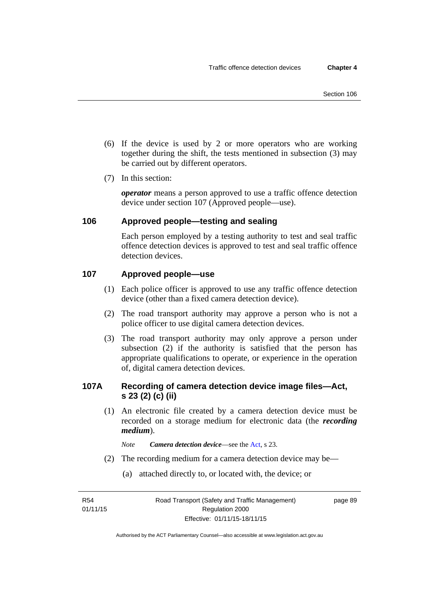- (6) If the device is used by 2 or more operators who are working together during the shift, the tests mentioned in subsection (3) may be carried out by different operators.
- (7) In this section:

*operator* means a person approved to use a traffic offence detection device under section 107 (Approved people—use).

## **106 Approved people—testing and sealing**

Each person employed by a testing authority to test and seal traffic offence detection devices is approved to test and seal traffic offence detection devices.

#### **107 Approved people—use**

- (1) Each police officer is approved to use any traffic offence detection device (other than a fixed camera detection device).
- (2) The road transport authority may approve a person who is not a police officer to use digital camera detection devices.
- (3) The road transport authority may only approve a person under subsection (2) if the authority is satisfied that the person has appropriate qualifications to operate, or experience in the operation of, digital camera detection devices.

## **107A Recording of camera detection device image files—Act, s 23 (2) (c) (ii)**

(1) An electronic file created by a camera detection device must be recorded on a storage medium for electronic data (the *recording medium*).

*Note Camera detection device*—see the [Act](http://www.legislation.act.gov.au/a/1999-80/default.asp), s 23.

- (2) The recording medium for a camera detection device may be—
	- (a) attached directly to, or located with, the device; or

R54 01/11/15 page 89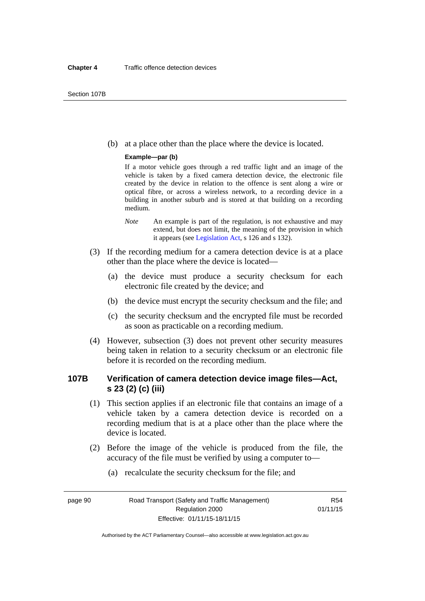(b) at a place other than the place where the device is located.

#### **Example—par (b)**

If a motor vehicle goes through a red traffic light and an image of the vehicle is taken by a fixed camera detection device, the electronic file created by the device in relation to the offence is sent along a wire or optical fibre, or across a wireless network, to a recording device in a building in another suburb and is stored at that building on a recording medium.

- *Note* An example is part of the regulation, is not exhaustive and may extend, but does not limit, the meaning of the provision in which it appears (see [Legislation Act,](http://www.legislation.act.gov.au/a/2001-14) s 126 and s 132).
- (3) If the recording medium for a camera detection device is at a place other than the place where the device is located—
	- (a) the device must produce a security checksum for each electronic file created by the device; and
	- (b) the device must encrypt the security checksum and the file; and
	- (c) the security checksum and the encrypted file must be recorded as soon as practicable on a recording medium.
- (4) However, subsection (3) does not prevent other security measures being taken in relation to a security checksum or an electronic file before it is recorded on the recording medium.

#### **107B Verification of camera detection device image files—Act, s 23 (2) (c) (iii)**

- (1) This section applies if an electronic file that contains an image of a vehicle taken by a camera detection device is recorded on a recording medium that is at a place other than the place where the device is located.
- (2) Before the image of the vehicle is produced from the file, the accuracy of the file must be verified by using a computer to—
	- (a) recalculate the security checksum for the file; and

page 90 Road Transport (Safety and Traffic Management) Regulation 2000 Effective: 01/11/15-18/11/15

R54 01/11/15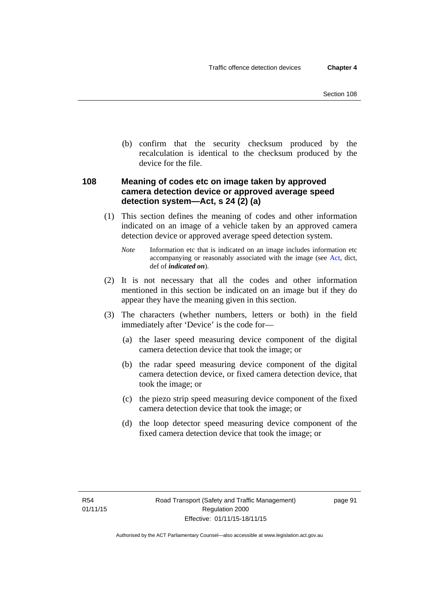(b) confirm that the security checksum produced by the recalculation is identical to the checksum produced by the device for the file.

## **108 Meaning of codes etc on image taken by approved camera detection device or approved average speed detection system—Act, s 24 (2) (a)**

(1) This section defines the meaning of codes and other information indicated on an image of a vehicle taken by an approved camera detection device or approved average speed detection system.

*Note* Information etc that is indicated on an image includes information etc accompanying or reasonably associated with the image (see [Act,](http://www.legislation.act.gov.au/a/1999-80/default.asp) dict, def of *indicated on*).

- (2) It is not necessary that all the codes and other information mentioned in this section be indicated on an image but if they do appear they have the meaning given in this section.
- (3) The characters (whether numbers, letters or both) in the field immediately after 'Device' is the code for—
	- (a) the laser speed measuring device component of the digital camera detection device that took the image; or
	- (b) the radar speed measuring device component of the digital camera detection device, or fixed camera detection device, that took the image; or
	- (c) the piezo strip speed measuring device component of the fixed camera detection device that took the image; or
	- (d) the loop detector speed measuring device component of the fixed camera detection device that took the image; or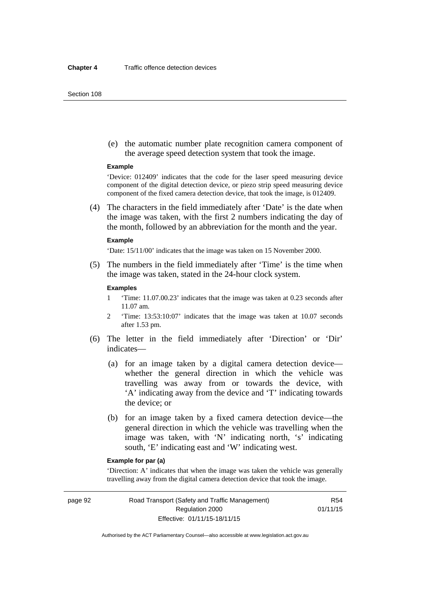#### Section 108

 (e) the automatic number plate recognition camera component of the average speed detection system that took the image.

#### **Example**

'Device: 012409' indicates that the code for the laser speed measuring device component of the digital detection device, or piezo strip speed measuring device component of the fixed camera detection device, that took the image, is 012409.

 (4) The characters in the field immediately after 'Date' is the date when the image was taken, with the first 2 numbers indicating the day of the month, followed by an abbreviation for the month and the year.

#### **Example**

'Date: 15/11/00' indicates that the image was taken on 15 November 2000.

 (5) The numbers in the field immediately after 'Time' is the time when the image was taken, stated in the 24-hour clock system.

#### **Examples**

- 1 'Time: 11.07.00.23' indicates that the image was taken at 0.23 seconds after 11.07 am.
- 2 'Time: 13:53:10:07' indicates that the image was taken at 10.07 seconds after 1.53 pm.
- (6) The letter in the field immediately after 'Direction' or 'Dir' indicates—
	- (a) for an image taken by a digital camera detection device whether the general direction in which the vehicle was travelling was away from or towards the device, with 'A' indicating away from the device and 'T' indicating towards the device; or
	- (b) for an image taken by a fixed camera detection device—the general direction in which the vehicle was travelling when the image was taken, with 'N' indicating north, 's' indicating south, 'E' indicating east and 'W' indicating west.

### **Example for par (a)**

'Direction: A' indicates that when the image was taken the vehicle was generally travelling away from the digital camera detection device that took the image.

page 92 Road Transport (Safety and Traffic Management) Regulation 2000 Effective: 01/11/15-18/11/15

R54 01/11/15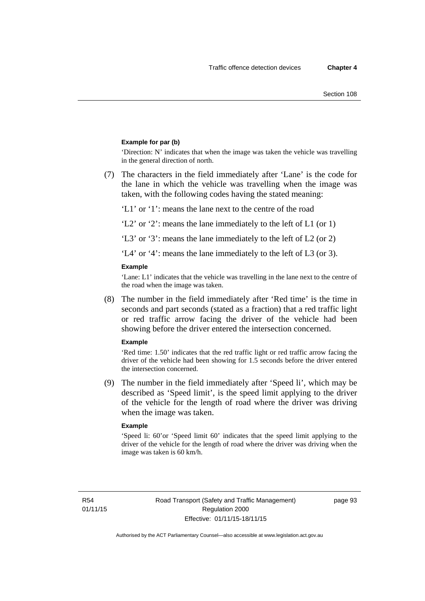#### **Example for par (b)**

'Direction: N' indicates that when the image was taken the vehicle was travelling in the general direction of north.

 (7) The characters in the field immediately after 'Lane' is the code for the lane in which the vehicle was travelling when the image was taken, with the following codes having the stated meaning:

'L1' or '1': means the lane next to the centre of the road

'L2' or '2': means the lane immediately to the left of L1 (or 1)

'L3' or '3': means the lane immediately to the left of L2 (or 2)

'L4' or '4': means the lane immediately to the left of L3 (or 3).

#### **Example**

'Lane: L1' indicates that the vehicle was travelling in the lane next to the centre of the road when the image was taken.

 (8) The number in the field immediately after 'Red time' is the time in seconds and part seconds (stated as a fraction) that a red traffic light or red traffic arrow facing the driver of the vehicle had been showing before the driver entered the intersection concerned.

#### **Example**

'Red time: 1.50' indicates that the red traffic light or red traffic arrow facing the driver of the vehicle had been showing for 1.5 seconds before the driver entered the intersection concerned.

 (9) The number in the field immediately after 'Speed li', which may be described as 'Speed limit', is the speed limit applying to the driver of the vehicle for the length of road where the driver was driving when the image was taken.

#### **Example**

'Speed li: 60'or 'Speed limit 60' indicates that the speed limit applying to the driver of the vehicle for the length of road where the driver was driving when the image was taken is 60 km/h.

R54 01/11/15 page 93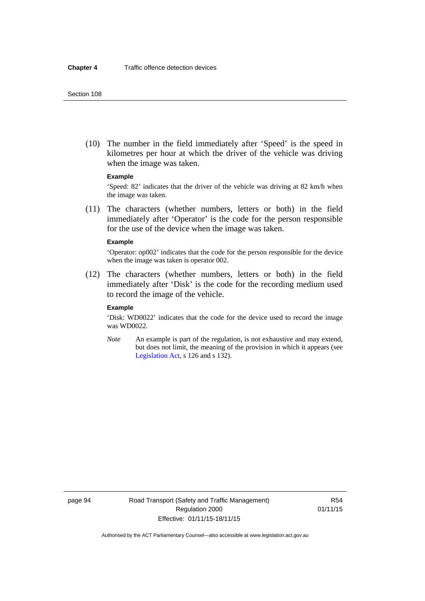(10) The number in the field immediately after 'Speed' is the speed in kilometres per hour at which the driver of the vehicle was driving when the image was taken.

#### **Example**

'Speed: 82' indicates that the driver of the vehicle was driving at 82 km/h when the image was taken.

 (11) The characters (whether numbers, letters or both) in the field immediately after 'Operator' is the code for the person responsible for the use of the device when the image was taken.

#### **Example**

'Operator: op002' indicates that the code for the person responsible for the device when the image was taken is operator 002.

 (12) The characters (whether numbers, letters or both) in the field immediately after 'Disk' is the code for the recording medium used to record the image of the vehicle.

#### **Example**

'Disk: WD0022' indicates that the code for the device used to record the image was WD0022.

*Note* An example is part of the regulation, is not exhaustive and may extend, but does not limit, the meaning of the provision in which it appears (see [Legislation Act,](http://www.legislation.act.gov.au/a/2001-14) s 126 and s 132).

page 94 Road Transport (Safety and Traffic Management) Regulation 2000 Effective: 01/11/15-18/11/15

R54 01/11/15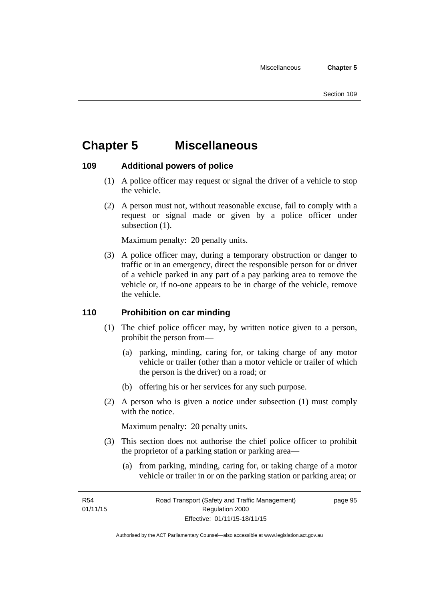# **Chapter 5 Miscellaneous**

## **109 Additional powers of police**

- (1) A police officer may request or signal the driver of a vehicle to stop the vehicle.
- (2) A person must not, without reasonable excuse, fail to comply with a request or signal made or given by a police officer under subsection  $(1)$ .

Maximum penalty: 20 penalty units.

 (3) A police officer may, during a temporary obstruction or danger to traffic or in an emergency, direct the responsible person for or driver of a vehicle parked in any part of a pay parking area to remove the vehicle or, if no-one appears to be in charge of the vehicle, remove the vehicle.

## **110 Prohibition on car minding**

- (1) The chief police officer may, by written notice given to a person, prohibit the person from—
	- (a) parking, minding, caring for, or taking charge of any motor vehicle or trailer (other than a motor vehicle or trailer of which the person is the driver) on a road; or
	- (b) offering his or her services for any such purpose.
- (2) A person who is given a notice under subsection (1) must comply with the notice.

Maximum penalty: 20 penalty units.

- (3) This section does not authorise the chief police officer to prohibit the proprietor of a parking station or parking area—
	- (a) from parking, minding, caring for, or taking charge of a motor vehicle or trailer in or on the parking station or parking area; or

R54 01/11/15 page 95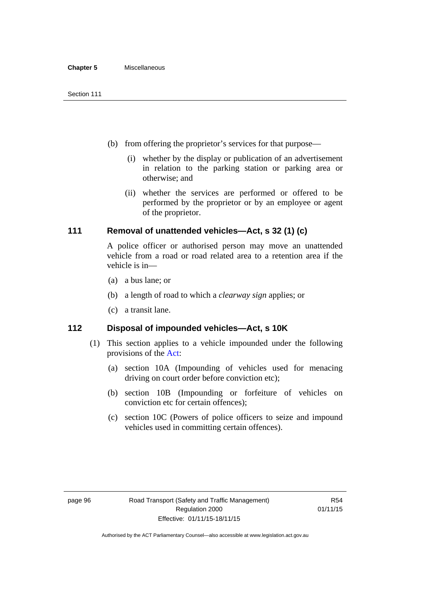- (b) from offering the proprietor's services for that purpose—
	- (i) whether by the display or publication of an advertisement in relation to the parking station or parking area or otherwise; and
	- (ii) whether the services are performed or offered to be performed by the proprietor or by an employee or agent of the proprietor.

## **111 Removal of unattended vehicles—Act, s 32 (1) (c)**

A police officer or authorised person may move an unattended vehicle from a road or road related area to a retention area if the vehicle is in—

- (a) a bus lane; or
- (b) a length of road to which a *clearway sign* applies; or
- (c) a transit lane.

## **112 Disposal of impounded vehicles—Act, s 10K**

- (1) This section applies to a vehicle impounded under the following provisions of the [Act:](http://www.legislation.act.gov.au/a/1999-80/default.asp)
	- (a) section 10A (Impounding of vehicles used for menacing driving on court order before conviction etc);
	- (b) section 10B (Impounding or forfeiture of vehicles on conviction etc for certain offences);
	- (c) section 10C (Powers of police officers to seize and impound vehicles used in committing certain offences).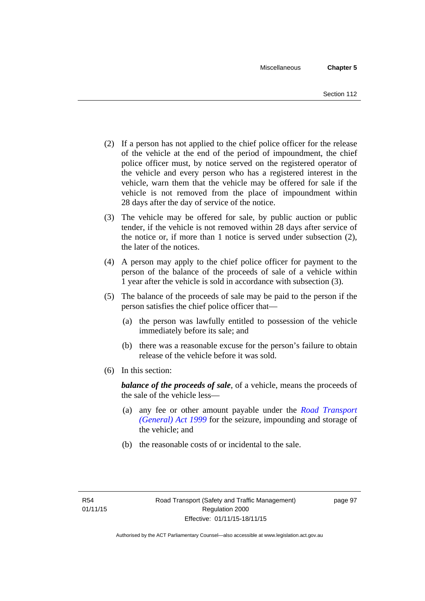- (2) If a person has not applied to the chief police officer for the release of the vehicle at the end of the period of impoundment, the chief police officer must, by notice served on the registered operator of the vehicle and every person who has a registered interest in the vehicle, warn them that the vehicle may be offered for sale if the vehicle is not removed from the place of impoundment within 28 days after the day of service of the notice.
- (3) The vehicle may be offered for sale, by public auction or public tender, if the vehicle is not removed within 28 days after service of the notice or, if more than 1 notice is served under subsection (2), the later of the notices.
- (4) A person may apply to the chief police officer for payment to the person of the balance of the proceeds of sale of a vehicle within 1 year after the vehicle is sold in accordance with subsection (3).
- (5) The balance of the proceeds of sale may be paid to the person if the person satisfies the chief police officer that—
	- (a) the person was lawfully entitled to possession of the vehicle immediately before its sale; and
	- (b) there was a reasonable excuse for the person's failure to obtain release of the vehicle before it was sold.
- (6) In this section:

*balance of the proceeds of sale*, of a vehicle, means the proceeds of the sale of the vehicle less—

- (a) any fee or other amount payable under the *[Road Transport](http://www.legislation.act.gov.au/a/1999-77)  [\(General\) Act 1999](http://www.legislation.act.gov.au/a/1999-77)* for the seizure, impounding and storage of the vehicle; and
- (b) the reasonable costs of or incidental to the sale.

page 97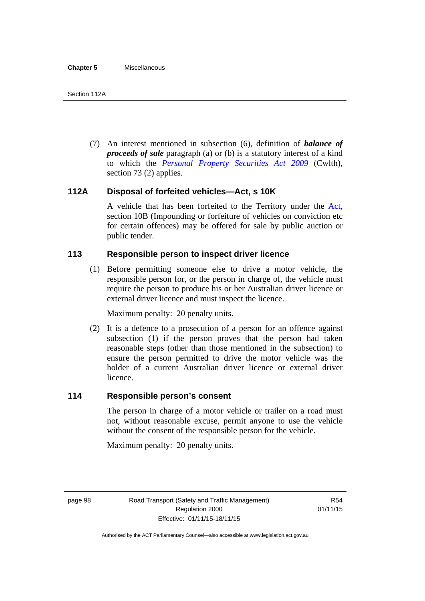(7) An interest mentioned in subsection (6), definition of *balance of proceeds of sale* paragraph (a) or (b) is a statutory interest of a kind to which the *[Personal Property Securities Act 2009](http://www.comlaw.gov.au/Series/C2009A00130)* (Cwlth), section 73 (2) applies.

## **112A Disposal of forfeited vehicles—Act, s 10K**

A vehicle that has been forfeited to the Territory under the [Act](http://www.legislation.act.gov.au/a/1999-80/default.asp), section 10B (Impounding or forfeiture of vehicles on conviction etc for certain offences) may be offered for sale by public auction or public tender.

## **113 Responsible person to inspect driver licence**

(1) Before permitting someone else to drive a motor vehicle, the responsible person for, or the person in charge of, the vehicle must require the person to produce his or her Australian driver licence or external driver licence and must inspect the licence.

Maximum penalty: 20 penalty units.

 (2) It is a defence to a prosecution of a person for an offence against subsection (1) if the person proves that the person had taken reasonable steps (other than those mentioned in the subsection) to ensure the person permitted to drive the motor vehicle was the holder of a current Australian driver licence or external driver licence.

## **114 Responsible person's consent**

The person in charge of a motor vehicle or trailer on a road must not, without reasonable excuse, permit anyone to use the vehicle without the consent of the responsible person for the vehicle.

Maximum penalty: 20 penalty units.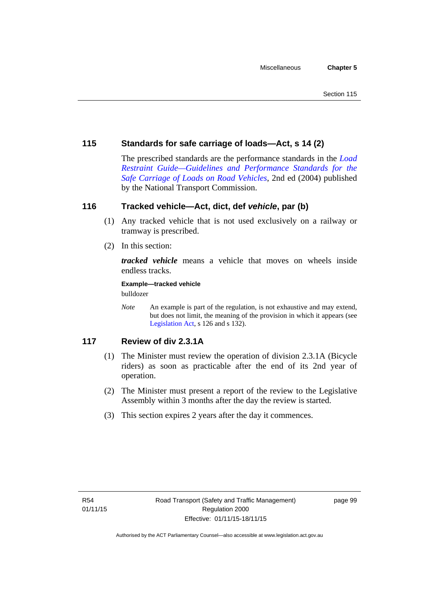## **115 Standards for safe carriage of loads—Act, s 14 (2)**

The prescribed standards are the performance standards in the *[Load](http://www.ntc.gov.au/viewpage.aspx?documentid=862)  [Restraint Guide—Guidelines and Performance Standards for the](http://www.ntc.gov.au/viewpage.aspx?documentid=862)  [Safe Carriage of Loads on Road Vehicles](http://www.ntc.gov.au/viewpage.aspx?documentid=862)*, 2nd ed (2004) published by the National Transport Commission.

## **116 Tracked vehicle—Act, dict, def** *vehicle***, par (b)**

- (1) Any tracked vehicle that is not used exclusively on a railway or tramway is prescribed.
- (2) In this section:

*tracked vehicle* means a vehicle that moves on wheels inside endless tracks.

**Example—tracked vehicle** 

bulldozer

*Note* An example is part of the regulation, is not exhaustive and may extend, but does not limit, the meaning of the provision in which it appears (see [Legislation Act,](http://www.legislation.act.gov.au/a/2001-14) s 126 and s 132).

## **117 Review of div 2.3.1A**

- (1) The Minister must review the operation of division 2.3.1A (Bicycle riders) as soon as practicable after the end of its 2nd year of operation.
- (2) The Minister must present a report of the review to the Legislative Assembly within 3 months after the day the review is started.
- (3) This section expires 2 years after the day it commences.

page 99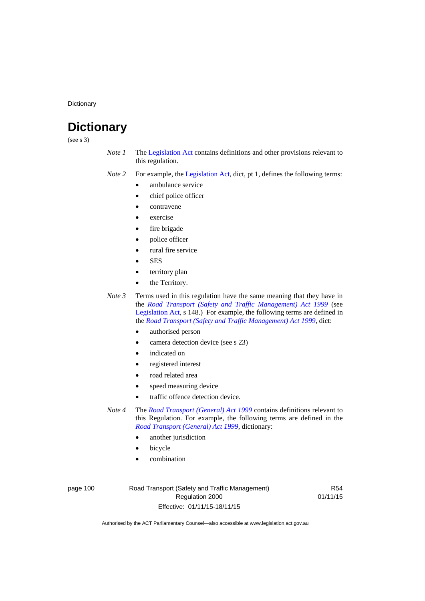**Dictionary** 

# **Dictionary**

(see s 3)

- *Note 1* The [Legislation Act](http://www.legislation.act.gov.au/a/2001-14) contains definitions and other provisions relevant to this regulation.
- *Note 2* For example, the [Legislation Act,](http://www.legislation.act.gov.au/a/2001-14) dict, pt 1, defines the following terms:
	- ambulance service
	- chief police officer
	- contravene
	- exercise
	- fire brigade
	- police officer
	- rural fire service
	- **SES**
	- territory plan
	- the Territory.

*Note 3* Terms used in this regulation have the same meaning that they have in the *[Road Transport \(Safety and Traffic Management\) Act 1999](http://www.legislation.act.gov.au/a/1999-80)* (see [Legislation Act,](http://www.legislation.act.gov.au/a/2001-14) s 148.) For example, the following terms are defined in the *[Road Transport \(Safety and Traffic Management\) Act 1999](http://www.legislation.act.gov.au/a/1999-80)*, dict:

- authorised person
- camera detection device (see s 23)
- indicated on
- registered interest
- road related area
- speed measuring device
- traffic offence detection device.

*Note 4* The *[Road Transport \(General\) Act 1999](http://www.legislation.act.gov.au/a/1999-77)* contains definitions relevant to this Regulation. For example, the following terms are defined in the *[Road Transport \(General\) Act 1999](http://www.legislation.act.gov.au/a/1999-77)*, dictionary:

- another jurisdiction
- bicycle
- combination

page 100 Road Transport (Safety and Traffic Management) Regulation 2000 Effective: 01/11/15-18/11/15

R54 01/11/15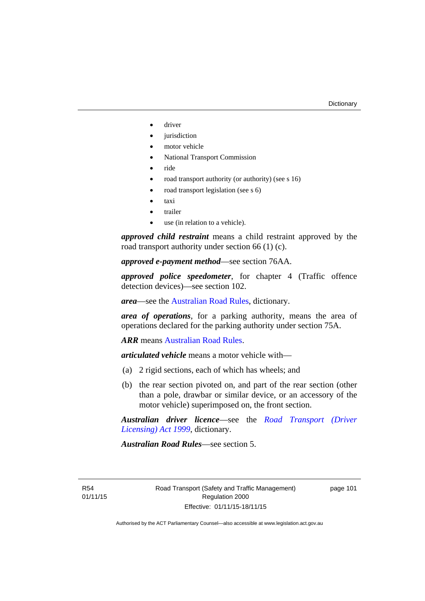- driver
- jurisdiction
- motor vehicle
- National Transport Commission
- ride
- road transport authority (or authority) (see s 16)
- road transport legislation (see s 6)
- taxi
- trailer
- use (in relation to a vehicle).

*approved child restraint* means a child restraint approved by the road transport authority under section 66 (1) (c).

*approved e-payment method*—see section 76AA.

*approved police speedometer*, for chapter 4 (Traffic offence detection devices)—see section 102.

*area*—see the [Australian Road Rules,](http://www.legislation.act.gov.au//ni/db_37271/default.asp) dictionary.

*area of operations*, for a parking authority, means the area of operations declared for the parking authority under section 75A.

*ARR* means [Australian Road Rules](http://www.legislation.act.gov.au//ni/db_37271/default.asp).

*articulated vehicle* means a motor vehicle with—

- (a) 2 rigid sections, each of which has wheels; and
- (b) the rear section pivoted on, and part of the rear section (other than a pole, drawbar or similar device, or an accessory of the motor vehicle) superimposed on, the front section.

*Australian driver licence*—see the *[Road Transport \(Driver](http://www.legislation.act.gov.au/a/1999-78)  [Licensing\) Act 1999](http://www.legislation.act.gov.au/a/1999-78)*, dictionary.

*Australian Road Rules*—see section 5.

R54 01/11/15 page 101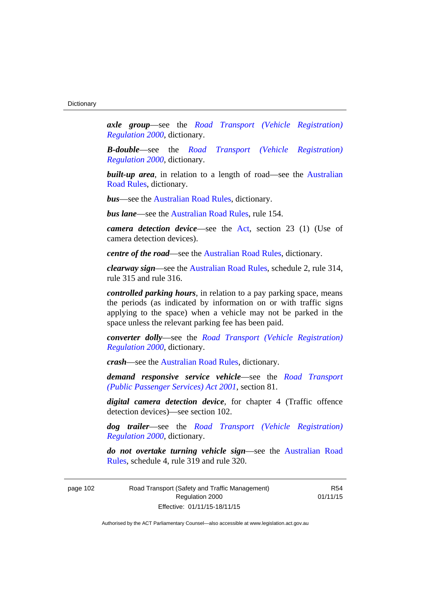*axle group*—see the *[Road Transport \(Vehicle Registration\)](http://www.legislation.act.gov.au/sl/2000-12)  [Regulation 2000](http://www.legislation.act.gov.au/sl/2000-12)*, dictionary.

*B-double*—see the *[Road Transport \(Vehicle Registration\)](http://www.legislation.act.gov.au/sl/2000-12)  [Regulation 2000](http://www.legislation.act.gov.au/sl/2000-12)*, dictionary.

**built-up area**, in relation to a length of road—see the Australian [Road Rules,](http://www.legislation.act.gov.au//ni/db_37271/default.asp) dictionary.

*bus*—see the [Australian Road Rules,](http://www.legislation.act.gov.au//ni/db_37271/default.asp) dictionary.

*bus lane*—see the [Australian Road Rules](http://www.legislation.act.gov.au//ni/db_37271/default.asp), rule 154.

*camera detection device*—see the [Act](http://www.legislation.act.gov.au/a/1999-80/default.asp), section 23 (1) (Use of camera detection devices).

*centre of the road*—see the [Australian Road Rules](http://www.legislation.act.gov.au//ni/db_37271/default.asp), dictionary.

*clearway sign*—see the [Australian Road Rules,](http://www.legislation.act.gov.au//ni/db_37271/default.asp) schedule 2, rule 314, rule 315 and rule 316.

*controlled parking hours*, in relation to a pay parking space, means the periods (as indicated by information on or with traffic signs applying to the space) when a vehicle may not be parked in the space unless the relevant parking fee has been paid.

*converter dolly*—see the *[Road Transport \(Vehicle Registration\)](http://www.legislation.act.gov.au/sl/2000-12)  [Regulation 2000](http://www.legislation.act.gov.au/sl/2000-12)*, dictionary.

*crash*—see the [Australian Road Rules](http://www.legislation.act.gov.au//ni/db_37271/default.asp), dictionary.

*demand responsive service vehicle*—see the *[Road Transport](http://www.legislation.act.gov.au/a/2001-62)  [\(Public Passenger Services\) Act 2001](http://www.legislation.act.gov.au/a/2001-62)*, section 81.

*digital camera detection device*, for chapter 4 (Traffic offence detection devices)—see section 102.

*dog trailer*—see the *[Road Transport \(Vehicle Registration\)](http://www.legislation.act.gov.au/sl/2000-12)  [Regulation 2000](http://www.legislation.act.gov.au/sl/2000-12)*, dictionary.

*do not overtake turning vehicle sign*—see the [Australian Road](http://www.legislation.act.gov.au//ni/db_37271/default.asp)  [Rules](http://www.legislation.act.gov.au//ni/db_37271/default.asp), schedule 4, rule 319 and rule 320.

page 102 Road Transport (Safety and Traffic Management) Regulation 2000 Effective: 01/11/15-18/11/15

R54 01/11/15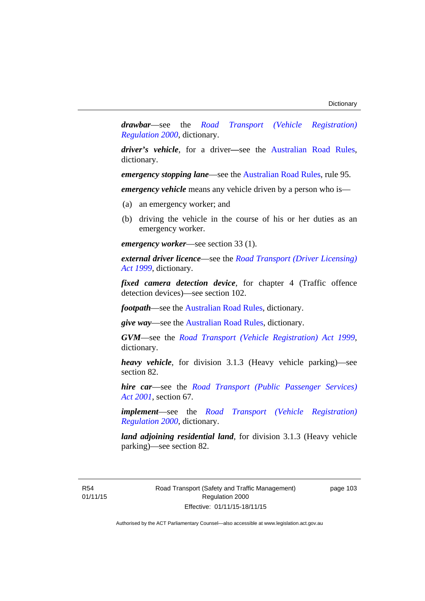*drawbar*—see the *[Road Transport \(Vehicle Registration\)](http://www.legislation.act.gov.au/sl/2000-12)  [Regulation 2000](http://www.legislation.act.gov.au/sl/2000-12)*, dictionary.

*driver's vehicle*, for a driver*—*see the [Australian Road Rules](http://www.legislation.act.gov.au//ni/db_37271/default.asp), dictionary.

*emergency stopping lane—see the [Australian Road Rules](http://www.legislation.act.gov.au//ni/db_37271/default.asp), rule 95.* 

*emergency vehicle* means any vehicle driven by a person who is—

- (a) an emergency worker; and
- (b) driving the vehicle in the course of his or her duties as an emergency worker.

*emergency worker*—see section 33 (1).

*external driver licence*—see the *[Road Transport \(Driver Licensing\)](http://www.legislation.act.gov.au/a/1999-78)  [Act 1999](http://www.legislation.act.gov.au/a/1999-78)*, dictionary.

*fixed camera detection device*, for chapter 4 (Traffic offence detection devices)—see section 102.

*footpath*—see the [Australian Road Rules](http://www.legislation.act.gov.au//ni/db_37271/default.asp), dictionary.

*give way*—see the [Australian Road Rules](http://www.legislation.act.gov.au//ni/db_37271/default.asp), dictionary.

*GVM*—see the *[Road Transport \(Vehicle Registration\) Act 1999](http://www.legislation.act.gov.au/a/1999-81)*, dictionary.

*heavy vehicle*, for division 3.1.3 (Heavy vehicle parking)—see section 82.

*hire car*—see the *[Road Transport \(Public Passenger Services\)](http://www.legislation.act.gov.au/a/2001-62)  [Act 2001](http://www.legislation.act.gov.au/a/2001-62)*, section 67.

*implement*—see the *[Road Transport \(Vehicle Registration\)](http://www.legislation.act.gov.au/sl/2000-12)  [Regulation 2000](http://www.legislation.act.gov.au/sl/2000-12)*, dictionary.

*land adjoining residential land*, for division 3.1.3 (Heavy vehicle parking)—see section 82.

R54 01/11/15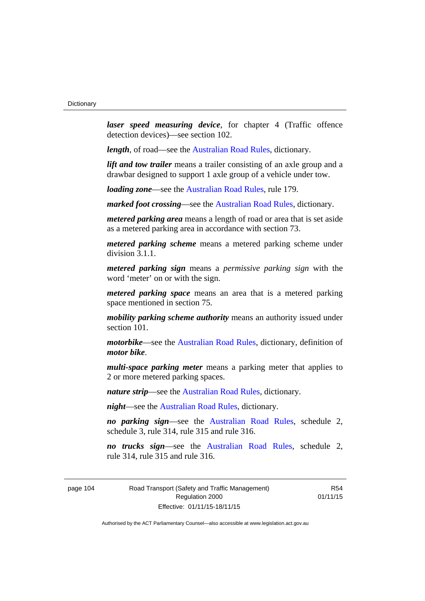*laser speed measuring device*, for chapter 4 (Traffic offence detection devices)—see section 102.

*length*, of road—see the [Australian Road Rules](http://www.legislation.act.gov.au//ni/db_37271/default.asp), dictionary.

*lift and tow trailer* means a trailer consisting of an axle group and a drawbar designed to support 1 axle group of a vehicle under tow.

*loading zone*—see the [Australian Road Rules,](http://www.legislation.act.gov.au//ni/db_37271/default.asp) rule 179.

*marked foot crossing*—see the [Australian Road Rules,](http://www.legislation.act.gov.au//ni/db_37271/default.asp) dictionary.

*metered parking area* means a length of road or area that is set aside as a metered parking area in accordance with section 73.

*metered parking scheme* means a metered parking scheme under division 3.1.1.

*metered parking sign* means a *permissive parking sign* with the word 'meter' on or with the sign.

*metered parking space* means an area that is a metered parking space mentioned in section 75.

*mobility parking scheme authority* means an authority issued under section 101.

*motorbike*—see the [Australian Road Rules,](http://www.legislation.act.gov.au//ni/db_37271/default.asp) dictionary, definition of *motor bike*.

*multi-space parking meter* means a parking meter that applies to 2 or more metered parking spaces.

*nature strip*—see the [Australian Road Rules](http://www.legislation.act.gov.au//ni/db_37271/default.asp), dictionary.

*night*—see the [Australian Road Rules,](http://www.legislation.act.gov.au//ni/db_37271/default.asp) dictionary.

*no parking sign*—see the [Australian Road Rules](http://www.legislation.act.gov.au//ni/db_37271/default.asp), schedule 2, schedule 3, rule 314, rule 315 and rule 316.

*no trucks sign*—see the [Australian Road Rules,](http://www.legislation.act.gov.au//ni/db_37271/default.asp) schedule 2, rule 314, rule 315 and rule 316.

page 104 Road Transport (Safety and Traffic Management) Regulation 2000 Effective: 01/11/15-18/11/15

R54 01/11/15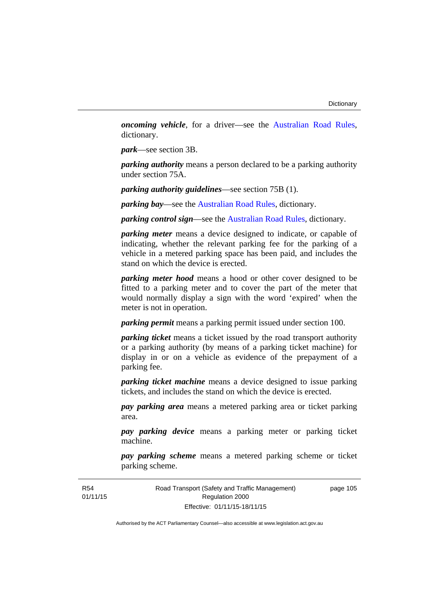*oncoming vehicle*, for a driver—see the [Australian Road Rules](http://www.legislation.act.gov.au//ni/db_37271/default.asp), dictionary.

*park*—see section 3B.

*parking authority* means a person declared to be a parking authority under section 75A.

*parking authority guidelines*—see section 75B (1).

*parking bay*—see the [Australian Road Rules,](http://www.legislation.act.gov.au//ni/db_37271/default.asp) dictionary.

*parking control sign*—see the [Australian Road Rules](http://www.legislation.act.gov.au//ni/db_37271/default.asp), dictionary.

*parking meter* means a device designed to indicate, or capable of indicating, whether the relevant parking fee for the parking of a vehicle in a metered parking space has been paid, and includes the stand on which the device is erected.

*parking meter hood* means a hood or other cover designed to be fitted to a parking meter and to cover the part of the meter that would normally display a sign with the word 'expired' when the meter is not in operation.

*parking permit* means a parking permit issued under section 100.

*parking ticket* means a ticket issued by the road transport authority or a parking authority (by means of a parking ticket machine) for display in or on a vehicle as evidence of the prepayment of a parking fee.

*parking ticket machine* means a device designed to issue parking tickets, and includes the stand on which the device is erected.

*pay parking area* means a metered parking area or ticket parking area.

*pay parking device* means a parking meter or parking ticket machine.

*pay parking scheme* means a metered parking scheme or ticket parking scheme.

Road Transport (Safety and Traffic Management) Regulation 2000 Effective: 01/11/15-18/11/15

page 105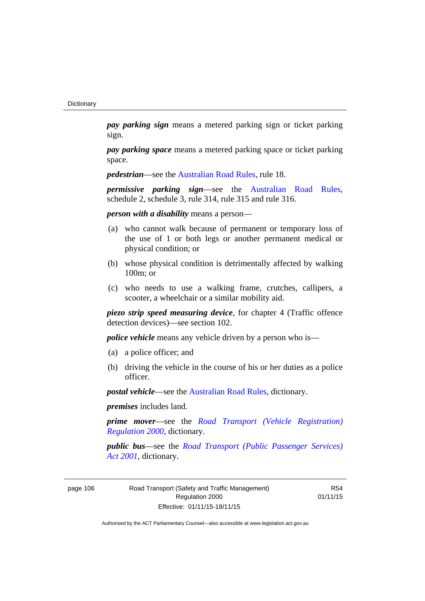*pay parking sign* means a metered parking sign or ticket parking sign.

*pay parking space* means a metered parking space or ticket parking space.

*pedestrian***—see the [Australian Road Rules](http://www.legislation.act.gov.au//ni/db_37271/default.asp)**, rule 18.

*permissive parking sign*—see the [Australian Road Rules](http://www.legislation.act.gov.au//ni/db_37271/default.asp), schedule 2, schedule 3, rule 314, rule 315 and rule 316.

*person with a disability* means a person—

- (a) who cannot walk because of permanent or temporary loss of the use of 1 or both legs or another permanent medical or physical condition; or
- (b) whose physical condition is detrimentally affected by walking 100m; or
- (c) who needs to use a walking frame, crutches, callipers, a scooter, a wheelchair or a similar mobility aid.

*piezo strip speed measuring device*, for chapter 4 (Traffic offence detection devices)—see section 102.

*police vehicle* means any vehicle driven by a person who is—

- (a) a police officer; and
- (b) driving the vehicle in the course of his or her duties as a police officer.

*postal vehicle*—see the [Australian Road Rules,](http://www.legislation.act.gov.au//ni/db_37271/default.asp) dictionary.

*premises* includes land.

*prime mover*—see the *[Road Transport \(Vehicle Registration\)](http://www.legislation.act.gov.au/sl/2000-12)  [Regulation 2000](http://www.legislation.act.gov.au/sl/2000-12)*, dictionary.

*public bus*—see the *[Road Transport \(Public Passenger Services\)](http://www.legislation.act.gov.au/a/2001-62)  [Act 2001](http://www.legislation.act.gov.au/a/2001-62)*, dictionary.

page 106 Road Transport (Safety and Traffic Management) Regulation 2000 Effective: 01/11/15-18/11/15

R54 01/11/15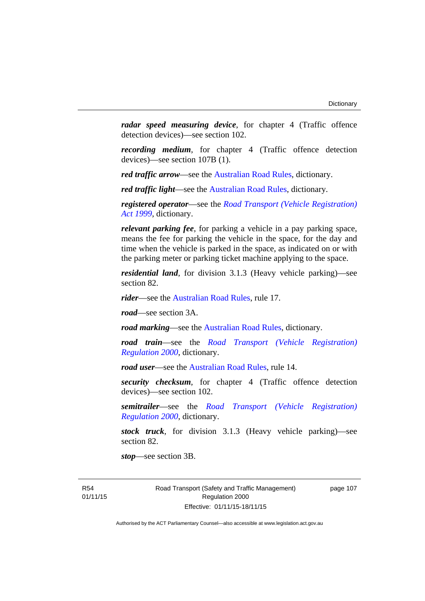*radar speed measuring device*, for chapter 4 (Traffic offence detection devices)—see section 102.

*recording medium*, for chapter 4 (Traffic offence detection devices)—see section 107B (1).

*red traffic arrow*—see the [Australian Road Rules,](http://www.legislation.act.gov.au//ni/db_37271/default.asp) dictionary.

*red traffic light*—see the [Australian Road Rules](http://www.legislation.act.gov.au//ni/db_37271/default.asp), dictionary.

*registered operator*—see the *[Road Transport \(Vehicle Registration\)](http://www.legislation.act.gov.au/a/1999-81)  [Act 1999](http://www.legislation.act.gov.au/a/1999-81)*, dictionary.

*relevant parking fee*, for parking a vehicle in a pay parking space, means the fee for parking the vehicle in the space, for the day and time when the vehicle is parked in the space, as indicated on or with the parking meter or parking ticket machine applying to the space.

*residential land*, for division 3.1.3 (Heavy vehicle parking)—see section 82.

*rider*—see the [Australian Road Rules,](http://www.legislation.act.gov.au//ni/db_37271/default.asp) rule 17.

*road*—see section 3A.

*road marking*—see the [Australian Road Rules](http://www.legislation.act.gov.au//ni/db_37271/default.asp), dictionary.

*road train*—see the *[Road Transport \(Vehicle Registration\)](http://www.legislation.act.gov.au/sl/2000-12)  [Regulation 2000](http://www.legislation.act.gov.au/sl/2000-12)*, dictionary.

*road user***—see the Australian Road Rules**, rule 14.

*security checksum*, for chapter 4 (Traffic offence detection devices)—see section 102.

*semitrailer*—see the *[Road Transport \(Vehicle Registration\)](http://www.legislation.act.gov.au/sl/2000-12)  [Regulation 2000](http://www.legislation.act.gov.au/sl/2000-12)*, dictionary.

*stock truck*, for division 3.1.3 (Heavy vehicle parking)—see section 82.

*stop*—see section 3B.

R54 01/11/15 Road Transport (Safety and Traffic Management) Regulation 2000 Effective: 01/11/15-18/11/15

page 107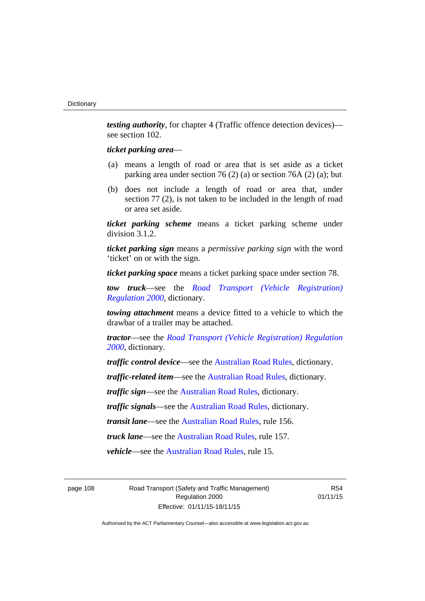*testing authority*, for chapter 4 (Traffic offence detection devices) see section 102.

### *ticket parking area*—

- (a) means a length of road or area that is set aside as a ticket parking area under section 76 (2) (a) or section 76A (2) (a); but
- (b) does not include a length of road or area that, under section 77 (2), is not taken to be included in the length of road or area set aside.

*ticket parking scheme* means a ticket parking scheme under division 3.1.2.

*ticket parking sign* means a *permissive parking sign* with the word 'ticket' on or with the sign.

*ticket parking space* means a ticket parking space under section 78.

*tow truck*—see the *[Road Transport \(Vehicle Registration\)](http://www.legislation.act.gov.au/sl/2000-12)  [Regulation 2000](http://www.legislation.act.gov.au/sl/2000-12)*, dictionary.

*towing attachment* means a device fitted to a vehicle to which the drawbar of a trailer may be attached.

*tractor*—see the *[Road Transport \(Vehicle Registration\) Regulation](http://www.legislation.act.gov.au/sl/2000-12)  [2000](http://www.legislation.act.gov.au/sl/2000-12)*, dictionary.

*traffic control device*—see the [Australian Road Rules](http://www.legislation.act.gov.au//ni/db_37271/default.asp), dictionary.

*traffic-related item*—see the [Australian Road Rules,](http://www.legislation.act.gov.au//ni/db_37271/default.asp) dictionary.

*traffic sign*—see the [Australian Road Rules](http://www.legislation.act.gov.au//ni/db_37271/default.asp), dictionary.

*traffic signals*—see the [Australian Road Rules](http://www.legislation.act.gov.au//ni/db_37271/default.asp), dictionary.

*transit lane*—see the [Australian Road Rules,](http://www.legislation.act.gov.au//ni/db_37271/default.asp) rule 156.

*truck lane*—see the [Australian Road Rules,](http://www.legislation.act.gov.au//ni/db_37271/default.asp) rule 157.

*vehicle*—see the [Australian Road Rules](http://www.legislation.act.gov.au//ni/db_37271/default.asp), rule 15.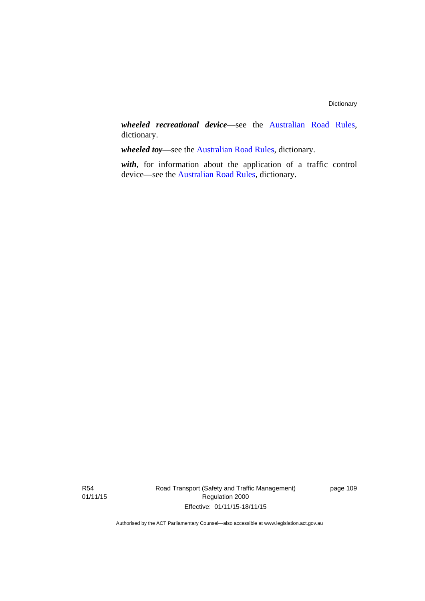*wheeled recreational device*—see the [Australian Road Rules](http://www.legislation.act.gov.au//ni/db_37271/default.asp), dictionary.

*wheeled toy*—see the [Australian Road Rules](http://www.legislation.act.gov.au//ni/db_37271/default.asp), dictionary.

*with*, for information about the application of a traffic control device—see the [Australian Road Rules](http://www.legislation.act.gov.au//ni/db_37271/default.asp), dictionary.

Road Transport (Safety and Traffic Management) Regulation 2000 Effective: 01/11/15-18/11/15

page 109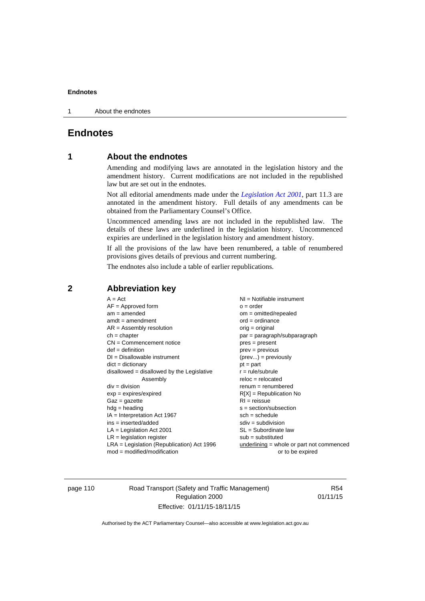1 About the endnotes

## **Endnotes**

## **1 About the endnotes**

Amending and modifying laws are annotated in the legislation history and the amendment history. Current modifications are not included in the republished law but are set out in the endnotes.

Not all editorial amendments made under the *[Legislation Act 2001](http://www.legislation.act.gov.au/a/2001-14)*, part 11.3 are annotated in the amendment history. Full details of any amendments can be obtained from the Parliamentary Counsel's Office.

Uncommenced amending laws are not included in the republished law. The details of these laws are underlined in the legislation history. Uncommenced expiries are underlined in the legislation history and amendment history.

If all the provisions of the law have been renumbered, a table of renumbered provisions gives details of previous and current numbering.

The endnotes also include a table of earlier republications.

| $NI =$ Notifiable instrument                |
|---------------------------------------------|
| $o = order$                                 |
| $om = omitted/repealed$                     |
| $ord = ordinance$                           |
| $orig = original$                           |
| par = paragraph/subparagraph                |
| $pres = present$                            |
| $prev = previous$                           |
| $(\text{prev}) = \text{previously}$         |
| $pt = part$                                 |
| $r = rule/subrule$                          |
| $reloc = relocated$                         |
| $renum = renumbered$                        |
| $R[X]$ = Republication No                   |
| $RI = reissue$                              |
| $s = section/subsection$                    |
| $sch = schedule$                            |
| $sdiv = subdivision$                        |
| $SL = Subordinate$ law                      |
| $sub =$ substituted                         |
| $underlining = whole or part not commenced$ |
| or to be expired                            |
|                                             |
|                                             |

## **2 Abbreviation key**

page 110 Road Transport (Safety and Traffic Management) Regulation 2000 Effective: 01/11/15-18/11/15

R54 01/11/15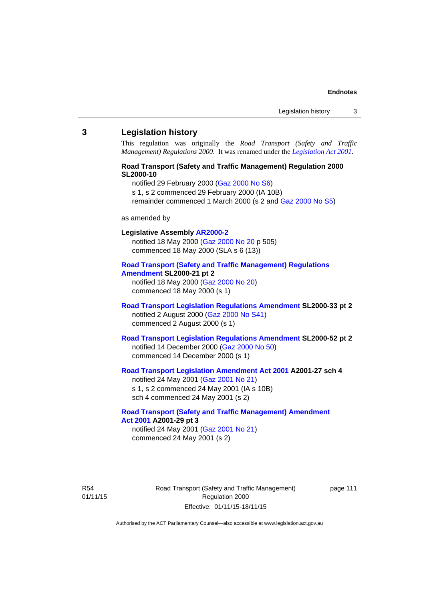#### **3 Legislation history**

This regulation was originally the *Road Transport (Safety and Traffic Management) Regulations 2000*. It was renamed under the *[Legislation Act 2001](http://www.legislation.act.gov.au/a/2001-14)*.

## **Road Transport (Safety and Traffic Management) Regulation 2000 SL2000-10**

notified 29 February 2000 [\(Gaz 2000 No S6](http://www.legislation.act.gov.au/gaz/2000-S6/default.asp))

s 1, s 2 commenced 29 February 2000 (IA 10B)

remainder commenced 1 March 2000 (s 2 and [Gaz 2000 No S5\)](http://www.legislation.act.gov.au/gaz/2000-S5/default.asp)

#### as amended by

## **Legislative Assembly [AR2000-2](http://www.legislation.act.gov.au/ar/2000-2/default.asp)**

notified 18 May 2000 ([Gaz 2000 No 20 p](http://www.legislation.act.gov.au/gaz/2000-20/default.asp) 505) commenced 18 May 2000 (SLA s 6 (13))

#### **[Road Transport \(Safety and Traffic Management\) Regulations](http://www.legislation.act.gov.au/sl/2000-21/default.asp)  [Amendment](http://www.legislation.act.gov.au/sl/2000-21/default.asp) SL2000-21 pt 2**

notified 18 May 2000 ([Gaz 2000 No 20\)](http://www.legislation.act.gov.au/gaz/2000-20/default.asp) commenced 18 May 2000 (s 1)

### **[Road Transport Legislation Regulations Amendment](http://www.legislation.act.gov.au/sl/2000-33/default.asp) SL2000-33 pt 2**  notified 2 August 2000 ([Gaz 2000 No S41](http://www.legislation.act.gov.au/gaz/2000-S41/default.asp)) commenced 2 August 2000 (s 1)

## **[Road Transport Legislation Regulations Amendment](http://www.legislation.act.gov.au/sl/2000-52/default.asp) SL2000-52 pt 2**  notified 14 December 2000 [\(Gaz 2000 No 50](http://www.legislation.act.gov.au/gaz/2000-50/default.asp)) commenced 14 December 2000 (s 1)

## **[Road Transport Legislation Amendment Act 2001](http://www.legislation.act.gov.au/a/2001-27) A2001-27 sch 4**

notified 24 May 2001 ([Gaz 2001 No 21\)](http://www.legislation.act.gov.au/gaz/2001-21/default.asp) s 1, s 2 commenced 24 May 2001 (IA s 10B) sch 4 commenced 24 May 2001 (s 2)

#### **[Road Transport \(Safety and Traffic Management\) Amendment](http://www.legislation.act.gov.au/a/2001-29)  [Act 2001](http://www.legislation.act.gov.au/a/2001-29) A2001-29 pt 3**  notified 24 May 2001 ([Gaz 2001 No 21\)](http://www.legislation.act.gov.au/gaz/2001-21/default.asp)

commenced 24 May 2001 (s 2)

R54 01/11/15 Road Transport (Safety and Traffic Management) Regulation 2000 Effective: 01/11/15-18/11/15

page 111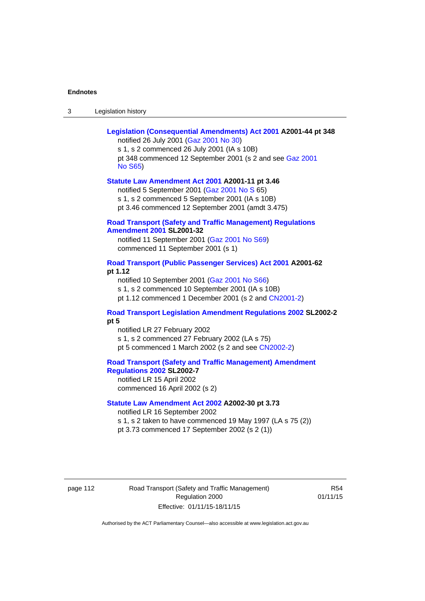| Legislation history<br>-3 |
|---------------------------|
|---------------------------|

| Legislation (Consequential Amendments) Act 2001 A2001-44 pt 348<br>notified 26 July 2001 (Gaz 2001 No 30)<br>s 1, s 2 commenced 26 July 2001 (IA s 10B)<br>pt 348 commenced 12 September 2001 (s 2 and see Gaz 2001<br><b>No S65)</b> |
|---------------------------------------------------------------------------------------------------------------------------------------------------------------------------------------------------------------------------------------|
| Statute Law Amendment Act 2001 A2001-11 pt 3.46<br>notified 5 September 2001 (Gaz 2001 No S 65)<br>s 1, s 2 commenced 5 September 2001 (IA s 10B)<br>pt 3.46 commenced 12 September 2001 (amdt 3.475)                                 |
| <b>Road Transport (Safety and Traffic Management) Regulations</b><br><b>Amendment 2001 SL2001-32</b><br>notified 11 September 2001 (Gaz 2001 No S69)<br>commenced 11 September 2001 (s 1)                                             |
| Road Transport (Public Passenger Services) Act 2001 A2001-62<br>pt 1.12<br>notified 10 September 2001 (Gaz 2001 No S66)<br>s 1, s 2 commenced 10 September 2001 (IA s 10B)<br>pt 1.12 commenced 1 December 2001 (s 2 and CN2001-2)    |
| <b>Road Transport Legislation Amendment Regulations 2002 SL2002-2</b><br>pt 5<br>notified LR 27 February 2002<br>s 1, s 2 commenced 27 February 2002 (LA s 75)<br>pt 5 commenced 1 March 2002 (s 2 and see CN2002-2)                  |
| <b>Road Transport (Safety and Traffic Management) Amendment</b><br><b>Regulations 2002 SL2002-7</b><br>notified LR 15 April 2002<br>commenced 16 April 2002 (s 2)                                                                     |
| Statute Law Amendment Act 2002 A2002-30 pt 3.73<br>notified LR 16 September 2002<br>s 1, s 2 taken to have commenced 19 May 1997 (LA s 75 (2))<br>pt 3.73 commenced 17 September 2002 (s 2 (1))                                       |

page 112 Road Transport (Safety and Traffic Management) Regulation 2000 Effective: 01/11/15-18/11/15

R54 01/11/15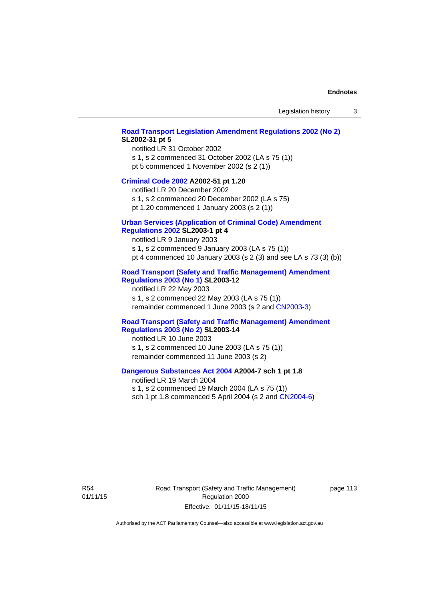#### **[Road Transport Legislation Amendment Regulations 2002 \(No 2\)](http://www.legislation.act.gov.au/sl/2002-31) SL2002-31 pt 5**

notified LR 31 October 2002 s 1, s 2 commenced 31 October 2002 (LA s 75 (1)) pt 5 commenced 1 November 2002 (s 2 (1))

#### **[Criminal Code 2002](http://www.legislation.act.gov.au/a/2002-51) A2002-51 pt 1.20**

notified LR 20 December 2002 s 1, s 2 commenced 20 December 2002 (LA s 75)

pt 1.20 commenced 1 January 2003 (s 2 (1))

## **[Urban Services \(Application of Criminal Code\) Amendment](http://www.legislation.act.gov.au/sl/2003-1)**

## **[Regulations 2002](http://www.legislation.act.gov.au/sl/2003-1) SL2003-1 pt 4**

notified LR 9 January 2003 s 1, s 2 commenced 9 January 2003 (LA s 75 (1)) pt 4 commenced 10 January 2003 (s 2 (3) and see LA s 73 (3) (b))

## **[Road Transport \(Safety and Traffic Management\) Amendment](http://www.legislation.act.gov.au/sl/2003-12)  [Regulations 2003 \(No 1\)](http://www.legislation.act.gov.au/sl/2003-12) SL2003-12**

notified LR 22 May 2003 s 1, s 2 commenced 22 May 2003 (LA s 75 (1)) remainder commenced 1 June 2003 (s 2 and [CN2003-3](http://www.legislation.act.gov.au/cn/2003-3/default.asp))

### **[Road Transport \(Safety and Traffic Management\) Amendment](http://www.legislation.act.gov.au/sl/2003-14)  [Regulations 2003 \(No 2\)](http://www.legislation.act.gov.au/sl/2003-14) SL2003-14**

notified LR 10 June 2003 s 1, s 2 commenced 10 June 2003 (LA s 75 (1)) remainder commenced 11 June 2003 (s 2)

#### **[Dangerous Substances Act 2004](http://www.legislation.act.gov.au/a/2004-7) A2004-7 sch 1 pt 1.8**

notified LR 19 March 2004 s 1, s 2 commenced 19 March 2004 (LA s 75 (1)) sch 1 pt 1.8 commenced 5 April 2004 (s 2 and [CN2004-6](http://www.legislation.act.gov.au/cn/2004-6/default.asp))

R54 01/11/15 Road Transport (Safety and Traffic Management) Regulation 2000 Effective: 01/11/15-18/11/15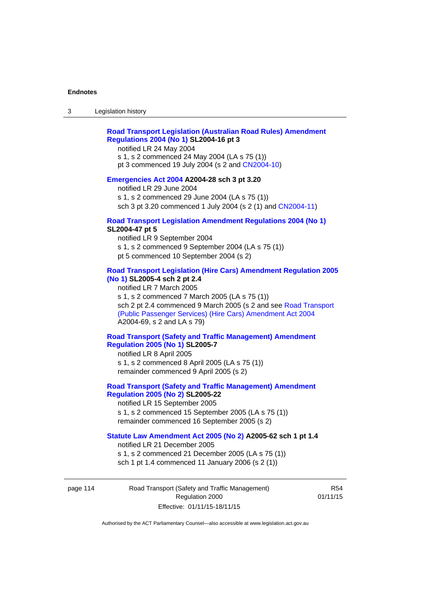## **[Road Transport Legislation \(Australian Road Rules\) Amendment](http://www.legislation.act.gov.au/sl/2004-16)  [Regulations 2004 \(No 1\)](http://www.legislation.act.gov.au/sl/2004-16) SL2004-16 pt 3**

notified LR 24 May 2004

s 1, s 2 commenced 24 May 2004 (LA s 75 (1)) pt 3 commenced 19 July 2004 (s 2 and [CN2004-10](http://www.legislation.act.gov.au/cn/2004-10/default.asp))

#### **[Emergencies Act 2004](http://www.legislation.act.gov.au/a/2004-28) A2004-28 sch 3 pt 3.20**

notified LR 29 June 2004 s 1, s 2 commenced 29 June 2004 (LA s 75 (1)) sch 3 pt 3.20 commenced 1 July 2004 (s 2 (1) and [CN2004-11](http://www.legislation.act.gov.au/cn/2004-11/default.asp))

#### **[Road Transport Legislation Amendment Regulations 2004 \(No 1\)](http://www.legislation.act.gov.au/sl/2004-47) SL2004-47 pt 5**

notified LR 9 September 2004 s 1, s 2 commenced 9 September 2004 (LA s 75 (1)) pt 5 commenced 10 September 2004 (s 2)

## **[Road Transport Legislation \(Hire Cars\) Amendment Regulation 2005](http://www.legislation.act.gov.au/sl/2005-4)  [\(No 1\)](http://www.legislation.act.gov.au/sl/2005-4) SL2005-4 sch 2 pt 2.4**

notified LR 7 March 2005 s 1, s 2 commenced 7 March 2005 (LA s 75 (1)) sch 2 pt 2.4 commenced 9 March 2005 (s 2 and see [Road Transport](http://www.legislation.act.gov.au/a/2004-69)  [\(Public Passenger Services\) \(Hire Cars\) Amendment Act 2004](http://www.legislation.act.gov.au/a/2004-69) A2004-69, s 2 and LA s 79)

## **[Road Transport \(Safety and Traffic Management\) Amendment](http://www.legislation.act.gov.au/sl/2005-7)  [Regulation 2005 \(No 1\)](http://www.legislation.act.gov.au/sl/2005-7) SL2005-7**

notified LR 8 April 2005 s 1, s 2 commenced 8 April 2005 (LA s 75 (1)) remainder commenced 9 April 2005 (s 2)

## **[Road Transport \(Safety and Traffic Management\) Amendment](http://www.legislation.act.gov.au/sl/2005-22)  [Regulation 2005 \(No 2\)](http://www.legislation.act.gov.au/sl/2005-22) SL2005-22**

notified LR 15 September 2005 s 1, s 2 commenced 15 September 2005 (LA s 75 (1)) remainder commenced 16 September 2005 (s 2)

## **[Statute Law Amendment Act 2005 \(No 2\)](http://www.legislation.act.gov.au/a/2005-62) A2005-62 sch 1 pt 1.4**

notified LR 21 December 2005 s 1, s 2 commenced 21 December 2005 (LA s 75 (1)) sch 1 pt 1.4 commenced 11 January 2006 (s 2 (1))

page 114 Road Transport (Safety and Traffic Management) Regulation 2000 Effective: 01/11/15-18/11/15

R54 01/11/15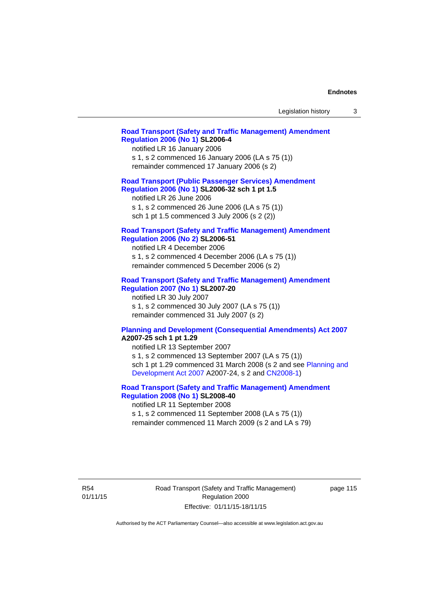| Legislation history |  |
|---------------------|--|
|---------------------|--|

### **[Road Transport \(Safety and Traffic Management\) Amendment](http://www.legislation.act.gov.au/sl/2006-4)  [Regulation 2006 \(No 1\)](http://www.legislation.act.gov.au/sl/2006-4) SL2006-4**

notified LR 16 January 2006 s 1, s 2 commenced 16 January 2006 (LA s 75 (1)) remainder commenced 17 January 2006 (s 2)

### **[Road Transport \(Public Passenger Services\) Amendment](http://www.legislation.act.gov.au/sl/2006-32)  [Regulation 2006 \(No 1\)](http://www.legislation.act.gov.au/sl/2006-32) SL2006-32 sch 1 pt 1.5**

notified LR 26 June 2006 s 1, s 2 commenced 26 June 2006 (LA s 75 (1)) sch 1 pt 1.5 commenced 3 July 2006 (s 2 (2))

#### **[Road Transport \(Safety and Traffic Management\) Amendment](http://www.legislation.act.gov.au/sl/2006-51)  [Regulation 2006 \(No 2\)](http://www.legislation.act.gov.au/sl/2006-51) SL2006-51**

notified LR 4 December 2006 s 1, s 2 commenced 4 December 2006 (LA s 75 (1)) remainder commenced 5 December 2006 (s 2)

### **[Road Transport \(Safety and Traffic Management\) Amendment](http://www.legislation.act.gov.au/sl/2007-20)**

**[Regulation 2007 \(No 1\)](http://www.legislation.act.gov.au/sl/2007-20) SL2007-20**  notified LR 30 July 2007 s 1, s 2 commenced 30 July 2007 (LA s 75 (1)) remainder commenced 31 July 2007 (s 2)

#### **[Planning and Development \(Consequential Amendments\) Act 2007](http://www.legislation.act.gov.au/a/2007-25) A2007-25 sch 1 pt 1.29**

notified LR 13 September 2007 s 1, s 2 commenced 13 September 2007 (LA s 75 (1)) sch 1 pt 1.29 commenced 31 March 2008 (s 2 and see [Planning and](http://www.legislation.act.gov.au/a/2007-24)  [Development Act 2007](http://www.legislation.act.gov.au/a/2007-24) A2007-24, s 2 and [CN2008-1](http://www.legislation.act.gov.au/cn/2008-1/default.asp))

## **[Road Transport \(Safety and Traffic Management\) Amendment](http://www.legislation.act.gov.au/sl/2008-40)  [Regulation 2008 \(No 1\)](http://www.legislation.act.gov.au/sl/2008-40) SL2008-40**

notified LR 11 September 2008 s 1, s 2 commenced 11 September 2008 (LA s 75 (1)) remainder commenced 11 March 2009 (s 2 and LA s 79)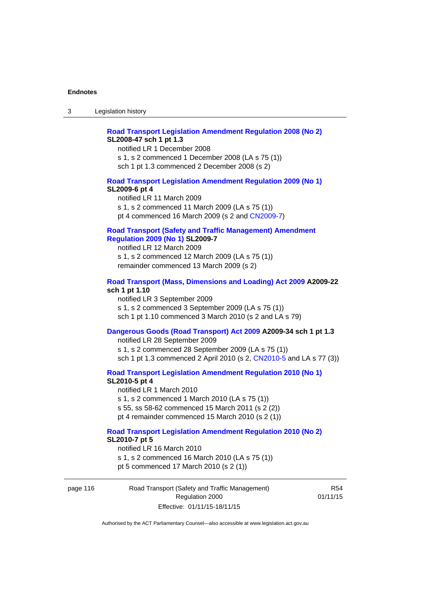## **[Road Transport Legislation Amendment Regulation 2008 \(No 2\)](http://www.legislation.act.gov.au/sl/2008-47) SL2008-47 sch 1 pt 1.3**

notified LR 1 December 2008 s 1, s 2 commenced 1 December 2008 (LA s 75 (1)) sch 1 pt 1.3 commenced 2 December 2008 (s 2)

#### **[Road Transport Legislation Amendment Regulation 2009 \(No 1\)](http://www.legislation.act.gov.au/sl/2009-6) SL2009-6 pt 4**

notified LR 11 March 2009 s 1, s 2 commenced 11 March 2009 (LA s 75 (1)) pt 4 commenced 16 March 2009 (s 2 and [CN2009-7\)](http://www.legislation.act.gov.au/cn/2009-7/default.asp)

### **[Road Transport \(Safety and Traffic Management\) Amendment](http://www.legislation.act.gov.au/sl/2009-7)  [Regulation 2009 \(No 1\)](http://www.legislation.act.gov.au/sl/2009-7) SL2009-7**

notified LR 12 March 2009 s 1, s 2 commenced 12 March 2009 (LA s 75 (1)) remainder commenced 13 March 2009 (s 2)

#### **[Road Transport \(Mass, Dimensions and Loading\) Act 2009](http://www.legislation.act.gov.au/a/2009-22/default.asp) A2009-22 sch 1 pt 1.10**

notified LR 3 September 2009 s 1, s 2 commenced 3 September 2009 (LA s 75 (1)) sch 1 pt 1.10 commenced 3 March 2010 (s 2 and LA s 79)

## **[Dangerous Goods \(Road Transport\) Act 2009](http://www.legislation.act.gov.au/a/2009-34) A2009-34 sch 1 pt 1.3**

notified LR 28 September 2009 s 1, s 2 commenced 28 September 2009 (LA s 75 (1)) sch 1 pt 1.3 commenced 2 April 2010 (s 2, [CN2010-5 a](http://www.legislation.act.gov.au/cn/2010-5/default.asp)nd LA s 77 (3))

**[Road Transport Legislation Amendment Regulation 2010 \(No 1\)](http://www.legislation.act.gov.au/sl/2010-5)**

#### **SL2010-5 pt 4**

notified LR 1 March 2010 s 1, s 2 commenced 1 March 2010 (LA s 75 (1)) s 55, ss 58-62 commenced 15 March 2011 (s 2 (2)) pt 4 remainder commenced 15 March 2010 (s 2 (1))

#### **[Road Transport Legislation Amendment Regulation 2010 \(No 2\)](http://www.legislation.act.gov.au/sl/2010-7) SL2010-7 pt 5**  notified LR 16 March 2010

s 1, s 2 commenced 16 March 2010 (LA s 75 (1)) pt 5 commenced 17 March 2010 (s 2 (1))

page 116 Road Transport (Safety and Traffic Management) Regulation 2000 Effective: 01/11/15-18/11/15

R54 01/11/15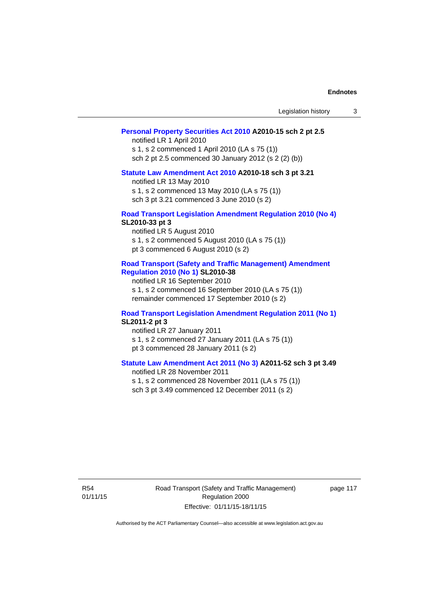| Legislation history |  |
|---------------------|--|
|---------------------|--|

### **[Personal Property Securities Act 2010](http://www.legislation.act.gov.au/a/2010-15) A2010-15 sch 2 pt 2.5**

notified LR 1 April 2010 s 1, s 2 commenced 1 April 2010 (LA s 75 (1)) sch 2 pt 2.5 commenced 30 January 2012 (s 2 (2) (b))

## **[Statute Law Amendment Act 2010](http://www.legislation.act.gov.au/a/2010-18) A2010-18 sch 3 pt 3.21**

notified LR 13 May 2010 s 1, s 2 commenced 13 May 2010 (LA s 75 (1)) sch 3 pt 3.21 commenced 3 June 2010 (s 2)

#### **[Road Transport Legislation Amendment Regulation 2010 \(No 4\)](http://www.legislation.act.gov.au/sl/2010-33) SL2010-33 pt 3**

notified LR 5 August 2010 s 1, s 2 commenced 5 August 2010 (LA s 75 (1)) pt 3 commenced 6 August 2010 (s 2)

#### **[Road Transport \(Safety and Traffic Management\) Amendment](http://www.legislation.act.gov.au/sl/2010-38)  [Regulation 2010 \(No 1\)](http://www.legislation.act.gov.au/sl/2010-38) SL2010-38**

notified LR 16 September 2010 s 1, s 2 commenced 16 September 2010 (LA s 75 (1)) remainder commenced 17 September 2010 (s 2)

#### **[Road Transport Legislation Amendment Regulation 2011 \(No 1\)](http://www.legislation.act.gov.au/sl/2011-2) SL2011-2 pt 3**

notified LR 27 January 2011 s 1, s 2 commenced 27 January 2011 (LA s 75 (1)) pt 3 commenced 28 January 2011 (s 2)

## **[Statute Law Amendment Act 2011 \(No 3\)](http://www.legislation.act.gov.au/a/2011-52) A2011-52 sch 3 pt 3.49**

notified LR 28 November 2011 s 1, s 2 commenced 28 November 2011 (LA s 75 (1)) sch 3 pt 3.49 commenced 12 December 2011 (s 2)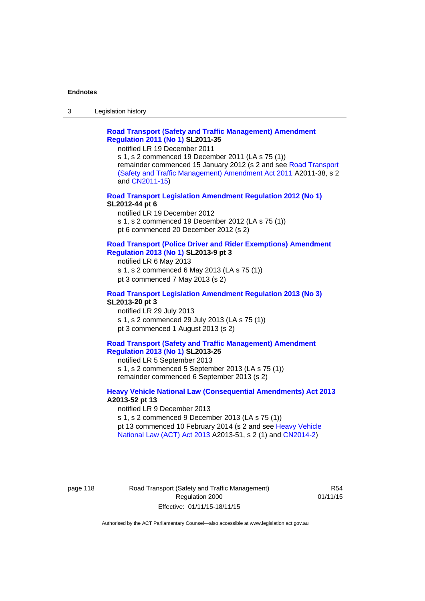3 Legislation history

## **[Road Transport \(Safety and Traffic Management\) Amendment](http://www.legislation.act.gov.au/sl/2011-35)  [Regulation 2011 \(No 1\)](http://www.legislation.act.gov.au/sl/2011-35) SL2011-35**

notified LR 19 December 2011

s 1, s 2 commenced 19 December 2011 (LA s 75 (1)) remainder commenced 15 January 2012 (s 2 and see [Road Transport](http://www.legislation.act.gov.au/a/2011-38)  [\(Safety and Traffic Management\) Amendment Act 2011](http://www.legislation.act.gov.au/a/2011-38) A2011-38, s 2 and [CN2011-15\)](http://www.legislation.act.gov.au/cn/2011-15/default.asp)

### **[Road Transport Legislation Amendment Regulation 2012 \(No 1\)](http://www.legislation.act.gov.au/sl/2012-44/default.asp) SL2012-44 pt 6**

notified LR 19 December 2012 s 1, s 2 commenced 19 December 2012 (LA s 75 (1)) pt 6 commenced 20 December 2012 (s 2)

#### **[Road Transport \(Police Driver and Rider Exemptions\) Amendment](http://www.legislation.act.gov.au/sl/2013-9/default.asp)  [Regulation 2013 \(No 1\)](http://www.legislation.act.gov.au/sl/2013-9/default.asp) SL2013-9 pt 3**

notified LR 6 May 2013 s 1, s 2 commenced 6 May 2013 (LA s 75 (1)) pt 3 commenced 7 May 2013 (s 2)

#### **[Road Transport Legislation Amendment Regulation 2013 \(No 3\)](http://www.legislation.act.gov.au/sl/2013-20) SL2013-20 pt 3**  notified LR 29 July 2013

s 1, s 2 commenced 29 July 2013 (LA s 75 (1)) pt 3 commenced 1 August 2013 (s 2)

## **[Road Transport \(Safety and Traffic Management\) Amendment](http://www.legislation.act.gov.au/sl/2013-25)  [Regulation 2013 \(No 1\)](http://www.legislation.act.gov.au/sl/2013-25) SL2013-25**

notified LR 5 September 2013 s 1, s 2 commenced 5 September 2013 (LA s 75 (1)) remainder commenced 6 September 2013 (s 2)

#### **[Heavy Vehicle National Law \(Consequential Amendments\) Act 2013](http://www.legislation.act.gov.au/a/2013-52) A2013-52 pt 13**  notified LR 9 December 2013

s 1, s 2 commenced 9 December 2013 (LA s 75 (1)) pt 13 commenced 10 February 2014 (s 2 and see [Heavy Vehicle](http://www.legislation.act.gov.au/a/2013-51/default.asp)  [National Law \(ACT\) Act 2013](http://www.legislation.act.gov.au/a/2013-51/default.asp) A2013-51, s 2 (1) and [CN2014-2](http://www.legislation.act.gov.au/cn/2014-2/default.asp))

### page 118 Road Transport (Safety and Traffic Management) Regulation 2000 Effective: 01/11/15-18/11/15

R54 01/11/15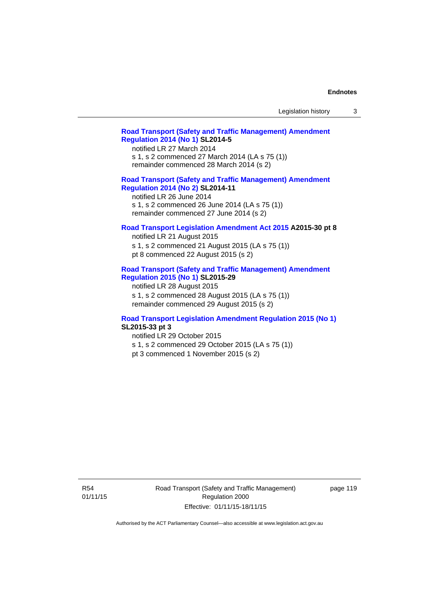## **[Road Transport \(Safety and Traffic Management\) Amendment](http://www.legislation.act.gov.au/sl/2014-5)  [Regulation 2014 \(No 1\)](http://www.legislation.act.gov.au/sl/2014-5) SL2014-5**

notified LR 27 March 2014 s 1, s 2 commenced 27 March 2014 (LA s 75 (1)) remainder commenced 28 March 2014 (s 2)

## **[Road Transport \(Safety and Traffic Management\) Amendment](http://www.legislation.act.gov.au/sl/2014-11)**

**[Regulation 2014 \(No 2\)](http://www.legislation.act.gov.au/sl/2014-11) SL2014-11**  notified LR 26 June 2014 s 1, s 2 commenced 26 June 2014 (LA s 75 (1))

# remainder commenced 27 June 2014 (s 2)

## **[Road Transport Legislation Amendment Act 2015](http://www.legislation.act.gov.au/a/2015-30/default.asp) A2015-30 pt 8**

notified LR 21 August 2015 s 1, s 2 commenced 21 August 2015 (LA s 75 (1)) pt 8 commenced 22 August 2015 (s 2)

### **[Road Transport \(Safety and Traffic Management\) Amendment](http://www.legislation.act.gov.au/sl/2015-29)  [Regulation 2015 \(No 1\)](http://www.legislation.act.gov.au/sl/2015-29) SL2015-29**

notified LR 28 August 2015 s 1, s 2 commenced 28 August 2015 (LA s 75 (1)) remainder commenced 29 August 2015 (s 2)

#### **[Road Transport Legislation Amendment Regulation 2015 \(No 1\)](http://www.legislation.act.gov.au/sl/2015-33) SL2015-33 pt 3**

notified LR 29 October 2015

s 1, s 2 commenced 29 October 2015 (LA s 75 (1))

pt 3 commenced 1 November 2015 (s 2)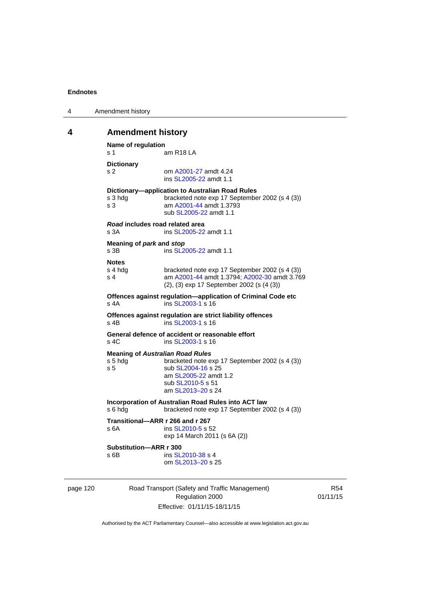| 4 | Amendment history |
|---|-------------------|
|---|-------------------|

## **4 Amendment history**

```
Name of regulation 
s 1 am R18 LA
Dictionary 
s 2 om A2001-27 amdt 4.24
                ins SL2005-22 amdt 1.1 
Dictionary—application to Australian Road Rules 
s 3 hdg bracketed note exp 17 September 2002 (s 4 (3))
s 3 am A2001-44 amdt 1.3793 
                sub SL2005-22 amdt 1.1 
Road includes road related area 
s 3A ins SL2005-22 amdt 1.1
Meaning of park and stop
SL2005-22 amdt 1.1
Notes 
s 4 hdg bracketed note exp 17 September 2002 (s 4 (3))<br>s 4 am A2001-44 amdt 1.3794: A2002-30 amdt 3.76
                A2001-44 A2002-30 amdt 3.769
                (2), (3) exp 17 September 2002 (s (4 (3)) 
Offences against regulation—application of Criminal Code etc 
SL2003-1 s 16
Offences against regulation are strict liability offences 
SL2003-1 s 16
General defence of accident or reasonable effort 
SL2003-1 s 16
Meaning of Australian Road Rules
s 5 hdg bracketed note exp 17 September 2002 (s 4 (3)) 
SL2004-16 s 25
                 am SL2005-22 amdt 1.2 
                sub SL2010-5 s 51 
                 am SL2013–20 s 24 
Incorporation of Australian Road Rules into ACT law 
s 6 hdg bracketed note exp 17 September 2002 (s 4 (3)) 
Transitional—ARR r 266 and r 267 
SL2010-5 s 52
                exp 14 March 2011 (s 6A (2)) 
Substitution—ARR r 300 
SL2010-38 s 4
                 om SL2013–20 s 25
```
page 120 Road Transport (Safety and Traffic Management) Regulation 2000 Effective: 01/11/15-18/11/15

R54 01/11/15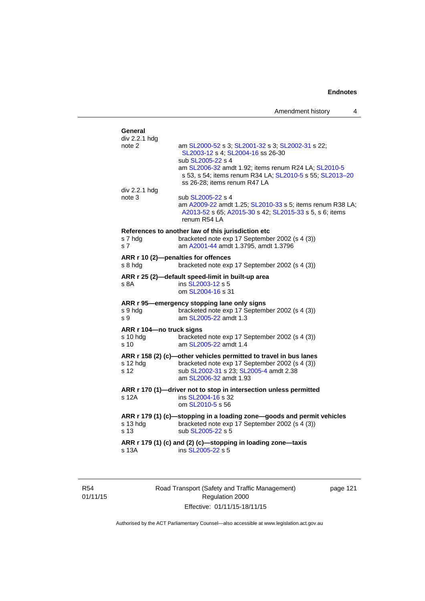| General<br>div 2.2.1 hdg                     |                                                                                                                                                                                         |
|----------------------------------------------|-----------------------------------------------------------------------------------------------------------------------------------------------------------------------------------------|
| note 2                                       | am SL2000-52 s 3; SL2001-32 s 3; SL2002-31 s 22;<br>SL2003-12 s 4; SL2004-16 ss 26-30<br>sub SL2005-22 s 4                                                                              |
| div 2.2.1 hdg                                | am SL2006-32 amdt 1.92; items renum R24 LA; SL2010-5<br>s 53, s 54; items renum R34 LA; SL2010-5 s 55; SL2013-20<br>ss 26-28; items renum R47 LA                                        |
| note 3                                       | sub SL2005-22 s 4<br>am A2009-22 amdt 1.25; SL2010-33 s 5; items renum R38 LA;<br>A2013-52 s 65; A2015-30 s 42; SL2015-33 s 5, s 6; items<br>renum R54 LA                               |
| s 7 hdg<br>s <sub>7</sub>                    | References to another law of this jurisdiction etc<br>bracketed note exp 17 September 2002 (s 4 (3))<br>am A2001-44 amdt 1.3795, amdt 1.3796                                            |
| s 8 hda                                      | ARR r 10 (2)-penalties for offences<br>bracketed note exp 17 September 2002 (s 4 (3))                                                                                                   |
| s 8A                                         | ARR r 25 (2)-default speed-limit in built-up area<br>ins SL2003-12 s 5<br>om SL2004-16 s 31                                                                                             |
| s 9 hdg<br>s 9                               | ARR r 95-emergency stopping lane only signs<br>bracketed note exp 17 September 2002 (s 4 (3))<br>am SL2005-22 amdt 1.3                                                                  |
| ARR r 104-no truck signs<br>s 10 hdg<br>s 10 | bracketed note exp 17 September 2002 (s 4 (3))<br>am SL2005-22 amdt 1.4                                                                                                                 |
| s 12 hdg<br>s 12                             | ARR r 158 (2) (c)-other vehicles permitted to travel in bus lanes<br>bracketed note exp 17 September 2002 (s 4 (3))<br>sub SL2002-31 s 23; SL2005-4 amdt 2.38<br>am SL2006-32 amdt 1.93 |
| s 12A                                        | ARR r 170 (1)-driver not to stop in intersection unless permitted<br>ins SL2004-16 s 32<br>om SL2010-5 s 56                                                                             |
| s 13 hdg<br>s 13                             | ARR r 179 (1) (c)-stopping in a loading zone-goods and permit vehicles<br>bracketed note exp 17 September 2002 (s 4 (3))<br>sub SL2005-22 s 5                                           |
| s 13A                                        | ARR r 179 (1) (c) and (2) (c)-stopping in loading zone-taxis<br>ins SL2005-22 s 5                                                                                                       |
|                                              |                                                                                                                                                                                         |

R54 01/11/15 Road Transport (Safety and Traffic Management) Regulation 2000 Effective: 01/11/15-18/11/15

page 121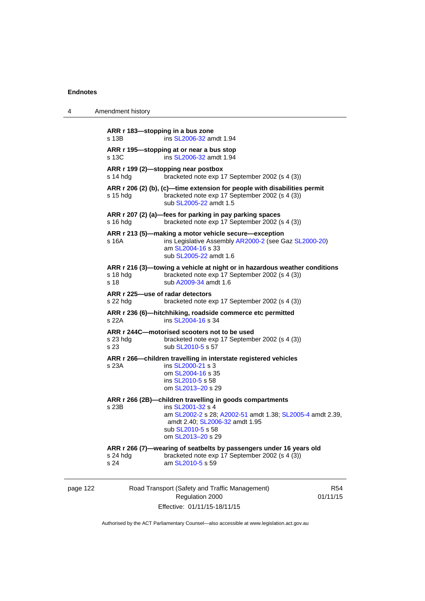| 4        | Amendment history                             |                                                                                                                                                                                                                        |                        |
|----------|-----------------------------------------------|------------------------------------------------------------------------------------------------------------------------------------------------------------------------------------------------------------------------|------------------------|
|          | s 13B                                         | ARR r 183-stopping in a bus zone<br>ins SL2006-32 amdt 1.94                                                                                                                                                            |                        |
|          | s 13C                                         | ARR r 195—stopping at or near a bus stop<br>ins SL2006-32 amdt 1.94                                                                                                                                                    |                        |
|          | s 14 hda                                      | ARR r 199 (2)—stopping near postbox<br>bracketed note exp 17 September 2002 (s 4 (3))                                                                                                                                  |                        |
|          | $s$ 15 hdg                                    | ARR $r$ 206 (2) (b), (c)—time extension for people with disabilities permit<br>bracketed note exp 17 September 2002 (s 4 (3))<br>sub SL2005-22 amdt 1.5                                                                |                        |
|          | $s$ 16 hdg                                    | ARR r 207 (2) (a)—fees for parking in pay parking spaces<br>bracketed note exp 17 September 2002 (s 4 (3))                                                                                                             |                        |
|          | s 16A                                         | ARR r 213 (5)—making a motor vehicle secure—exception<br>ins Legislative Assembly AR2000-2 (see Gaz SL2000-20)<br>am SL2004-16 s 33<br>sub SL2005-22 amdt 1.6                                                          |                        |
|          | $s$ 18 hdg<br>s 18                            | ARR r 216 (3)—towing a vehicle at night or in hazardous weather conditions<br>bracketed note exp 17 September 2002 (s 4 (3))<br>sub A2009-34 amdt 1.6                                                                  |                        |
|          | ARR r 225-use of radar detectors<br>$s22$ hdg | bracketed note exp 17 September 2002 (s 4 (3))                                                                                                                                                                         |                        |
|          | s 22A                                         | ARR r 236 (6)-hitchhiking, roadside commerce etc permitted<br>ins SL2004-16 s 34                                                                                                                                       |                        |
|          | s 23 hdg<br>s 23                              | ARR r 244C-motorised scooters not to be used<br>bracketed note exp 17 September 2002 (s 4 (3))<br>sub SL2010-5 s 57                                                                                                    |                        |
|          | s 23A                                         | ARR r 266—children travelling in interstate registered vehicles<br>ins SL2000-21 s 3<br>om SL2004-16 s 35<br>ins SL2010-5 s 58<br>om SL2013-20 s 29                                                                    |                        |
|          | s 23B                                         | ARR r 266 (2B)-children travelling in goods compartments<br>ins SL2001-32 s 4<br>am SL2002-2 s 28; A2002-51 amdt 1.38; SL2005-4 amdt 2.39,<br>amdt 2.40; SL2006-32 amdt 1.95<br>sub SL2010-5 s 58<br>om SL2013-20 s 29 |                        |
|          | s 24 hdg<br>s 24                              | ARR r 266 (7)-wearing of seatbelts by passengers under 16 years old<br>bracketed note exp 17 September 2002 (s 4 (3))<br>am SL2010-5 s 59                                                                              |                        |
| page 122 |                                               | Road Transport (Safety and Traffic Management)<br>Regulation 2000                                                                                                                                                      | <b>R54</b><br>01/11/15 |

Effective: 01/11/15-18/11/15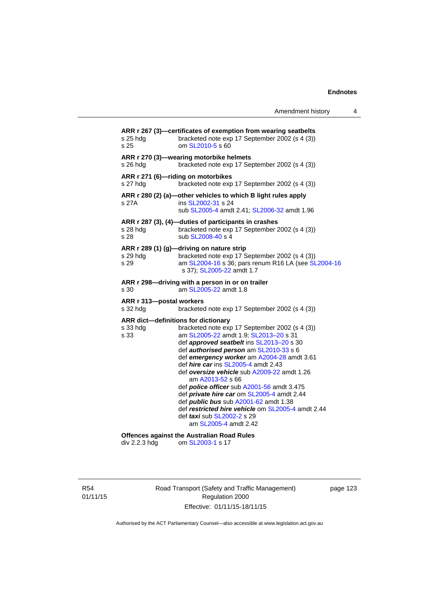Amendment history 4

| s 25 hdg<br>s 25                                        | ARR r 267 (3)—certificates of exemption from wearing seatbelts<br>bracketed note exp 17 September 2002 (s 4 (3))<br>om SL2010-5 s 60                                                                                                                                                                                                                                                                                                                                                                                                                                                                                             |
|---------------------------------------------------------|----------------------------------------------------------------------------------------------------------------------------------------------------------------------------------------------------------------------------------------------------------------------------------------------------------------------------------------------------------------------------------------------------------------------------------------------------------------------------------------------------------------------------------------------------------------------------------------------------------------------------------|
| s 26 hdg                                                | ARR r 270 (3)-wearing motorbike helmets<br>bracketed note exp 17 September 2002 (s 4 (3))                                                                                                                                                                                                                                                                                                                                                                                                                                                                                                                                        |
| s 27 hdg                                                | ARR r 271 (6)-riding on motorbikes<br>bracketed note exp 17 September 2002 (s 4 (3))                                                                                                                                                                                                                                                                                                                                                                                                                                                                                                                                             |
| s 27A                                                   | ARR r 280 (2) (a)-other vehicles to which B light rules apply<br>ins SL2002-31 s 24<br>sub SL2005-4 amdt 2.41; SL2006-32 amdt 1.96                                                                                                                                                                                                                                                                                                                                                                                                                                                                                               |
| s 28 hdg<br>s 28                                        | ARR r 287 (3), (4)-duties of participants in crashes<br>bracketed note exp 17 September 2002 (s 4 (3))<br>sub SL2008-40 s 4                                                                                                                                                                                                                                                                                                                                                                                                                                                                                                      |
| s 29 hdg<br>s 29                                        | ARR r 289 (1) (g)-driving on nature strip<br>bracketed note exp 17 September 2002 (s 4 (3))<br>am SL2004-16 s 36; pars renum R16 LA (see SL2004-16<br>s 37); SL2005-22 amdt 1.7                                                                                                                                                                                                                                                                                                                                                                                                                                                  |
| s 30                                                    | ARR r 298-driving with a person in or on trailer<br>am SL2005-22 amdt 1.8                                                                                                                                                                                                                                                                                                                                                                                                                                                                                                                                                        |
| ARR r 313-postal workers<br>s 32 hdg                    | bracketed note exp 17 September 2002 (s 4 (3))                                                                                                                                                                                                                                                                                                                                                                                                                                                                                                                                                                                   |
| ARR dict-definitions for dictionary<br>s 33 hdg<br>s 33 | bracketed note exp 17 September 2002 (s 4 (3))<br>am SL2005-22 amdt 1.9; SL2013-20 s 31<br>def approved seatbelt ins SL2013-20 s 30<br>def <i>authorised person</i> am SL2010-33 s 6<br>def emergency worker am A2004-28 amdt 3.61<br>def <i>hire car</i> ins SL2005-4 amdt 2.43<br>def oversize vehicle sub A2009-22 amdt 1.26<br>am A2013-52 s 66<br>def <i>police officer</i> sub A2001-56 amdt 3.475<br>def <i>private hire car</i> om SL2005-4 amdt 2.44<br>def <i>public bus</i> sub A2001-62 amdt 1.38<br>def restricted hire vehicle om SL2005-4 amdt 2.44<br>def <i>taxi</i> sub SL2002-2 s 29<br>am SL2005-4 amdt 2.42 |
| div 2.2.3 hdg                                           | <b>Offences against the Australian Road Rules</b><br>om SL2003-1 s 17                                                                                                                                                                                                                                                                                                                                                                                                                                                                                                                                                            |

R54 01/11/15 Road Transport (Safety and Traffic Management) Regulation 2000 Effective: 01/11/15-18/11/15

page 123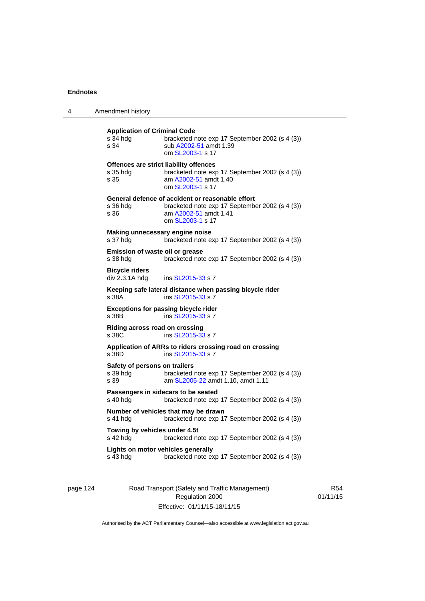| 4 | Amendment history                                                                                                                                                   |
|---|---------------------------------------------------------------------------------------------------------------------------------------------------------------------|
|   | <b>Application of Criminal Code</b><br>s 34 hda<br>bracketed note exp 17 September 2002 (s 4 (3))<br>s 34<br>sub A2002-51 amdt 1.39<br>om SL2003-1 s 17             |
|   | Offences are strict liability offences<br>s 35 hdg<br>bracketed note exp 17 September 2002 (s 4 (3))<br>s 35<br>am A2002-51 amdt 1.40<br>om SL2003-1 s 17           |
|   | General defence of accident or reasonable effort<br>bracketed note exp 17 September 2002 (s 4 (3))<br>s 36 hdg<br>s 36<br>am A2002-51 amdt 1.41<br>om SL2003-1 s 17 |
|   | Making unnecessary engine noise<br>bracketed note exp 17 September 2002 (s 4 (3))<br>s 37 hdg                                                                       |
|   | Emission of waste oil or grease<br>s 38 hdg<br>bracketed note exp 17 September 2002 (s 4 (3))                                                                       |
|   | <b>Bicycle riders</b><br>div 2.3.1A hdg<br>ins SL2015-33 s 7                                                                                                        |
|   | Keeping safe lateral distance when passing bicycle rider<br>s 38A<br>ins SL2015-33 s 7                                                                              |
|   | <b>Exceptions for passing bicycle rider</b><br>s 38B<br>ins SL2015-33 s 7                                                                                           |
|   | Riding across road on crossing<br>s 38C<br>ins SL2015-33 s 7                                                                                                        |
|   | Application of ARRs to riders crossing road on crossing<br>s 38D<br>ins SL2015-33 s 7                                                                               |
|   | Safety of persons on trailers<br>s 39 hda<br>bracketed note exp 17 September 2002 (s 4 (3))<br>s 39<br>am SL2005-22 amdt 1.10, amdt 1.11                            |
|   | Passengers in sidecars to be seated<br>s 40 hdg<br>bracketed note exp 17 September 2002 (s 4 (3))                                                                   |
|   | Number of vehicles that may be drawn<br>bracketed note exp 17 September 2002 (s 4 (3))<br>s 41 hdg                                                                  |
|   | Towing by vehicles under 4.5t<br>bracketed note exp 17 September 2002 (s 4 (3))<br>s 42 hdg                                                                         |
|   | Lights on motor vehicles generally<br>s 43 hdg<br>bracketed note exp 17 September 2002 (s 4 (3))                                                                    |
|   |                                                                                                                                                                     |

| page 124 |
|----------|
|----------|

page 124 Road Transport (Safety and Traffic Management) Regulation 2000 Effective: 01/11/15-18/11/15

R54 01/11/15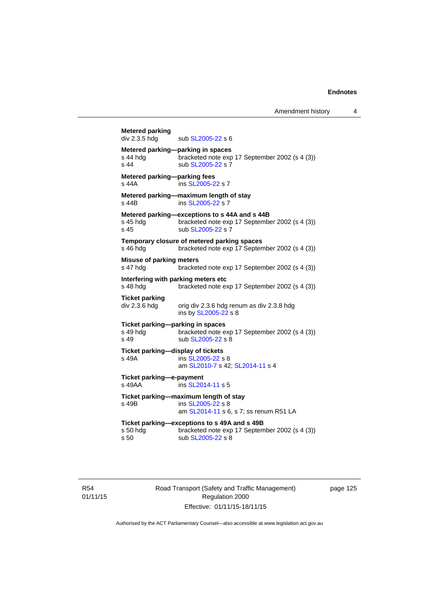| <b>Metered parking</b><br>div 2.3.5 hdg              | sub SL2005-22 s 6                                                                                                    |
|------------------------------------------------------|----------------------------------------------------------------------------------------------------------------------|
| s 44 hdg<br>s 44                                     | Metered parking-parking in spaces<br>bracketed note exp 17 September 2002 (s 4 (3))<br>sub SL2005-22 s 7             |
| Metered parking-parking fees<br>s 44A                | ins SL2005-22 s 7                                                                                                    |
| s 44B                                                | Metered parking-maximum length of stay<br>ins SL2005-22 s 7                                                          |
| s 45 hda<br>$s$ 45                                   | Metered parking-exceptions to s 44A and s 44B<br>bracketed note exp 17 September 2002 (s 4 (3))<br>sub SL2005-22 s 7 |
| s 46 hdg                                             | Temporary closure of metered parking spaces<br>bracketed note exp 17 September 2002 (s 4 (3))                        |
| <b>Misuse of parking meters</b><br>s 47 hda          | bracketed note exp 17 September 2002 (s 4 (3))                                                                       |
| Interfering with parking meters etc<br>s 48 hda      | bracketed note exp 17 September 2002 (s 4 (3))                                                                       |
| <b>Ticket parking</b><br>div 2.3.6 hdg               | orig div 2.3.6 hdg renum as div 2.3.8 hdg<br>ins by SL2005-22 s 8                                                    |
| Ticket parking-parking in spaces<br>s 49 hdg<br>s 49 | bracketed note exp 17 September 2002 (s 4 (3))<br>sub SL2005-22 s 8                                                  |
| Ticket parking-display of tickets<br>s 49A           | ins SL2005-22 s 8<br>am SL2010-7 s 42; SL2014-11 s 4                                                                 |
| Ticket parking-e-payment<br>s 49AA                   | ins SL2014-11 s 5                                                                                                    |
| s 49B                                                | Ticket parking-maximum length of stay<br>ins SL2005-22 s 8<br>am SL2014-11 s 6, s 7; ss renum R51 LA                 |
| $s50$ hdg<br>s 50                                    | Ticket parking-exceptions to s 49A and s 49B<br>bracketed note exp 17 September 2002 (s 4 (3))<br>sub SL2005-22 s 8  |
|                                                      |                                                                                                                      |

R54 01/11/15 Road Transport (Safety and Traffic Management) Regulation 2000 Effective: 01/11/15-18/11/15

page 125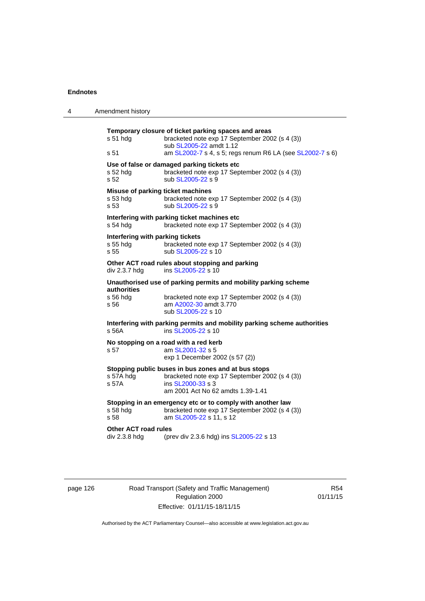| 4 | Amendment history                                                                      |                                                                                                                                                                                                |
|---|----------------------------------------------------------------------------------------|------------------------------------------------------------------------------------------------------------------------------------------------------------------------------------------------|
|   | $s51$ hdg<br>s 51                                                                      | Temporary closure of ticket parking spaces and areas<br>bracketed note exp 17 September 2002 (s 4 (3))<br>sub SL2005-22 amdt 1.12<br>am SL2002-7 s 4, s 5; regs renum R6 LA (see SL2002-7 s 6) |
|   | s 52 hdg<br>s 52                                                                       | Use of false or damaged parking tickets etc<br>bracketed note exp 17 September 2002 (s 4 (3))<br>sub SL2005-22 s 9                                                                             |
|   | Misuse of parking ticket machines<br>s 53 hdg<br>s 53                                  | bracketed note exp 17 September 2002 (s 4 (3))<br>sub SL2005-22 s 9                                                                                                                            |
|   | s 54 hda                                                                               | Interfering with parking ticket machines etc<br>bracketed note exp 17 September 2002 (s 4 (3))                                                                                                 |
|   | Interfering with parking tickets<br>s 55 hdg<br>s 55                                   | bracketed note exp 17 September 2002 (s 4 (3))<br>sub SL2005-22 s 10                                                                                                                           |
|   | Other ACT road rules about stopping and parking<br>div 2.3.7 hdg<br>ins SL2005-22 s 10 |                                                                                                                                                                                                |
|   | authorities<br>s 56 hdg<br>s 56                                                        | Unauthorised use of parking permits and mobility parking scheme<br>bracketed note exp 17 September 2002 (s 4 (3))<br>am A2002-30 amdt 3.770<br>sub SL2005-22 s 10                              |
|   | s 56A                                                                                  | Interfering with parking permits and mobility parking scheme authorities<br>ins SL2005-22 s 10                                                                                                 |
|   | s 57                                                                                   | No stopping on a road with a red kerb<br>am SL2001-32 s 5<br>exp 1 December 2002 (s 57 (2))                                                                                                    |
|   | s 57A hdg<br>s 57A                                                                     | Stopping public buses in bus zones and at bus stops<br>bracketed note exp 17 September 2002 (s 4 (3))<br>ins SL2000-33 s 3<br>am 2001 Act No 62 amdts 1.39-1.41                                |
|   | s 58 hdg<br>s 58                                                                       | Stopping in an emergency etc or to comply with another law<br>bracketed note exp 17 September 2002 (s 4 (3))<br>am SL2005-22 s 11, s 12                                                        |
|   | <b>Other ACT road rules</b><br>div 2.3.8 hdg                                           | (prev div 2.3.6 hdg) ins SL2005-22 s 13                                                                                                                                                        |

page 126 Road Transport (Safety and Traffic Management) Regulation 2000 Effective: 01/11/15-18/11/15

R54 01/11/15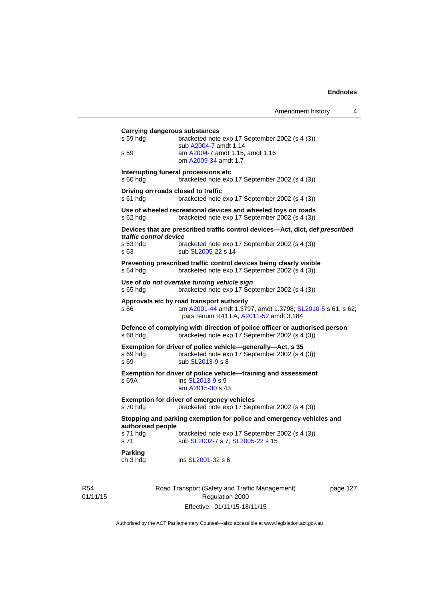| s 59 hdg               | <b>Carrying dangerous substances</b><br>bracketed note exp 17 September 2002 (s 4 (3))                                                            |
|------------------------|---------------------------------------------------------------------------------------------------------------------------------------------------|
| s 59                   | sub A2004-7 amdt 1.14<br>am A2004-7 amdt 1.15, amdt 1.16<br>om A2009-34 amdt 1.7                                                                  |
| s 60 hdg               | Interrupting funeral processions etc<br>bracketed note exp 17 September 2002 (s 4 (3))                                                            |
| s 61 hdg               | Driving on roads closed to traffic<br>bracketed note exp 17 September 2002 (s 4 (3))                                                              |
| s 62 hdg               | Use of wheeled recreational devices and wheeled toys on roads<br>bracketed note exp 17 September 2002 (s 4 (3))                                   |
| traffic control device | Devices that are prescribed traffic control devices-Act, dict, def prescribed                                                                     |
| s 63 hdg<br>s 63       | bracketed note exp 17 September 2002 (s 4 (3))<br>sub SL2005-22 s 14                                                                              |
| $s$ 64 hdg             | Preventing prescribed traffic control devices being clearly visible<br>bracketed note exp 17 September 2002 (s 4 (3))                             |
| s 65 hdg               | Use of do not overtake turning vehicle sign<br>bracketed note exp 17 September 2002 (s 4 (3))                                                     |
| s 66                   | Approvals etc by road transport authority<br>am A2001-44 amdt 1.3797, amdt 1.3798; SL2010-5 s 61, s 62;<br>pars renum R41 LA; A2011-52 amdt 3.184 |
| s 68 hdg               | Defence of complying with direction of police officer or authorised person<br>bracketed note exp 17 September 2002 (s 4 (3))                      |
| s 69 hdg<br>s 69       | Exemption for driver of police vehicle-generally-Act, s 35<br>bracketed note exp 17 September 2002 (s 4 (3))<br>sub SL2013-9 s 8                  |
| s 69A                  | Exemption for driver of police vehicle-training and assessment<br>ins SL2013-9 s 9<br>am A2015-30 s 43                                            |
| s 70 hdg               | <b>Exemption for driver of emergency vehicles</b><br>bracketed note exp 17 September 2002 (s 4 (3))                                               |
| authorised people      | Stopping and parking exemption for police and emergency vehicles and                                                                              |
| s 71 hda<br>s 71       | bracketed note exp 17 September 2002 (s 4 (3))<br>sub SL2002-7 s 7; SL2005-22 s 15                                                                |
| Parking<br>ch 3 hdg    | ins SL2001-32 s 6                                                                                                                                 |

R54 01/11/15

Road Transport (Safety and Traffic Management) Regulation 2000 Effective: 01/11/15-18/11/15

page 127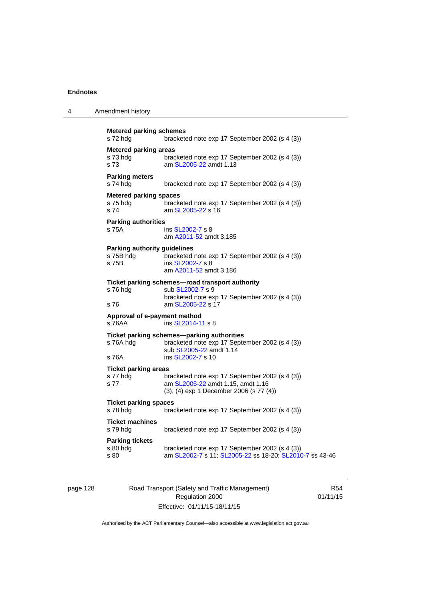| 4 | Amendment history                                         |                                                                                                                                            |
|---|-----------------------------------------------------------|--------------------------------------------------------------------------------------------------------------------------------------------|
|   | <b>Metered parking schemes</b><br>s 72 hdg                | bracketed note exp 17 September 2002 (s 4 (3))                                                                                             |
|   | <b>Metered parking areas</b><br>s 73 hdg<br>s 73          | bracketed note exp 17 September 2002 (s 4 (3))<br>am SL2005-22 amdt 1.13                                                                   |
|   | <b>Parking meters</b><br>s 74 hdg                         | bracketed note exp 17 September 2002 (s 4 (3))                                                                                             |
|   | <b>Metered parking spaces</b><br>s 75 hdg<br>s 74         | bracketed note exp 17 September 2002 (s 4 (3))<br>am SL2005-22 s 16                                                                        |
|   | <b>Parking authorities</b><br>s 75A                       | ins SL2002-7 s 8<br>am A2011-52 amdt 3.185                                                                                                 |
|   | <b>Parking authority guidelines</b><br>s 75B hdg<br>s 75B | bracketed note exp 17 September 2002 (s 4 (3))<br>ins SL2002-7 s 8<br>am A2011-52 amdt 3.186                                               |
|   | s 76 hdg<br>s 76                                          | Ticket parking schemes—road transport authority<br>sub SL2002-7 s 9<br>bracketed note exp 17 September 2002 (s 4 (3))<br>am SL2005-22 s 17 |
|   | Approval of e-payment method<br>s 76AA                    | ins SL2014-11 s 8                                                                                                                          |
|   | s 76A hdg                                                 | Ticket parking schemes-parking authorities<br>bracketed note exp 17 September 2002 (s 4 (3))<br>sub SL2005-22 amdt 1.14                    |
|   | s 76A                                                     | ins SL2002-7 s 10                                                                                                                          |
|   | <b>Ticket parking areas</b><br>s 77 hdg<br>s 77           | bracketed note exp 17 September 2002 (s 4 (3))<br>am SL2005-22 amdt 1.15, amdt 1.16<br>(3), (4) exp 1 December 2006 (s 77 (4))             |
|   | <b>Ticket parking spaces</b><br>s 78 hdg                  | bracketed note exp 17 September 2002 (s 4 (3))                                                                                             |
|   | <b>Ticket machines</b><br>s 79 hdg                        | bracketed note exp 17 September 2002 (s 4 (3))                                                                                             |
|   | <b>Parking tickets</b><br>s 80 hdg<br>s 80                | bracketed note exp 17 September 2002 (s 4 (3))<br>am SL2002-7 s 11; SL2005-22 ss 18-20; SL2010-7 ss 43-46                                  |

page 128 Road Transport (Safety and Traffic Management) Regulation 2000 Effective: 01/11/15-18/11/15

R54 01/11/15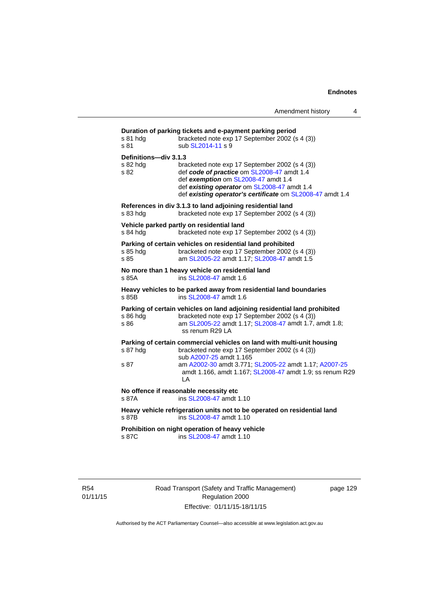| s 81 hdg<br>s 81                          | Duration of parking tickets and e-payment parking period<br>bracketed note exp 17 September 2002 (s 4 (3))<br>sub SL2014-11 s 9                                                                                                                 |
|-------------------------------------------|-------------------------------------------------------------------------------------------------------------------------------------------------------------------------------------------------------------------------------------------------|
| Definitions-div 3.1.3<br>s 82 hdg<br>s 82 | bracketed note exp 17 September 2002 (s 4 (3))<br>def code of practice om SL2008-47 amdt 1.4<br>def exemption om SL2008-47 amdt 1.4<br>def existing operator om SL2008-47 amdt 1.4<br>def existing operator's certificate om SL2008-47 amdt 1.4 |
| s 83 hdg                                  | References in div 3.1.3 to land adjoining residential land<br>bracketed note exp 17 September 2002 (s 4 (3))                                                                                                                                    |
| s 84 hdg                                  | Vehicle parked partly on residential land<br>bracketed note exp 17 September 2002 (s 4 (3))                                                                                                                                                     |
| s 85 hdg<br>s 85                          | Parking of certain vehicles on residential land prohibited<br>bracketed note exp 17 September 2002 (s 4 (3))<br>am SL2005-22 amdt 1.17; SL2008-47 amdt 1.5                                                                                      |
| s 85A                                     | No more than 1 heavy vehicle on residential land<br>ins SL2008-47 amdt 1.6                                                                                                                                                                      |
| s 85B                                     | Heavy vehicles to be parked away from residential land boundaries<br>ins SL2008-47 amdt 1.6                                                                                                                                                     |
| s 86 hdg<br>s 86                          | Parking of certain vehicles on land adjoining residential land prohibited<br>bracketed note exp 17 September 2002 (s 4 (3))<br>am SL2005-22 amdt 1.17; SL2008-47 amdt 1.7, amdt 1.8;<br>ss renum R29 LA                                         |
| s 87 hdg                                  | Parking of certain commercial vehicles on land with multi-unit housing<br>bracketed note exp 17 September 2002 (s 4 (3))                                                                                                                        |
| s 87                                      | sub A2007-25 amdt 1.165<br>am A2002-30 amdt 3.771; SL2005-22 amdt 1.17; A2007-25<br>amdt 1.166, amdt 1.167; SL2008-47 amdt 1.9; ss renum R29<br>LA                                                                                              |
| s 87A                                     | No offence if reasonable necessity etc<br>ins SL2008-47 amdt 1.10                                                                                                                                                                               |
| s 87B                                     | Heavy vehicle refrigeration units not to be operated on residential land<br>ins SL2008-47 amdt 1.10                                                                                                                                             |
| s 87C                                     | Prohibition on night operation of heavy vehicle<br>ins SL2008-47 amdt 1.10                                                                                                                                                                      |

R54 01/11/15 Road Transport (Safety and Traffic Management) Regulation 2000 Effective: 01/11/15-18/11/15

page 129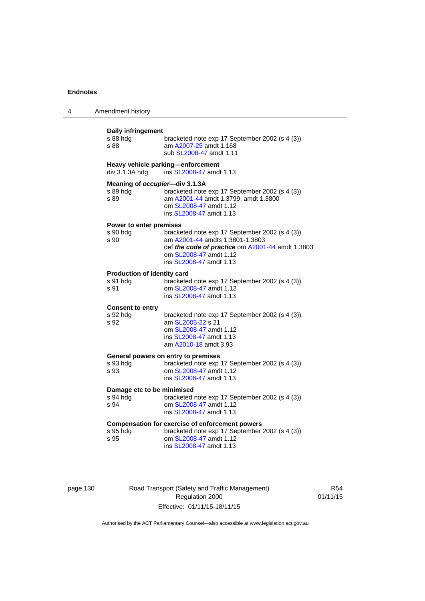| 4 | Amendment history                                                                                                                               |                                                                                                    |
|---|-------------------------------------------------------------------------------------------------------------------------------------------------|----------------------------------------------------------------------------------------------------|
|   | Daily infringement<br>s 88 hdg<br>am A2007-25 amdt 1.168<br>s 88<br>sub SL2008-47 amdt 1.11                                                     | bracketed note exp 17 September 2002 (s 4 (3))                                                     |
|   | Heavy vehicle parking-enforcement<br>div 3.1.3A hdg<br>ins SL2008-47 amdt 1.13                                                                  |                                                                                                    |
|   | Meaning of occupier-div 3.1.3A<br>s 89 hdg<br>am A2001-44 amdt 1.3799, amdt 1.3800<br>s 89<br>om SL2008-47 amdt 1.12<br>ins SL2008-47 amdt 1.13 | bracketed note exp 17 September 2002 (s 4 (3))                                                     |
|   | Power to enter premises<br>s 90 hdg<br>am A2001-44 amdts 1.3801-1.3803<br>s 90<br>om SL2008-47 amdt 1.12<br>ins SL2008-47 amdt 1.13             | bracketed note exp 17 September 2002 (s 4 (3))<br>def the code of practice om A2001-44 amdt 1.3803 |
|   | <b>Production of identity card</b><br>s 91 hda<br>s 91<br>om SL2008-47 amdt 1.12<br>ins SL2008-47 amdt 1.13                                     | bracketed note exp 17 September 2002 (s 4 (3))                                                     |
|   | <b>Consent to entry</b><br>s 92 hdg<br>s 92<br>am SL2005-22 s 21<br>om SL2008-47 amdt 1.12<br>ins SL2008-47 amdt 1.13<br>am A2010-18 amdt 3.93  | bracketed note exp 17 September 2002 (s 4 (3))                                                     |
|   | General powers on entry to premises<br>s 93 hdg<br>om SL2008-47 amdt 1.12<br>s 93<br>ins SL2008-47 amdt 1.13                                    | bracketed note exp 17 September 2002 (s 4 (3))                                                     |
|   | Damage etc to be minimised<br>s 94 hdg<br>om SL2008-47 amdt 1.12<br>s 94<br>ins SL2008-47 amdt 1.13                                             | bracketed note exp 17 September 2002 (s 4 (3))                                                     |
|   | <b>Compensation for exercise of enforcement powers</b><br>s 95 hdg<br>om SL2008-47 amdt 1.12<br>s 95<br>ins SL2008-47 amdt 1.13                 | bracketed note exp 17 September 2002 (s 4 (3))                                                     |
|   |                                                                                                                                                 |                                                                                                    |

page 130 Road Transport (Safety and Traffic Management) Regulation 2000 Effective: 01/11/15-18/11/15

R54 01/11/15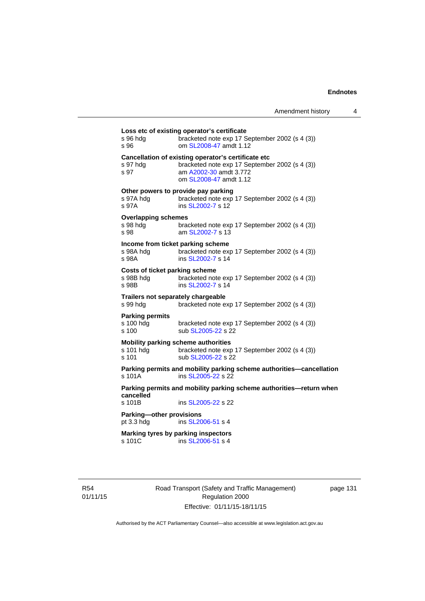| s 96 hda<br>s 96                                     | bracketed note exp 17 September 2002 (s 4 (3))<br>om SL2008-47 amdt 1.12                                                                                  |
|------------------------------------------------------|-----------------------------------------------------------------------------------------------------------------------------------------------------------|
| s 97 hdg<br>s 97                                     | Cancellation of existing operator's certificate etc<br>bracketed note exp 17 September 2002 (s 4 (3))<br>am A2002-30 amdt 3.772<br>om SL2008-47 amdt 1.12 |
| s 97A hdg<br>s 97A                                   | Other powers to provide pay parking<br>bracketed note exp 17 September 2002 (s 4 (3))<br>ins SL2002-7 s 12                                                |
| <b>Overlapping schemes</b><br>s 98 hda<br>s 98       | bracketed note exp 17 September 2002 (s 4 (3))<br>am SL2002-7 s 13                                                                                        |
| s 98A hdq<br>s 98A                                   | Income from ticket parking scheme<br>bracketed note exp 17 September 2002 (s 4 (3))<br>ins SL2002-7 s 14                                                  |
| Costs of ticket parking scheme<br>s 98B hdg<br>s 98B | bracketed note exp 17 September 2002 (s 4 (3))<br>ins SL2002-7 s 14                                                                                       |
| s 99 hda                                             | Trailers not separately chargeable<br>bracketed note exp 17 September 2002 (s 4 (3))                                                                      |
| <b>Parking permits</b><br>s 100 hdg<br>s 100         | bracketed note exp 17 September 2002 (s 4 (3))<br>sub SL2005-22 s 22                                                                                      |
| s 101 hda<br>$s$ 101                                 | Mobility parking scheme authorities<br>bracketed note exp 17 September 2002 (s 4 (3))<br>sub SL2005-22 s 22                                               |
| $s$ 101 $A$                                          | Parking permits and mobility parking scheme authorities-cancellation<br>ins SL2005-22 s 22                                                                |
| cancelled<br>s 101B                                  | Parking permits and mobility parking scheme authorities—return when<br>ins SL2005-22 s 22                                                                 |
| Parking-other provisions<br>pt $3.3$ hdg             | ins SL2006-51 s 4                                                                                                                                         |
| s 101C                                               | Marking tyres by parking inspectors<br>ins SL2006-51 s 4                                                                                                  |

R54 01/11/15 Road Transport (Safety and Traffic Management) Regulation 2000 Effective: 01/11/15-18/11/15

page 131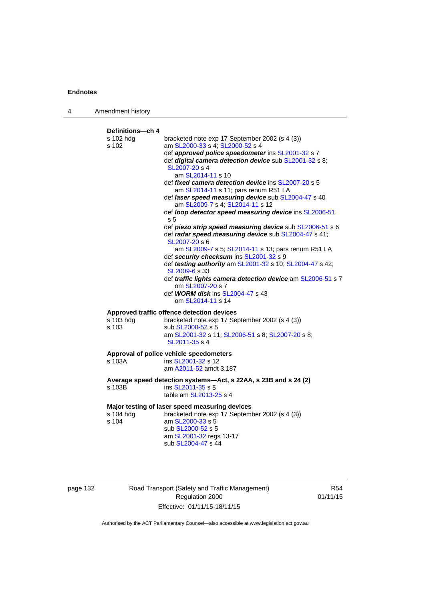| 4 | Amendment history                        |                                                                                                                                                                                                                                                                                                                                                                                                                                                                                                                                                                                                                                                                                                    |
|---|------------------------------------------|----------------------------------------------------------------------------------------------------------------------------------------------------------------------------------------------------------------------------------------------------------------------------------------------------------------------------------------------------------------------------------------------------------------------------------------------------------------------------------------------------------------------------------------------------------------------------------------------------------------------------------------------------------------------------------------------------|
|   | Definitions---ch 4<br>s 102 hdg<br>s 102 | bracketed note exp 17 September 2002 (s 4 (3))<br>am SL2000-33 s 4; SL2000-52 s 4<br>def approved police speedometer ins SL2001-32 s 7<br>def digital camera detection device sub SL2001-32 s 8;<br>SL2007-20 s 4<br>am SL2014-11 s 10<br>def <i>fixed camera detection device</i> ins SL2007-20 s 5<br>am SL2014-11 s 11; pars renum R51 LA<br>def laser speed measuring device sub SL2004-47 s 40<br>am SL2009-7 s 4; SL2014-11 s 12<br>def loop detector speed measuring device ins SL2006-51<br>s 5<br>def piezo strip speed measuring device sub SL2006-51 s 6<br>def radar speed measuring device sub SL2004-47 s 41;<br>SL2007-20 s 6<br>am SL2009-7 s 5; SL2014-11 s 13; pars renum R51 LA |
|   |                                          | def security checksum ins SL2001-32 s 9<br>def testing authority am SL2001-32 s 10; SL2004-47 s 42;<br>SL2009-6 s 33<br>def traffic lights camera detection device am SL2006-51 s 7<br>om SL2007-20 s 7<br>def <b>WORM disk</b> ins <b>SL2004-47</b> s 43<br>om SL2014-11 s 14                                                                                                                                                                                                                                                                                                                                                                                                                     |
|   | s 103 hdg<br>s 103                       | Approved traffic offence detection devices<br>bracketed note exp 17 September 2002 (s 4 (3))<br>sub SL2000-52 s 5<br>am SL2001-32 s 11; SL2006-51 s 8; SL2007-20 s 8;<br>SL2011-35 s 4                                                                                                                                                                                                                                                                                                                                                                                                                                                                                                             |
|   | s 103A                                   | Approval of police vehicle speedometers<br>ins SL2001-32 s 12<br>am A2011-52 amdt 3.187                                                                                                                                                                                                                                                                                                                                                                                                                                                                                                                                                                                                            |
|   | s 103B                                   | Average speed detection systems-Act, s 22AA, s 23B and s 24 (2)<br>ins SL2011-35 s 5<br>table am SL2013-25 s 4                                                                                                                                                                                                                                                                                                                                                                                                                                                                                                                                                                                     |
|   | s 104 hdg<br>s 104                       | Major testing of laser speed measuring devices<br>bracketed note exp 17 September 2002 (s 4 (3))<br>am SL2000-33 s 5<br>sub SL2000-52 s 5<br>am SL2001-32 regs 13-17<br>sub SL2004-47 s 44                                                                                                                                                                                                                                                                                                                                                                                                                                                                                                         |

page 132 Road Transport (Safety and Traffic Management) Regulation 2000 Effective: 01/11/15-18/11/15

R54 01/11/15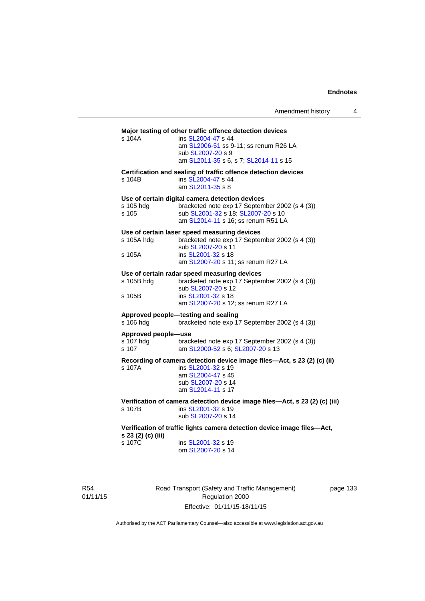# **Major testing of other traffic offence detection devices**  s 104A ins [SL2004-47](http://www.legislation.act.gov.au/sl/2004-47) s 44 am [SL2006-51](http://www.legislation.act.gov.au/sl/2006-51) ss 9-11; ss renum R26 LA sub [SL2007-20](http://www.legislation.act.gov.au/sl/2007-20) s 9 am [SL2011-35](http://www.legislation.act.gov.au/sl/2011-35) s 6, s 7; [SL2014-11](http://www.legislation.act.gov.au/sl/2014-11) s 15 **Certification and sealing of traffic offence detection devices**  s 104B ins [SL2004-47](http://www.legislation.act.gov.au/sl/2004-47) s 44 am [SL2011-35](http://www.legislation.act.gov.au/sl/2011-35) s 8 **Use of certain digital camera detection devices**  s 105 hdg bracketed note exp 17 September 2002 (s 4 (3)) s 105 sub [SL2001-32](http://www.legislation.act.gov.au/sl/2001-32) s 18; [SL2007-20](http://www.legislation.act.gov.au/sl/2007-20) s 10 am [SL2014-11](http://www.legislation.act.gov.au/sl/2014-11) s 16; ss renum R51 LA **Use of certain laser speed measuring devices**  s 105A hdg bracketed note exp 17 September 2002 (s 4 (3)) sub [SL2007-20](http://www.legislation.act.gov.au/sl/2007-20) s<sup>11</sup><br>s 105A ins SL2001-32 s 18 ins [SL2001-32](http://www.legislation.act.gov.au/sl/2001-32) s 18 am [SL2007-20](http://www.legislation.act.gov.au/sl/2007-20) s 11; ss renum R27 LA **Use of certain radar speed measuring devices**  s 105B hdg bracketed note exp 17 September 2002 (s 4 (3)) sub [SL2007-20](http://www.legislation.act.gov.au/sl/2007-20) s 12 s 105B ins [SL2001-32](http://www.legislation.act.gov.au/sl/2001-32) s 18 am [SL2007-20](http://www.legislation.act.gov.au/sl/2007-20) s 12; ss renum R27 LA **Approved people—testing and sealing**  s 106 hdg bracketed note exp 17 September 2002 (s 4 (3)) **Approved people—use**  s 107 hdg bracketed note exp 17 September 2002 (s 4 (3))<br>s 107 am SL2000-52 s 6: SL2007-20 s 13 am [SL2000-52](http://www.legislation.act.gov.au/sl/2000-52) s 6; [SL2007-20](http://www.legislation.act.gov.au/sl/2007-20) s 13 **Recording of camera detection device image files—Act, s 23 (2) (c) (ii)**  s 107A ins [SL2001-32](http://www.legislation.act.gov.au/sl/2001-32) s 19 am [SL2004-47](http://www.legislation.act.gov.au/sl/2004-47) s 45 sub [SL2007-20](http://www.legislation.act.gov.au/sl/2007-20) s 14 am [SL2014-11](http://www.legislation.act.gov.au/sl/2014-11) s 17 **Verification of camera detection device image files—Act, s 23 (2) (c) (iii)**  s 107B ins [SL2001-32](http://www.legislation.act.gov.au/sl/2001-32) s 19 sub [SL2007-20](http://www.legislation.act.gov.au/sl/2007-20) s 14 **Verification of traffic lights camera detection device image files—Act, s 23 (2) (c) (iii)**  ins [SL2001-32](http://www.legislation.act.gov.au/sl/2001-32) s 19 om [SL2007-20](http://www.legislation.act.gov.au/sl/2007-20) s 14

R54 01/11/15 Road Transport (Safety and Traffic Management) Regulation 2000 Effective: 01/11/15-18/11/15

page 133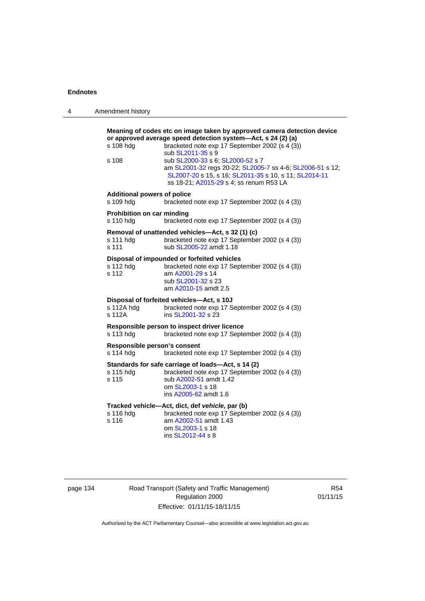| 4 | Amendment history                               |                                                                                                                                                                                                                                                                                                                                                                                                                     |
|---|-------------------------------------------------|---------------------------------------------------------------------------------------------------------------------------------------------------------------------------------------------------------------------------------------------------------------------------------------------------------------------------------------------------------------------------------------------------------------------|
|   | s 108 hdg<br>s 108                              | Meaning of codes etc on image taken by approved camera detection device<br>or approved average speed detection system-Act, s 24 (2) (a)<br>bracketed note exp 17 September 2002 (s 4 (3))<br>sub SL2011-35 s 9<br>sub SL2000-33 s 6; SL2000-52 s 7<br>am SL2001-32 regs 20-22; SL2005-7 ss 4-6; SL2006-51 s 12;<br>SL2007-20 s 15, s 16; SL2011-35 s 10, s 11; SL2014-11<br>ss 18-21; A2015-29 s 4; ss renum R53 LA |
|   | <b>Additional powers of police</b><br>s 109 hdg | bracketed note exp 17 September 2002 (s 4 (3))                                                                                                                                                                                                                                                                                                                                                                      |
|   | Prohibition on car minding<br>s 110 hdg         | bracketed note exp 17 September 2002 (s 4 (3))                                                                                                                                                                                                                                                                                                                                                                      |
|   | s 111 hdg<br>s 111                              | Removal of unattended vehicles—Act, s 32 (1) (c)<br>bracketed note exp 17 September 2002 (s 4 (3))<br>sub SL2005-22 amdt 1.18                                                                                                                                                                                                                                                                                       |
|   | s 112 hdg<br>s 112                              | Disposal of impounded or forfeited vehicles<br>bracketed note exp 17 September 2002 (s 4 (3))<br>am A2001-29 s 14<br>sub SL2001-32 s 23<br>am A2010-15 amdt 2.5                                                                                                                                                                                                                                                     |
|   | s 112A hdg<br>s 112A                            | Disposal of forfeited vehicles-Act, s 10J<br>bracketed note exp 17 September 2002 (s 4 (3))<br>ins SL2001-32 s 23                                                                                                                                                                                                                                                                                                   |
|   | s 113 hdg                                       | Responsible person to inspect driver licence<br>bracketed note exp 17 September 2002 (s 4 (3))                                                                                                                                                                                                                                                                                                                      |
|   | Responsible person's consent<br>s 114 hdg       | bracketed note exp 17 September 2002 (s 4 (3))                                                                                                                                                                                                                                                                                                                                                                      |
|   | s 115 hdg<br>s 115                              | Standards for safe carriage of loads-Act, s 14 (2)<br>bracketed note exp 17 September 2002 (s 4 (3))<br>sub A2002-51 amdt 1.42<br>om SL2003-1 s 18<br>ins A2005-62 amdt 1.6                                                                                                                                                                                                                                         |
|   | s 116 hdg<br>s 116                              | Tracked vehicle-Act, dict, def vehicle, par (b)<br>bracketed note exp 17 September 2002 (s 4 (3))<br>am A2002-51 amdt 1.43<br>om SL2003-1 s 18<br>ins SL2012-44 s 8                                                                                                                                                                                                                                                 |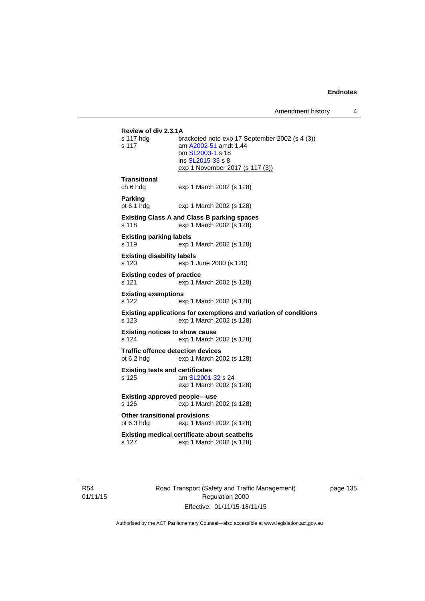Amendment history 4

```
Review of div 2.3.1A 
                bracketed note exp 17 September 2002 (s 4 (3))
s 117 am A2002-51 amdt 1.44
                 om SL2003-1 s 18 
                 ins SL2015-33 s 8 
                exp 1 November 2017 (s 117 (3))
Transitional 
ch 6 hdg exp 1 March 2002 (s 128) 
Parking 
pt 6.1 hdg exp 1 March 2002 (s 128) 
Existing Class A and Class B parking spaces 
s 118 exp 1 March 2002 (s 128) 
Existing parking labels 
s 119 exp 1 March 2002 (s 128) 
Existing disability labels 
s 120 exp 1 June 2000 (s 120) 
Existing codes of practice 
s 121 exp 1 March 2002 (s 128) 
Existing exemptions 
s 122 exp 1 March 2002 (s 128) 
Existing applications for exemptions and variation of conditions 
s 123 exp 1 March 2002 (s 128) 
Existing notices to show cause 
s 124 exp 1 March 2002 (s 128) 
Traffic offence detection devices 
pt 6.2 hdg exp 1 March 2002 (s 128) 
Existing tests and certificates 
s 125 am SL2001-32 s 24 
                exp 1 March 2002 (s 128) 
Existing approved people—use 
s 126 exp 1 March 2002 (s 128) 
Other transitional provisions 
pt 6.3 hdg exp 1 March 2002 (s 128) 
Existing medical certificate about seatbelts 
s 127 exp 1 March 2002 (s 128)
```
R54 01/11/15 Road Transport (Safety and Traffic Management) Regulation 2000 Effective: 01/11/15-18/11/15

page 135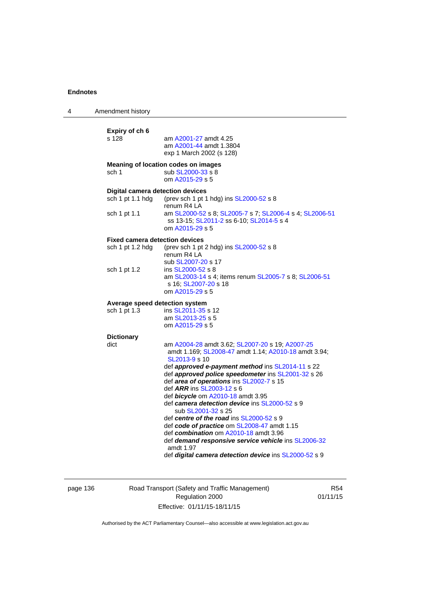| 4 | Amendment history                                                           |                                                                                                                                                                                                                                                                                                                                                                                                                                                                                                                                                                                                                                                                                                 |
|---|-----------------------------------------------------------------------------|-------------------------------------------------------------------------------------------------------------------------------------------------------------------------------------------------------------------------------------------------------------------------------------------------------------------------------------------------------------------------------------------------------------------------------------------------------------------------------------------------------------------------------------------------------------------------------------------------------------------------------------------------------------------------------------------------|
|   | Expiry of ch 6<br>s 128                                                     | am A2001-27 amdt 4.25<br>am A2001-44 amdt 1.3804<br>exp 1 March 2002 (s 128)                                                                                                                                                                                                                                                                                                                                                                                                                                                                                                                                                                                                                    |
|   | sch 1                                                                       | Meaning of location codes on images<br>sub SL2000-33 s 8<br>om A2015-29 s 5                                                                                                                                                                                                                                                                                                                                                                                                                                                                                                                                                                                                                     |
|   | <b>Digital camera detection devices</b><br>sch 1 pt 1.1 hdg<br>sch 1 pt 1.1 | (prev sch 1 pt 1 hdg) ins SL2000-52 s 8<br>renum R4 LA<br>am SL2000-52 s 8; SL2005-7 s 7; SL2006-4 s 4; SL2006-51<br>ss 13-15; SL2011-2 ss 6-10; SL2014-5 s 4                                                                                                                                                                                                                                                                                                                                                                                                                                                                                                                                   |
|   | <b>Fixed camera detection devices</b><br>sch 1 pt 1.2 hdg                   | om A2015-29 s 5<br>(prev sch 1 pt 2 hdg) ins SL2000-52 s 8<br>renum R4 LA<br>sub SL2007-20 s 17                                                                                                                                                                                                                                                                                                                                                                                                                                                                                                                                                                                                 |
|   | sch 1 pt 1.2                                                                | ins SL2000-52 s 8<br>am SL2003-14 s 4; items renum SL2005-7 s 8; SL2006-51<br>s 16; SL2007-20 s 18<br>om A2015-29 s 5                                                                                                                                                                                                                                                                                                                                                                                                                                                                                                                                                                           |
|   | Average speed detection system<br>sch 1 pt 1.3                              | ins SL2011-35 s 12<br>am SL2013-25 s 5<br>om A2015-29 s 5                                                                                                                                                                                                                                                                                                                                                                                                                                                                                                                                                                                                                                       |
|   | <b>Dictionary</b><br>dict                                                   | am A2004-28 amdt 3.62; SL2007-20 s 19; A2007-25<br>amdt 1.169; SL2008-47 amdt 1.14; A2010-18 amdt 3.94;<br>SL2013-9 s 10<br>def approved e-payment method ins SL2014-11 s 22<br>def approved police speedometer ins SL2001-32 s 26<br>def area of operations ins SL2002-7 s 15<br>def ARR ins SL2003-12 s 6<br>def bicycle om A2010-18 amdt 3.95<br>def camera detection device ins SL2000-52 s 9<br>sub SL2001-32 s 25<br>def centre of the road ins SL2000-52 s 9<br>def code of practice om SL2008-47 amdt 1.15<br>def combination om A2010-18 amdt 3.96<br>def demand responsive service vehicle ins SL2006-32<br>amdt 1.97<br>def <i>digital camera detection device</i> ins SL2000-52 s 9 |

page 136 Road Transport (Safety and Traffic Management) Regulation 2000 Effective: 01/11/15-18/11/15

R54 01/11/15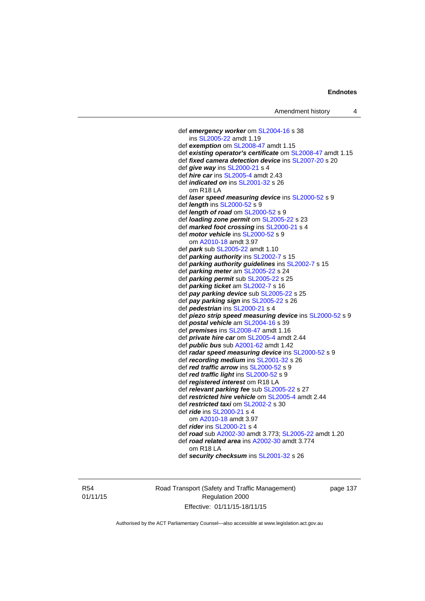def *emergency worker* om [SL2004-16](http://www.legislation.act.gov.au/sl/2004-16) s 38 ins [SL2005-22](http://www.legislation.act.gov.au/sl/2005-22) amdt 1.19 def *exemption* om [SL2008-47](http://www.legislation.act.gov.au/sl/2008-47) amdt 1.15 def *existing operator's certificate* om [SL2008-47](http://www.legislation.act.gov.au/sl/2008-47) amdt 1.15 def *fixed camera detection device* ins [SL2007-20](http://www.legislation.act.gov.au/sl/2007-20) s 20 def *give way* ins [SL2000-21](http://www.legislation.act.gov.au/sl/2000-21) s 4 def *hire car* ins [SL2005-4](http://www.legislation.act.gov.au/sl/2005-4) amdt 2.43 def *indicated on* ins [SL2001-32](http://www.legislation.act.gov.au/sl/2001-32) s 26 om R18 LA def *laser speed measuring device* ins [SL2000-52](http://www.legislation.act.gov.au/sl/2000-52) s 9 def *length* ins [SL2000-52](http://www.legislation.act.gov.au/sl/2000-52) s 9 def *length of road* om [SL2000-52](http://www.legislation.act.gov.au/sl/2000-52) s 9 def *loading zone permit* om [SL2005-22](http://www.legislation.act.gov.au/sl/2005-22) s 23 def *marked foot crossing* ins [SL2000-21](http://www.legislation.act.gov.au/sl/2000-21) s 4 def *motor vehicle* ins [SL2000-52](http://www.legislation.act.gov.au/sl/2000-52) s 9 om [A2010-18](http://www.legislation.act.gov.au/a/2010-18) amdt 3.97 def *park* sub [SL2005-22](http://www.legislation.act.gov.au/sl/2005-22) amdt 1.10 def *parking authority* ins [SL2002-7](http://www.legislation.act.gov.au/sl/2002-7) s 15 def *parking authority guidelines* ins [SL2002-7](http://www.legislation.act.gov.au/sl/2002-7) s 15 def *parking meter* am [SL2005-22](http://www.legislation.act.gov.au/sl/2005-22) s 24 def *parking permit* sub [SL2005-22](http://www.legislation.act.gov.au/sl/2005-22) s 25 def *parking ticket* am [SL2002-7](http://www.legislation.act.gov.au/sl/2002-7) s 16 def *pay parking device* sub [SL2005-22](http://www.legislation.act.gov.au/sl/2005-22) s 25 def *pay parking sign* ins [SL2005-22](http://www.legislation.act.gov.au/sl/2005-22) s 26 def *pedestrian* ins [SL2000-21](http://www.legislation.act.gov.au/sl/2000-21) s 4 def *piezo strip speed measuring device* ins [SL2000-52](http://www.legislation.act.gov.au/sl/2000-52) s 9 def *postal vehicle* am [SL2004-16](http://www.legislation.act.gov.au/sl/2004-16) s 39 def *premises* ins [SL2008-47](http://www.legislation.act.gov.au/sl/2008-47) amdt 1.16 def *private hire car* om [SL2005-4](http://www.legislation.act.gov.au/sl/2005-4) amdt 2.44 def *public bus* sub [A2001-62](http://www.legislation.act.gov.au/a/2001-62) amdt 1.42 def *radar speed measuring device* ins [SL2000-52](http://www.legislation.act.gov.au/sl/2000-52) s 9 def *recording medium* ins [SL2001-32](http://www.legislation.act.gov.au/sl/2001-32) s 26 def *red traffic arrow* ins [SL2000-52](http://www.legislation.act.gov.au/sl/2000-52) s 9 def *red traffic light* ins [SL2000-52](http://www.legislation.act.gov.au/sl/2000-52) s 9 def *registered interest* om R18 LA def *relevant parking fee* sub [SL2005-22](http://www.legislation.act.gov.au/sl/2005-22) s 27 def *restricted hire vehicle* om [SL2005-4](http://www.legislation.act.gov.au/sl/2005-4) amdt 2.44 def *restricted taxi* om [SL2002-2](http://www.legislation.act.gov.au/sl/2002-2) s 30 def *ride* ins [SL2000-21](http://www.legislation.act.gov.au/sl/2000-21) s 4 om [A2010-18](http://www.legislation.act.gov.au/a/2010-18) amdt 3.97 def *rider* ins [SL2000-21](http://www.legislation.act.gov.au/sl/2000-21) s 4 def *road* sub [A2002-30](http://www.legislation.act.gov.au/a/2002-30) amdt 3.773; [SL2005-22](http://www.legislation.act.gov.au/sl/2005-22) amdt 1.20 def *road related area* ins [A2002-30](http://www.legislation.act.gov.au/a/2002-30) amdt 3.774 om R18 LA def *security checksum* ins [SL2001-32](http://www.legislation.act.gov.au/sl/2001-32) s 26

R54 01/11/15 Road Transport (Safety and Traffic Management) Regulation 2000 Effective: 01/11/15-18/11/15

page 137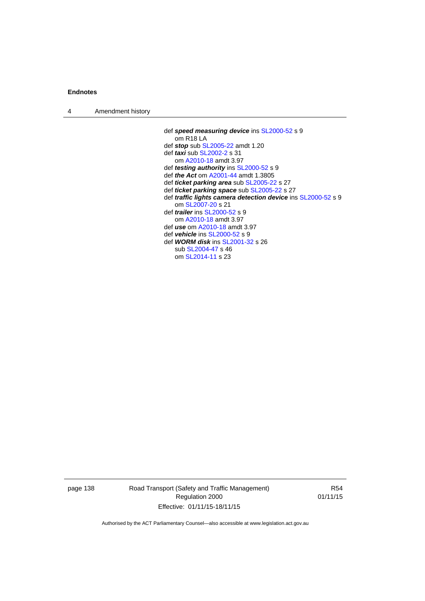| $\boldsymbol{\Lambda}$ | Amendment history |  |
|------------------------|-------------------|--|
|------------------------|-------------------|--|

 def *speed measuring device* ins [SL2000-52](http://www.legislation.act.gov.au/sl/2000-52) s 9 om R18 LA def *stop* sub [SL2005-22](http://www.legislation.act.gov.au/sl/2005-22) amdt 1.20 def *taxi* sub [SL2002-2](http://www.legislation.act.gov.au/sl/2002-2) s 31 om [A2010-18](http://www.legislation.act.gov.au/a/2010-18) amdt 3.97 def *testing authority* ins [SL2000-52](http://www.legislation.act.gov.au/sl/2000-52) s 9 def *the Act* om [A2001-44](http://www.legislation.act.gov.au/a/2001-44) amdt 1.3805 def *ticket parking area* sub [SL2005-22](http://www.legislation.act.gov.au/sl/2005-22) s 27 def *ticket parking space* sub [SL2005-22](http://www.legislation.act.gov.au/sl/2005-22) s 27 def *traffic lights camera detection device* ins [SL2000-52](http://www.legislation.act.gov.au/sl/2000-52) s 9 om [SL2007-20](http://www.legislation.act.gov.au/sl/2007-20) s 21 def *trailer* ins [SL2000-52](http://www.legislation.act.gov.au/sl/2000-52) s 9 om [A2010-18](http://www.legislation.act.gov.au/a/2010-18) amdt 3.97 def *use* om [A2010-18](http://www.legislation.act.gov.au/a/2010-18) amdt 3.97 def *vehicle* ins [SL2000-52](http://www.legislation.act.gov.au/sl/2000-52) s 9 def *WORM disk* ins [SL2001-32](http://www.legislation.act.gov.au/sl/2001-32) s 26 sub [SL2004-47](http://www.legislation.act.gov.au/sl/2004-47) s 46 om [SL2014-11](http://www.legislation.act.gov.au/sl/2014-11) s 23

page 138 Road Transport (Safety and Traffic Management) Regulation 2000 Effective: 01/11/15-18/11/15

R54 01/11/15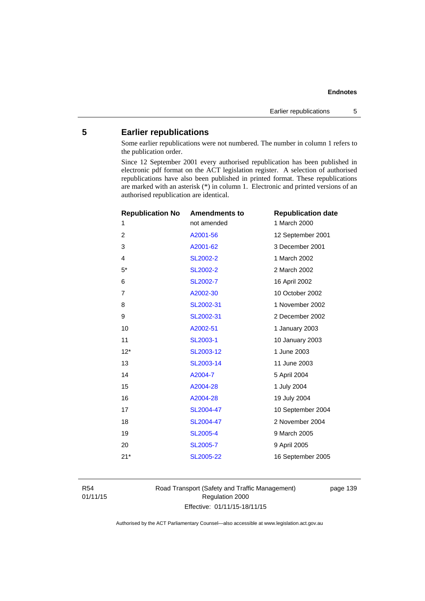# **5 Earlier republications**

Some earlier republications were not numbered. The number in column 1 refers to the publication order.

Since 12 September 2001 every authorised republication has been published in electronic pdf format on the ACT legislation register. A selection of authorised republications have also been published in printed format. These republications are marked with an asterisk (\*) in column 1. Electronic and printed versions of an authorised republication are identical.

| <b>Republication No</b> | <b>Amendments to</b> | <b>Republication date</b> |
|-------------------------|----------------------|---------------------------|
| 1                       | not amended          | 1 March 2000              |
| $\overline{2}$          | A2001-56             | 12 September 2001         |
| 3                       | A2001-62             | 3 December 2001           |
| $\overline{4}$          | SL2002-2             | 1 March 2002              |
| $5*$                    | SL2002-2             | 2 March 2002              |
| 6                       | SL2002-7             | 16 April 2002             |
| $\overline{7}$          | A2002-30             | 10 October 2002           |
| 8                       | SL2002-31            | 1 November 2002           |
| 9                       | SL2002-31            | 2 December 2002           |
| 10                      | A2002-51             | 1 January 2003            |
| 11                      | SL2003-1             | 10 January 2003           |
| $12*$                   | SL2003-12            | 1 June 2003               |
| 13                      | SL2003-14            | 11 June 2003              |
| 14                      | A2004-7              | 5 April 2004              |
| 15                      | A2004-28             | 1 July 2004               |
| 16                      | A2004-28             | 19 July 2004              |
| 17                      | SL2004-47            | 10 September 2004         |
| 18                      | SL2004-47            | 2 November 2004           |
| 19                      | <b>SL2005-4</b>      | 9 March 2005              |
| 20                      | <b>SL2005-7</b>      | 9 April 2005              |
| $21*$                   | SL2005-22            | 16 September 2005         |
|                         |                      |                           |

R54 01/11/15 Road Transport (Safety and Traffic Management) Regulation 2000 Effective: 01/11/15-18/11/15

page 139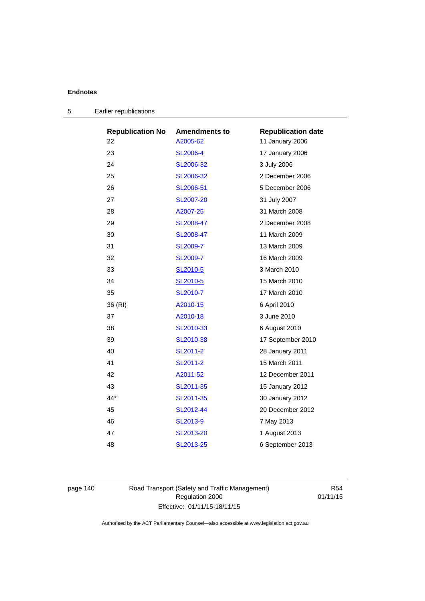| <b>Republication No</b> | <b>Amendments to</b> | <b>Republication date</b> |
|-------------------------|----------------------|---------------------------|
| 22                      | A2005-62             | 11 January 2006           |
| 23                      | SL2006-4             | 17 January 2006           |
| 24                      | SL2006-32            | 3 July 2006               |
| 25                      | SL2006-32            | 2 December 2006           |
| 26                      | SL2006-51            | 5 December 2006           |
| 27                      | SL2007-20            | 31 July 2007              |
| 28                      | A2007-25             | 31 March 2008             |
| 29                      | SL2008-47            | 2 December 2008           |
| 30                      | SL2008-47            | 11 March 2009             |
| 31                      | SL2009-7             | 13 March 2009             |
| 32                      | SL2009-7             | 16 March 2009             |
| 33                      | SL2010-5             | 3 March 2010              |
| 34                      | SL2010-5             | 15 March 2010             |
| 35                      | SL2010-7             | 17 March 2010             |
| 36 (RI)                 | A2010-15             | 6 April 2010              |
| 37                      | A2010-18             | 3 June 2010               |
| 38                      | SL2010-33            | 6 August 2010             |
| 39                      | SL2010-38            | 17 September 2010         |
| 40                      | SL2011-2             | 28 January 2011           |
| 41                      | SL2011-2             | 15 March 2011             |
| 42                      | A2011-52             | 12 December 2011          |
| 43                      | SL2011-35            | 15 January 2012           |
| 44*                     | SL2011-35            | 30 January 2012           |
| 45                      | SL2012-44            | 20 December 2012          |
| 46                      | SL2013-9             | 7 May 2013                |
| 47                      | SL2013-20            | 1 August 2013             |
| 48                      | SL2013-25            | 6 September 2013          |

| 5 | Earlier republications |
|---|------------------------|
|---|------------------------|

page 140 Road Transport (Safety and Traffic Management) Regulation 2000 Effective: 01/11/15-18/11/15

R54 01/11/15